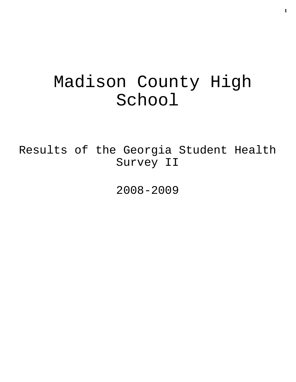# Madison County High School

Results of the Georgia Student Health Survey II

2008-2009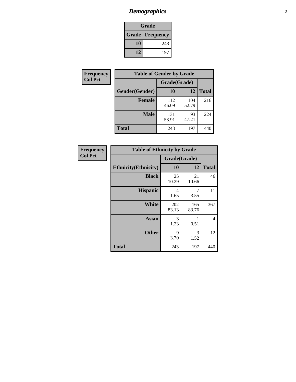# *Demographics* **2**

| Grade                    |     |  |  |  |
|--------------------------|-----|--|--|--|
| <b>Grade   Frequency</b> |     |  |  |  |
| 10                       | 243 |  |  |  |
| 12                       | 197 |  |  |  |

| <b>Frequency</b> | <b>Table of Gender by Grade</b> |              |              |              |  |
|------------------|---------------------------------|--------------|--------------|--------------|--|
| <b>Col Pct</b>   |                                 | Grade(Grade) |              |              |  |
|                  | Gender(Gender)                  | <b>10</b>    | 12           | <b>Total</b> |  |
|                  | <b>Female</b>                   | 112<br>46.09 | 104<br>52.79 | 216          |  |
|                  | <b>Male</b>                     | 131<br>53.91 | 93<br>47.21  | 224          |  |
|                  | <b>Total</b>                    | 243          | 197          | 440          |  |

| Frequency<br>Col Pct |
|----------------------|
|                      |

| <b>Table of Ethnicity by Grade</b> |              |              |                |  |  |  |
|------------------------------------|--------------|--------------|----------------|--|--|--|
|                                    | Grade(Grade) |              |                |  |  |  |
| <b>Ethnicity</b> (Ethnicity)       | 10           | 12           | <b>Total</b>   |  |  |  |
| <b>Black</b>                       | 25<br>10.29  | 21<br>10.66  | 46             |  |  |  |
| <b>Hispanic</b>                    | 4<br>1.65    | 7<br>3.55    | 11             |  |  |  |
| White                              | 202<br>83.13 | 165<br>83.76 | 367            |  |  |  |
| <b>Asian</b>                       | 3<br>1.23    | 0.51         | $\overline{4}$ |  |  |  |
| <b>Other</b>                       | 9<br>3.70    | 3<br>1.52    | 12             |  |  |  |
| <b>Total</b>                       | 243          | 197          | 440            |  |  |  |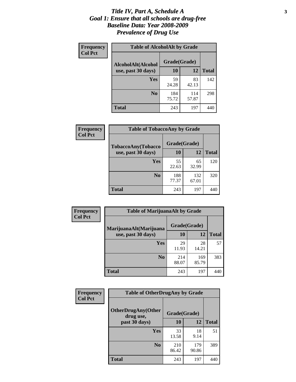### *Title IV, Part A, Schedule A* **3** *Goal 1: Ensure that all schools are drug-free Baseline Data: Year 2008-2009 Prevalence of Drug Use*

| Frequency<br><b>Col Pct</b> | <b>Table of AlcoholAlt by Grade</b> |              |              |              |  |  |
|-----------------------------|-------------------------------------|--------------|--------------|--------------|--|--|
|                             | AlcoholAlt(Alcohol                  | Grade(Grade) |              |              |  |  |
|                             | use, past 30 days)                  | 10           | 12           | <b>Total</b> |  |  |
|                             | Yes                                 | 59<br>24.28  | 83<br>42.13  | 142          |  |  |
|                             | N <sub>0</sub>                      | 184<br>75.72 | 114<br>57.87 | 298          |  |  |
|                             | <b>Total</b>                        | 243          | 197          | 440          |  |  |

| Frequency      | <b>Table of TobaccoAny by Grade</b> |              |              |              |  |
|----------------|-------------------------------------|--------------|--------------|--------------|--|
| <b>Col Pct</b> | TobaccoAny(Tobacco                  | Grade(Grade) |              |              |  |
|                | use, past 30 days)                  | 10           | 12           | <b>Total</b> |  |
|                | <b>Yes</b>                          | 55<br>22.63  | 65<br>32.99  | 120          |  |
|                | N <sub>0</sub>                      | 188<br>77.37 | 132<br>67.01 | 320          |  |
|                | Total                               | 243          | 197          | 44(          |  |

| Frequency<br><b>Col Pct</b> | <b>Table of MarijuanaAlt by Grade</b> |              |              |              |  |
|-----------------------------|---------------------------------------|--------------|--------------|--------------|--|
|                             | MarijuanaAlt(Marijuana                | Grade(Grade) |              |              |  |
|                             | use, past 30 days)                    | <b>10</b>    | 12           | <b>Total</b> |  |
|                             | <b>Yes</b>                            | 29<br>11.93  | 28<br>14.21  | 57           |  |
|                             | N <sub>0</sub>                        | 214<br>88.07 | 169<br>85.79 | 383          |  |
|                             | <b>Total</b>                          | 243          | 197          | 440          |  |

| Frequency      | <b>Table of OtherDrugAny by Grade</b>  |              |              |              |  |
|----------------|----------------------------------------|--------------|--------------|--------------|--|
| <b>Col Pct</b> | <b>OtherDrugAny(Other</b><br>drug use, | Grade(Grade) |              |              |  |
|                | past 30 days)                          | 10           | 12           | <b>Total</b> |  |
|                | Yes                                    | 33<br>13.58  | 18<br>9.14   | 51           |  |
|                | N <sub>0</sub>                         | 210<br>86.42 | 179<br>90.86 | 389          |  |
|                | <b>Total</b>                           | 243          | 197          | 440          |  |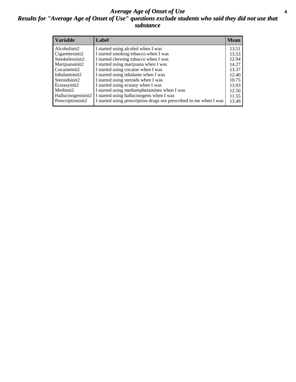### *Average Age of Onset of Use* **4** *Results for "Average Age of Onset of Use" questions exclude students who said they did not use that substance*

| <b>Variable</b>    | Label                                                              | <b>Mean</b> |
|--------------------|--------------------------------------------------------------------|-------------|
| Alcoholinit2       | I started using alcohol when I was                                 | 13.51       |
| Cigarettesinit2    | I started smoking tobacco when I was                               | 13.53       |
| Smokelessinit2     | I started chewing tobacco when I was                               | 12.94       |
| Marijuanainit2     | I started using marijuana when I was                               | 14.27       |
| Cocaineinit2       | I started using cocaine when I was                                 | 13.37       |
| Inhalantsinit2     | I started using inhalants when I was                               | 12.40       |
| Steroidsinit2      | I started using steroids when I was                                | 10.75       |
| Ecstasyinit2       | I started using ecstasy when I was                                 | 13.93       |
| Methinit2          | I started using methamphetamines when I was                        | 12.50       |
| Hallucinogensinit2 | I started using hallucinogens when I was                           | 11.55       |
| Prescriptioninit2  | I started using prescription drugs not prescribed to me when I was | 13.49       |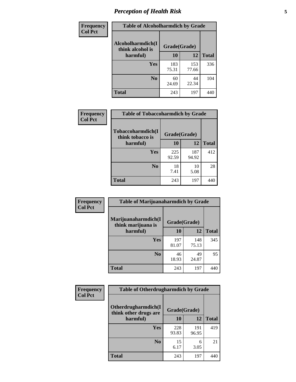# *Perception of Health Risk* **5**

| Frequency      | <b>Table of Alcoholharmdich by Grade</b> |              |              |              |  |
|----------------|------------------------------------------|--------------|--------------|--------------|--|
| <b>Col Pct</b> | Alcoholharmdich(I<br>think alcohol is    | Grade(Grade) |              |              |  |
|                | harmful)                                 | 10           | 12           | <b>Total</b> |  |
|                | <b>Yes</b>                               | 183<br>75.31 | 153<br>77.66 | 336          |  |
|                | N <sub>0</sub>                           | 60<br>24.69  | 44<br>22.34  | 104          |  |
|                | <b>Total</b>                             | 243          | 197          | 440          |  |

| Frequency      | <b>Table of Tobaccoharmdich by Grade</b> |              |              |              |  |
|----------------|------------------------------------------|--------------|--------------|--------------|--|
| <b>Col Pct</b> | Tobaccoharmdich(I<br>think tobacco is    | Grade(Grade) |              |              |  |
|                | harmful)                                 | 10           | 12           | <b>Total</b> |  |
|                | <b>Yes</b>                               | 225<br>92.59 | 187<br>94.92 | 412          |  |
|                | N <sub>0</sub>                           | 18<br>7.41   | 10<br>5.08   | 28           |  |
|                | <b>Total</b>                             | 243          | 197          |              |  |

| <b>Frequency</b> | <b>Table of Marijuanaharmdich by Grade</b> |              |              |              |  |
|------------------|--------------------------------------------|--------------|--------------|--------------|--|
| <b>Col Pct</b>   | Marijuanaharmdich(I<br>think marijuana is  | Grade(Grade) |              |              |  |
|                  | harmful)                                   | 10           | 12           | <b>Total</b> |  |
|                  | <b>Yes</b>                                 | 197<br>81.07 | 148<br>75.13 | 345          |  |
|                  | N <sub>0</sub>                             | 46<br>18.93  | 49<br>24.87  | 95           |  |
|                  | <b>Total</b>                               | 243          | 197          | 440          |  |

| <b>Frequency</b> | <b>Table of Otherdrugharmdich by Grade</b>   |              |              |              |  |  |  |
|------------------|----------------------------------------------|--------------|--------------|--------------|--|--|--|
| <b>Col Pct</b>   | Otherdrugharmdich(I<br>think other drugs are | Grade(Grade) |              |              |  |  |  |
|                  | harmful)                                     | 10           | 12           | <b>Total</b> |  |  |  |
|                  | <b>Yes</b>                                   | 228<br>93.83 | 191<br>96.95 | 419          |  |  |  |
|                  | N <sub>0</sub>                               | 15<br>6.17   | 6<br>3.05    | 21           |  |  |  |
|                  | <b>Total</b>                                 | 243          | 197          | 440          |  |  |  |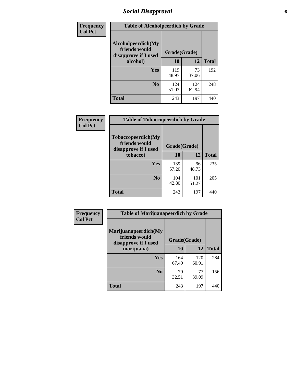# *Social Disapproval* **6**

| Frequency      | <b>Table of Alcoholpeerdich by Grade</b>                    |              |              |              |
|----------------|-------------------------------------------------------------|--------------|--------------|--------------|
| <b>Col Pct</b> | Alcoholpeerdich(My<br>friends would<br>disapprove if I used | Grade(Grade) |              |              |
|                | alcohol)                                                    | 10           | 12           | <b>Total</b> |
|                | <b>Yes</b>                                                  | 119<br>48.97 | 73<br>37.06  | 192          |
|                | N <sub>0</sub>                                              | 124<br>51.03 | 124<br>62.94 | 248          |
|                | <b>Total</b>                                                | 243          | 197          | 440          |

| <b>Frequency</b> |
|------------------|
| <b>Col Pct</b>   |

| <b>Table of Tobaccopeerdich by Grade</b>                    |              |              |              |  |  |  |
|-------------------------------------------------------------|--------------|--------------|--------------|--|--|--|
| Tobaccopeerdich(My<br>friends would<br>disapprove if I used | Grade(Grade) |              |              |  |  |  |
| tobacco)                                                    | 10           | 12           | <b>Total</b> |  |  |  |
| Yes                                                         | 139<br>57.20 | 96<br>48.73  | 235          |  |  |  |
| N <sub>0</sub>                                              | 104<br>42.80 | 101<br>51.27 | 205          |  |  |  |
| <b>Total</b>                                                | 243          | 197          |              |  |  |  |

| <b>Frequency</b> | <b>Table of Marijuanapeerdich by Grade</b>                    |              |              |              |  |  |  |  |
|------------------|---------------------------------------------------------------|--------------|--------------|--------------|--|--|--|--|
| <b>Col Pct</b>   | Marijuanapeerdich(My<br>friends would<br>disapprove if I used | Grade(Grade) |              |              |  |  |  |  |
|                  | marijuana)                                                    | 10           | 12           | <b>Total</b> |  |  |  |  |
|                  | <b>Yes</b>                                                    | 164<br>67.49 | 120<br>60.91 | 284          |  |  |  |  |
|                  | N <sub>0</sub>                                                | 79<br>32.51  | 77<br>39.09  | 156          |  |  |  |  |
|                  | <b>Total</b>                                                  | 243          | 197          | 440          |  |  |  |  |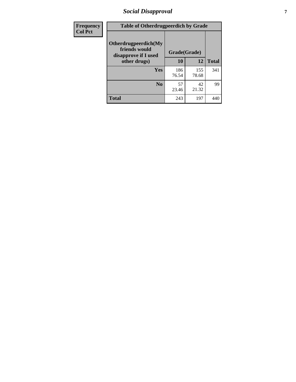# *Social Disapproval* **7**

| Frequency      | <b>Table of Otherdrugpeerdich by Grade</b>                    |              |              |              |  |  |  |  |
|----------------|---------------------------------------------------------------|--------------|--------------|--------------|--|--|--|--|
| <b>Col Pct</b> | Otherdrugpeerdich(My<br>friends would<br>disapprove if I used | Grade(Grade) |              |              |  |  |  |  |
|                | other drugs)                                                  | 10           | 12           | <b>Total</b> |  |  |  |  |
|                | <b>Yes</b>                                                    | 186<br>76.54 | 155<br>78.68 | 341          |  |  |  |  |
|                | N <sub>0</sub>                                                | 57<br>23.46  | 42<br>21.32  | 99           |  |  |  |  |
|                | <b>Total</b>                                                  | 243          | 197          | 440          |  |  |  |  |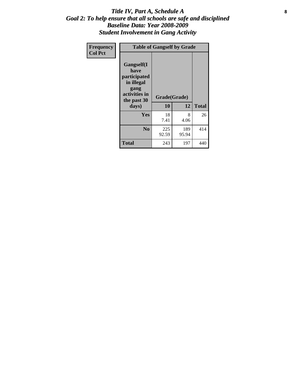### Title IV, Part A, Schedule A **8** *Goal 2: To help ensure that all schools are safe and disciplined Baseline Data: Year 2008-2009 Student Involvement in Gang Activity*

| Frequency      | <b>Table of Gangself by Grade</b>                                                                 |                    |              |              |
|----------------|---------------------------------------------------------------------------------------------------|--------------------|--------------|--------------|
| <b>Col Pct</b> | Gangself(I<br>have<br>participated<br>in illegal<br>gang<br>activities in<br>the past 30<br>days) | Grade(Grade)<br>10 | 12           | <b>Total</b> |
|                | Yes                                                                                               | 18<br>7.41         | 8<br>4.06    | 26           |
|                | N <sub>0</sub>                                                                                    | 225<br>92.59       | 189<br>95.94 | 414          |
|                | <b>Total</b>                                                                                      | 243                | 197          | 440          |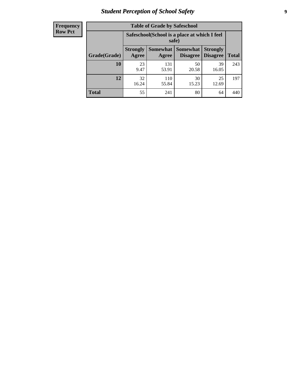# *Student Perception of School Safety* **9**

| <b>Frequency</b><br>Row Pct |
|-----------------------------|
|                             |

| <b>Table of Grade by Safeschool</b> |                                                        |                          |                             |                                    |              |  |  |
|-------------------------------------|--------------------------------------------------------|--------------------------|-----------------------------|------------------------------------|--------------|--|--|
|                                     | Safeschool (School is a place at which I feel<br>safe) |                          |                             |                                    |              |  |  |
| Grade(Grade)                        | <b>Strongly</b><br>Agree                               | <b>Somewhat</b><br>Agree | <b>Somewhat</b><br>Disagree | <b>Strongly</b><br><b>Disagree</b> | <b>Total</b> |  |  |
| 10                                  | 23<br>9.47                                             | 131<br>53.91             | 50<br>20.58                 | 39<br>16.05                        | 243          |  |  |
| 12                                  | 32<br>16.24                                            | 110<br>55.84             | 30<br>15.23                 | 25<br>12.69                        | 197          |  |  |
| <b>Total</b>                        | 55                                                     | 241                      | 80                          | 64                                 | 440          |  |  |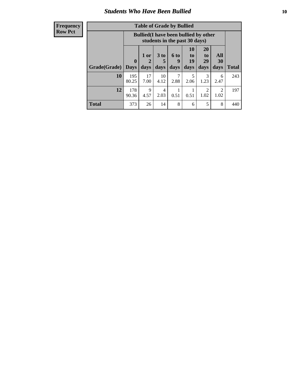### *Students Who Have Been Bullied* **10**

| <b>Frequency</b> |
|------------------|
| Row Pct          |

| <b>Table of Grade by Bullied</b> |                            |                                                                               |                              |                   |                               |                               |                          |              |
|----------------------------------|----------------------------|-------------------------------------------------------------------------------|------------------------------|-------------------|-------------------------------|-------------------------------|--------------------------|--------------|
|                                  |                            | <b>Bullied</b> (I have been bullied by other<br>students in the past 30 days) |                              |                   |                               |                               |                          |              |
| Grade(Grade)                     | $\mathbf 0$<br><b>Days</b> | 1 or<br>2<br>days                                                             | 3 <sub>to</sub><br>5<br>days | 6 to<br>9<br>days | <b>10</b><br>to<br>19<br>days | <b>20</b><br>to<br>29<br>days | <b>All</b><br>30<br>days | <b>Total</b> |
| 10                               | 195<br>80.25               | 17<br>7.00                                                                    | 10<br>4.12                   | 7<br>2.88         | 5<br>2.06                     | 3<br>1.23                     | 6<br>2.47                | 243          |
| 12                               | 178<br>90.36               | 9<br>4.57                                                                     | 4<br>2.03                    | 0.51              | 0.51                          | $\overline{2}$<br>1.02        | $\mathcal{D}$<br>1.02    | 197          |
| <b>Total</b>                     | 373                        | 26                                                                            | 14                           | 8                 | 6                             | 5                             | 8                        | 440          |

 $\blacksquare$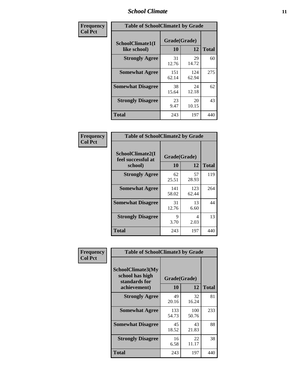### *School Climate* **11**

| <b>Frequency</b> | <b>Table of SchoolClimate1 by Grade</b> |                    |              |              |  |  |
|------------------|-----------------------------------------|--------------------|--------------|--------------|--|--|
| <b>Col Pct</b>   | SchoolClimate1(I<br>like school)        | Grade(Grade)<br>10 | 12           | <b>Total</b> |  |  |
|                  | <b>Strongly Agree</b>                   | 31<br>12.76        | 29<br>14.72  | 60           |  |  |
|                  | <b>Somewhat Agree</b>                   | 151<br>62.14       | 124<br>62.94 | 275          |  |  |
|                  | <b>Somewhat Disagree</b>                | 38<br>15.64        | 24<br>12.18  | 62           |  |  |
|                  | <b>Strongly Disagree</b>                | 23<br>9.47         | 20<br>10.15  | 43           |  |  |
|                  | <b>Total</b>                            | 243                | 197          | 440          |  |  |

| Frequency      | <b>Table of SchoolClimate2 by Grade</b>           |                           |              |              |
|----------------|---------------------------------------------------|---------------------------|--------------|--------------|
| <b>Col Pct</b> | SchoolClimate2(I<br>feel successful at<br>school) | Grade(Grade)<br><b>10</b> | 12           | <b>Total</b> |
|                | <b>Strongly Agree</b>                             | 62<br>25.51               | 57<br>28.93  | 119          |
|                | <b>Somewhat Agree</b>                             | 141<br>58.02              | 123<br>62.44 | 264          |
|                | <b>Somewhat Disagree</b>                          | 31<br>12.76               | 13<br>6.60   | 44           |
|                | <b>Strongly Disagree</b>                          | 9<br>3.70                 | 4<br>2.03    | 13           |
|                | <b>Total</b>                                      | 243                       | 197          | 440          |

| Frequency | <b>Table of SchoolClimate3 by Grade</b>                                      |                    |              |              |
|-----------|------------------------------------------------------------------------------|--------------------|--------------|--------------|
| Col Pct   | <b>SchoolClimate3(My</b><br>school has high<br>standards for<br>achievement) | Grade(Grade)<br>10 | 12           | <b>Total</b> |
|           |                                                                              |                    |              |              |
|           | <b>Strongly Agree</b>                                                        | 49<br>20.16        | 32<br>16.24  | 81           |
|           | <b>Somewhat Agree</b>                                                        | 133<br>54.73       | 100<br>50.76 | 233          |
|           | <b>Somewhat Disagree</b>                                                     | 45<br>18.52        | 43<br>21.83  | 88           |
|           | <b>Strongly Disagree</b>                                                     | 16<br>6.58         | 22<br>11.17  | 38           |
|           | Total                                                                        | 243                | 197          | 440          |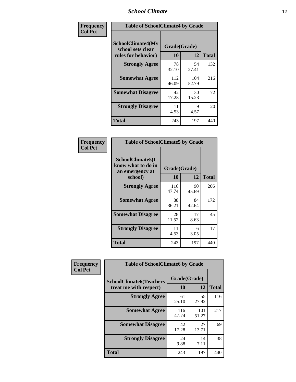### *School Climate* **12**

| Frequency      | <b>Table of SchoolClimate4 by Grade</b>                              |                    |              |              |
|----------------|----------------------------------------------------------------------|--------------------|--------------|--------------|
| <b>Col Pct</b> | <b>SchoolClimate4(My</b><br>school sets clear<br>rules for behavior) | Grade(Grade)<br>10 | 12           | <b>Total</b> |
|                | <b>Strongly Agree</b>                                                | 78<br>32.10        | 54<br>27.41  | 132          |
|                | <b>Somewhat Agree</b>                                                | 112<br>46.09       | 104<br>52.79 | 216          |
|                | <b>Somewhat Disagree</b>                                             | 42<br>17.28        | 30<br>15.23  | 72           |
|                | <b>Strongly Disagree</b>                                             | 11<br>4.53         | 9<br>4.57    | 20           |
|                | Total                                                                | 243                | 197          | 440          |

| <b>Table of SchoolClimate5 by Grade</b>                   |              |             |              |  |  |
|-----------------------------------------------------------|--------------|-------------|--------------|--|--|
| SchoolClimate5(I<br>know what to do in<br>an emergency at | Grade(Grade) |             |              |  |  |
| school)                                                   | 10           | 12          | <b>Total</b> |  |  |
| <b>Strongly Agree</b>                                     | 116<br>47.74 | 90<br>45.69 | 206          |  |  |
| <b>Somewhat Agree</b>                                     | 88<br>36.21  | 84<br>42.64 | 172          |  |  |
| <b>Somewhat Disagree</b>                                  | 28<br>11.52  | 17<br>8.63  | 45           |  |  |
| <b>Strongly Disagree</b>                                  | 11<br>4.53   | 6<br>3.05   | 17           |  |  |
| <b>Total</b>                                              | 243          | 197         | 440          |  |  |

| Frequency      | <b>Table of SchoolClimate6 by Grade</b>                  |                           |              |              |
|----------------|----------------------------------------------------------|---------------------------|--------------|--------------|
| <b>Col Pct</b> | <b>SchoolClimate6(Teachers</b><br>treat me with respect) | Grade(Grade)<br><b>10</b> | 12           | <b>Total</b> |
|                | <b>Strongly Agree</b>                                    | 61<br>25.10               | 55<br>27.92  | 116          |
|                | <b>Somewhat Agree</b>                                    | 116<br>47.74              | 101<br>51.27 | 217          |
|                | <b>Somewhat Disagree</b>                                 | 42<br>17.28               | 27<br>13.71  | 69           |
|                | <b>Strongly Disagree</b>                                 | 24<br>9.88                | 14<br>7.11   | 38           |
|                | <b>Total</b>                                             | 243                       | 197          | 440          |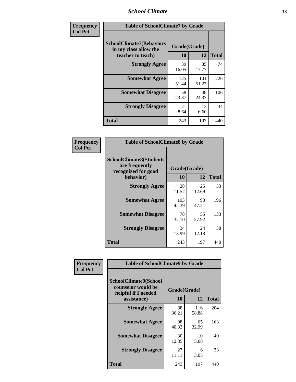### *School Climate* **13**

| Frequency      | <b>Table of SchoolClimate7 by Grade</b>                                       |                    |              |              |
|----------------|-------------------------------------------------------------------------------|--------------------|--------------|--------------|
| <b>Col Pct</b> | <b>SchoolClimate7(Behaviors</b><br>in my class allow the<br>teacher to teach) | Grade(Grade)<br>10 | 12           | <b>Total</b> |
|                | <b>Strongly Agree</b>                                                         | 39<br>16.05        | 35<br>17.77  | 74           |
|                | <b>Somewhat Agree</b>                                                         | 125<br>51.44       | 101<br>51.27 | 226          |
|                | <b>Somewhat Disagree</b>                                                      | 58<br>23.87        | 48<br>24.37  | 106          |
|                | <b>Strongly Disagree</b>                                                      | 21<br>8.64         | 13<br>6.60   | 34           |
|                | <b>Total</b>                                                                  | 243                | 197          | 440          |

| Frequency      | <b>Table of SchoolClimate8 by Grade</b>                                              |                    |             |              |
|----------------|--------------------------------------------------------------------------------------|--------------------|-------------|--------------|
| <b>Col Pct</b> | <b>SchoolClimate8(Students</b><br>are frequently<br>recognized for good<br>behavior) | Grade(Grade)<br>10 | 12          | <b>Total</b> |
|                | <b>Strongly Agree</b>                                                                | 28<br>11.52        | 25<br>12.69 | 53           |
|                | <b>Somewhat Agree</b>                                                                | 103<br>42.39       | 93<br>47.21 | 196          |
|                | <b>Somewhat Disagree</b>                                                             | 78<br>32.10        | 55<br>27.92 | 133          |
|                | <b>Strongly Disagree</b>                                                             | 34<br>13.99        | 24<br>12.18 | 58           |
|                | <b>Total</b>                                                                         | 243                | 197         | 440          |

| Frequency      | <b>Table of SchoolClimate9 by Grade</b>                                                  |                    |              |              |
|----------------|------------------------------------------------------------------------------------------|--------------------|--------------|--------------|
| <b>Col Pct</b> | <b>SchoolClimate9(School</b><br>counselor would be<br>helpful if I needed<br>assistance) | Grade(Grade)<br>10 | 12           | <b>Total</b> |
|                | <b>Strongly Agree</b>                                                                    | 88<br>36.21        | 116<br>58.88 | 204          |
|                | <b>Somewhat Agree</b>                                                                    | 98<br>40.33        | 65<br>32.99  | 163          |
|                | <b>Somewhat Disagree</b>                                                                 | 30<br>12.35        | 10<br>5.08   | 40           |
|                | <b>Strongly Disagree</b>                                                                 | 27<br>11.11        | 6<br>3.05    | 33           |
|                | <b>Total</b>                                                                             | 243                | 197          | 440          |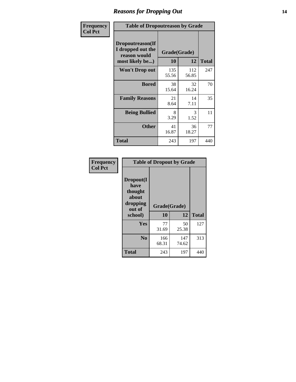### *Reasons for Dropping Out* **14**

| Frequency      | <b>Table of Dropoutreason by Grade</b>                                   |                    |              |              |
|----------------|--------------------------------------------------------------------------|--------------------|--------------|--------------|
| <b>Col Pct</b> | Dropoutreason(If<br>I dropped out the<br>reason would<br>most likely be) | Grade(Grade)<br>10 | 12           | <b>Total</b> |
|                | Won't Drop out                                                           | 135<br>55.56       | 112<br>56.85 | 247          |
|                | <b>Bored</b>                                                             | 38<br>15.64        | 32<br>16.24  | 70           |
|                | <b>Family Reasons</b>                                                    | 21<br>8.64         | 14<br>7.11   | 35           |
|                | <b>Being Bullied</b>                                                     | 8<br>3.29          | 3<br>1.52    | 11           |
|                | <b>Other</b>                                                             | 41<br>16.87        | 36<br>18.27  | 77           |
|                | Total                                                                    | 243                | 197          | 440          |

| Frequency      | <b>Table of Dropout by Grade</b>                                       |                    |              |              |  |
|----------------|------------------------------------------------------------------------|--------------------|--------------|--------------|--|
| <b>Col Pct</b> | Dropout(I<br>have<br>thought<br>about<br>dropping<br>out of<br>school) | Grade(Grade)<br>10 | 12           | <b>Total</b> |  |
|                | Yes                                                                    | 77<br>31.69        | 50<br>25.38  | 127          |  |
|                | N <sub>0</sub>                                                         | 166<br>68.31       | 147<br>74.62 | 313          |  |
|                | <b>Total</b>                                                           | 243                | 197          | 440          |  |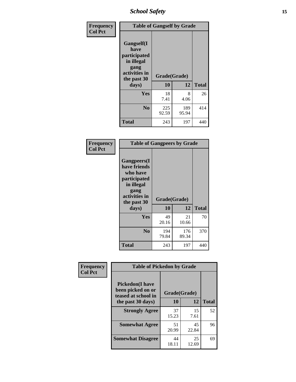*School Safety* **15**

| Frequency      | <b>Table of Gangself by Grade</b>                                                                 |                          |              |              |
|----------------|---------------------------------------------------------------------------------------------------|--------------------------|--------------|--------------|
| <b>Col Pct</b> | Gangself(I<br>have<br>participated<br>in illegal<br>gang<br>activities in<br>the past 30<br>days) | Grade(Grade)<br>10<br>12 |              | <b>Total</b> |
|                | Yes                                                                                               | 18<br>7.41               | 8<br>4.06    | 26           |
|                | N <sub>o</sub>                                                                                    | 225<br>92.59             | 189<br>95.94 | 414          |
|                | <b>Total</b>                                                                                      | 243                      | 197          | 440          |

| Frequency<br><b>Col Pct</b> | <b>Table of Gangpeers by Grade</b>                                                                                             |                    |              |              |  |
|-----------------------------|--------------------------------------------------------------------------------------------------------------------------------|--------------------|--------------|--------------|--|
|                             | <b>Gangpeers</b> (I<br>have friends<br>who have<br>participated<br>in illegal<br>gang<br>activities in<br>the past 30<br>days) | Grade(Grade)<br>10 | 12           | <b>Total</b> |  |
|                             | Yes                                                                                                                            | 49<br>20.16        | 21<br>10.66  | 70           |  |
|                             | N <sub>0</sub>                                                                                                                 | 194<br>79.84       | 176<br>89.34 | 370          |  |
|                             | <b>Total</b>                                                                                                                   | 243                | 197          | 440          |  |

| Frequency      | <b>Table of Pickedon by Grade</b>                                   |              |             |              |
|----------------|---------------------------------------------------------------------|--------------|-------------|--------------|
| <b>Col Pct</b> | <b>Pickedon</b> (I have<br>been picked on or<br>teased at school in | Grade(Grade) |             |              |
|                | the past 30 days)                                                   | 10           | 12          | <b>Total</b> |
|                | <b>Strongly Agree</b>                                               | 37<br>15.23  | 15<br>7.61  | 52           |
|                | <b>Somewhat Agree</b>                                               | 51<br>20.99  | 45<br>22.84 | 96           |
|                | <b>Somewhat Disagree</b>                                            | 44<br>18.11  | 25<br>12.69 | 69           |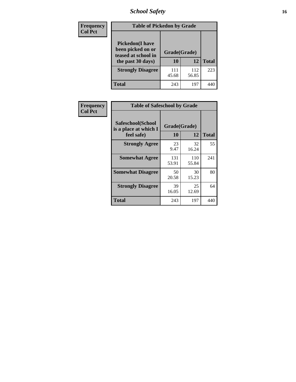# *School Safety* **16**

| Frequency      |                                                                                          | <b>Table of Pickedon by Grade</b> |              |              |  |  |  |  |  |  |  |  |
|----------------|------------------------------------------------------------------------------------------|-----------------------------------|--------------|--------------|--|--|--|--|--|--|--|--|
| <b>Col Pct</b> | <b>Pickedon</b> (I have<br>been picked on or<br>teased at school in<br>the past 30 days) | Grade(Grade)<br>10                | 12           | <b>Total</b> |  |  |  |  |  |  |  |  |
|                | <b>Strongly Disagree</b>                                                                 | 111<br>45.68                      | 112<br>56.85 | 223          |  |  |  |  |  |  |  |  |
|                | Total                                                                                    | 243                               | 197          | 44           |  |  |  |  |  |  |  |  |

| Frequency      | <b>Table of Safeschool by Grade</b>                      |                    |              |              |
|----------------|----------------------------------------------------------|--------------------|--------------|--------------|
| <b>Col Pct</b> | Safeschool(School<br>is a place at which I<br>feel safe) | Grade(Grade)<br>10 | 12           | <b>Total</b> |
|                | <b>Strongly Agree</b>                                    | 23<br>9.47         | 32<br>16.24  | 55           |
|                | <b>Somewhat Agree</b>                                    | 131<br>53.91       | 110<br>55.84 | 241          |
|                | <b>Somewhat Disagree</b>                                 | 50<br>20.58        | 30<br>15.23  | 80           |
|                | <b>Strongly Disagree</b>                                 | 39<br>16.05        | 25<br>12.69  | 64           |
|                | <b>Total</b>                                             | 243                | 197          | 440          |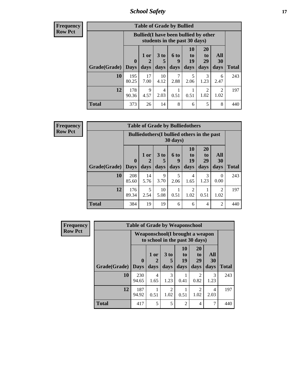*School Safety* **17**

| <b>Table of Grade by Bullied</b> |                       |                                                                               |                              |                   |                        |                               |                          |       |  |  |  |  |
|----------------------------------|-----------------------|-------------------------------------------------------------------------------|------------------------------|-------------------|------------------------|-------------------------------|--------------------------|-------|--|--|--|--|
|                                  |                       | <b>Bullied</b> (I have been bullied by other<br>students in the past 30 days) |                              |                   |                        |                               |                          |       |  |  |  |  |
| Grade(Grade)                     | $\mathbf 0$<br>  Days | 1 or<br>2<br>days                                                             | 3 <sub>to</sub><br>5<br>days | 6 to<br>q<br>days | 10<br>to<br>19<br>days | <b>20</b><br>to<br>29<br>days | All<br><b>30</b><br>days | Total |  |  |  |  |
| 10                               | 195<br>80.25          | 17<br>7.00                                                                    | 10<br>4.12                   | 2.88              | 5<br>2.06              | 3<br>1.23                     | 6<br>2.47                | 243   |  |  |  |  |
| 12                               | 178<br>90.36          | 9<br>4.57                                                                     | 4<br>2.03                    | 0.51              | 0.51                   | 2<br>1.02                     | $\mathfrak{D}$<br>1.02   | 197   |  |  |  |  |
| <b>Total</b>                     | 373                   | 26                                                                            | 14                           | 8                 | 6                      | 5                             | 8                        | 440   |  |  |  |  |

| <b>Frequency</b> |              |              |            | <b>Table of Grade by Bulliedothers</b>      |                  |                        |                                   |                  |              |
|------------------|--------------|--------------|------------|---------------------------------------------|------------------|------------------------|-----------------------------------|------------------|--------------|
| <b>Row Pct</b>   |              |              |            | Bulliedothers (I bullied others in the past | 30 days)         |                        |                                   |                  |              |
|                  |              | $\mathbf{0}$ | 1 or<br>2  | 3 <sub>to</sub><br>5                        | <b>6 to</b><br>9 | <b>10</b><br>to<br>19  | <b>20</b><br>t <sub>0</sub><br>29 | All<br>30        |              |
|                  | Grade(Grade) | <b>Days</b>  | days       | days                                        | days             | days                   | days                              | days             | <b>Total</b> |
|                  | 10           | 208<br>85.60 | 14<br>5.76 | 9<br>3.70                                   | 5<br>2.06        | $\overline{4}$<br>1.65 | 3<br>1.23                         | $\Omega$<br>0.00 | 243          |
|                  | 12           | 176<br>89.34 | 5<br>2.54  | 10<br>5.08                                  | 1<br>0.51        | 2<br>1.02              | 0.51                              | 2<br>1.02        | 197          |
|                  | <b>Total</b> | 384          | 19         | 19                                          | 6                | 6                      | 4                                 | $\mathfrak{D}$   | 440          |

| <b>Frequency</b> |              | <b>Table of Grade by Weaponschool</b> |                                                                    |                        |                        |                                           |                   |              |
|------------------|--------------|---------------------------------------|--------------------------------------------------------------------|------------------------|------------------------|-------------------------------------------|-------------------|--------------|
| <b>Row Pct</b>   |              |                                       | Weaponschool (I brought a weapon<br>to school in the past 30 days) |                        |                        |                                           |                   |              |
|                  | Grade(Grade) | $\bf{0}$<br><b>Days</b>               | 1 or<br>days                                                       | 3 to<br>days           | 10<br>to<br>19<br>days | <b>20</b><br>t <sub>0</sub><br>29<br>days | All<br>30<br>days | <b>Total</b> |
|                  | 10           | 230<br>94.65                          | 4<br>1.65                                                          | 3<br>1.23              | 0.41                   | $\mathcal{D}_{\mathcal{L}}$<br>0.82       | 3<br>1.23         | 243          |
|                  | 12           | 187<br>94.92                          | 0.51                                                               | $\mathfrak{D}$<br>1.02 | 0.51                   | $\mathfrak{D}$<br>1.02                    | 4<br>2.03         | 197          |
|                  | <b>Total</b> | 417                                   | 5                                                                  | 5                      | $\mathfrak{D}$         | $\overline{4}$                            | 7                 | 440          |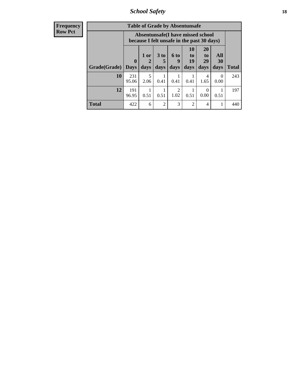*School Safety* **18**

| <b>Frequency</b> |              |                  | <b>Table of Grade by Absentunsafe</b>                                           |                      |                  |                                 |                                   |                  |              |  |  |
|------------------|--------------|------------------|---------------------------------------------------------------------------------|----------------------|------------------|---------------------------------|-----------------------------------|------------------|--------------|--|--|
| Row Pct          |              |                  | Absentunsafe(I have missed school<br>because I felt unsafe in the past 30 days) |                      |                  |                                 |                                   |                  |              |  |  |
|                  |              | $\boldsymbol{0}$ | 1 or<br>2                                                                       | 3 <sub>to</sub><br>5 | <b>6 to</b><br>9 | <b>10</b><br>$\mathbf{t}$<br>19 | <b>20</b><br>t <sub>0</sub><br>29 | All<br>30        |              |  |  |
|                  | Grade(Grade) | <b>Days</b>      | days                                                                            | days                 | days             | days                            | days                              | days             | <b>Total</b> |  |  |
|                  | 10           | 231<br>95.06     | 5<br>2.06                                                                       | 0.41                 | 0.41             | 0.41                            | 4<br>1.65                         | $\Omega$<br>0.00 | 243          |  |  |
|                  | 12           | 191<br>96.95     | 1<br>0.51                                                                       | 0.51                 | 2<br>1.02        | 0.51                            | $\Omega$<br>0.00                  | 0.51             | 197          |  |  |
|                  | <b>Total</b> | 422              | 6                                                                               | $\overline{2}$       | 3                | $\overline{2}$                  | 4                                 |                  | 440          |  |  |
|                  |              |                  |                                                                                 |                      |                  |                                 |                                   |                  |              |  |  |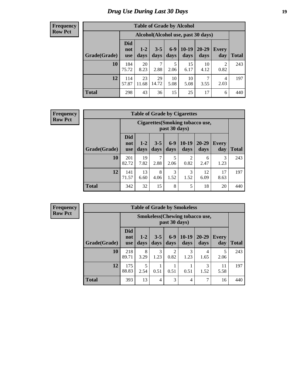# *Drug Use During Last 30 Days* **19**

#### **Frequency Row Pct**

| <b>Table of Grade by Alcohol</b> |                                 |                                     |                 |               |                 |                   |                     |       |  |  |  |  |
|----------------------------------|---------------------------------|-------------------------------------|-----------------|---------------|-----------------|-------------------|---------------------|-------|--|--|--|--|
|                                  |                                 | Alcohol (Alcohol use, past 30 days) |                 |               |                 |                   |                     |       |  |  |  |  |
| Grade(Grade)                     | <b>Did</b><br>not<br><b>use</b> | $1 - 2$<br>days                     | $3 - 5$<br>days | $6-9$<br>days | $10-19$<br>days | $20 - 29$<br>days | <b>Every</b><br>day | Total |  |  |  |  |
| 10                               | 184<br>75.72                    | 20<br>8.23                          | 7<br>2.88       | 5<br>2.06     | 15<br>6.17      | 10<br>4.12        | 2<br>0.82           | 243   |  |  |  |  |
| 12                               | 114<br>57.87                    | 23<br>11.68                         | 29<br>14.72     | 10<br>5.08    | 10<br>5.08      | 7<br>3.55         | 4<br>2.03           | 197   |  |  |  |  |
| <b>Total</b>                     | 298                             | 43                                  | 36              | 15            | 25              | 17                | 6                   | 440   |  |  |  |  |

#### **Frequency Row Pct**

| <b>Table of Grade by Cigarettes</b> |              |                                                                                                                                                                                                                          |           |           |           |           |           |     |  |  |  |
|-------------------------------------|--------------|--------------------------------------------------------------------------------------------------------------------------------------------------------------------------------------------------------------------------|-----------|-----------|-----------|-----------|-----------|-----|--|--|--|
|                                     |              | Cigarettes (Smoking tobacco use,<br>past 30 days)<br><b>Did</b><br>$6 - 9$<br>$10-19$<br>20-29<br>$3 - 5$<br>$1 - 2$<br><b>Every</b><br>not<br>days<br><b>Total</b><br>days<br>day<br>days<br>days<br>days<br><b>use</b> |           |           |           |           |           |     |  |  |  |
| Grade(Grade)                        |              |                                                                                                                                                                                                                          |           |           |           |           |           |     |  |  |  |
| 10                                  | 201<br>82.72 | 19<br>7.82                                                                                                                                                                                                               | 7<br>2.88 | 5<br>2.06 | 2<br>0.82 | 6<br>2.47 | 3<br>1.23 | 243 |  |  |  |
| 12                                  | 141<br>71.57 | 3<br>13<br>8<br>3<br>12<br>17<br>1.52<br>1.52<br>6.09<br>4.06<br>8.63<br>6.60                                                                                                                                            |           |           |           |           |           |     |  |  |  |
| <b>Total</b>                        | 342          | 32                                                                                                                                                                                                                       | 15        | 8         | 5         | 18        | 20        | 440 |  |  |  |

| <b>Table of Grade by Smokeless</b> |                                                                                                                                                                |                                                        |           |           |                |           |            |     |  |  |  |
|------------------------------------|----------------------------------------------------------------------------------------------------------------------------------------------------------------|--------------------------------------------------------|-----------|-----------|----------------|-----------|------------|-----|--|--|--|
|                                    |                                                                                                                                                                | <b>Smokeless</b> (Chewing tobaccouse,<br>past 30 days) |           |           |                |           |            |     |  |  |  |
| Grade(Grade)                       | <b>Did</b><br>$10-19$<br>$3 - 5$<br>$6-9$<br>$20 - 29$<br>$1 - 2$<br>Every<br>not<br><b>Total</b><br>days<br>days<br>day<br>days<br>days<br>days<br><b>use</b> |                                                        |           |           |                |           |            |     |  |  |  |
| 10                                 | 218<br>89.71                                                                                                                                                   | 8<br>3.29                                              | 3<br>1.23 | 2<br>0.82 | 3<br>1.23      | 4<br>1.65 | 5<br>2.06  | 243 |  |  |  |
| 12                                 | 175<br>88.83                                                                                                                                                   | 5<br>2.54                                              | 0.51      | 0.51      | 0.51           | 3<br>1.52 | 11<br>5.58 | 197 |  |  |  |
| <b>Total</b>                       | 393                                                                                                                                                            | 13                                                     | 4         | 3         | $\overline{4}$ |           | 16         | 440 |  |  |  |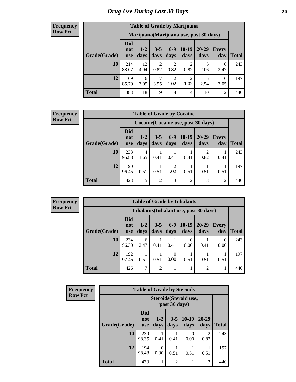#### **Frequency Row Pct**

| <b>Table of Grade by Marijuana</b> |                                 |                                         |                        |                        |                        |               |              |       |  |  |  |  |
|------------------------------------|---------------------------------|-----------------------------------------|------------------------|------------------------|------------------------|---------------|--------------|-------|--|--|--|--|
|                                    |                                 | Marijuana (Marijuana use, past 30 days) |                        |                        |                        |               |              |       |  |  |  |  |
| Grade(Grade)                       | <b>Did</b><br>not<br><b>use</b> | $1 - 2$<br>days                         | $3 - 5$<br>days        | $6 - 9$<br>days        | $10-19$<br>days        | 20-29<br>days | Every<br>day | Total |  |  |  |  |
| 10                                 | 214<br>88.07                    | 12<br>4.94                              | $\overline{2}$<br>0.82 | $\overline{c}$<br>0.82 | $\overline{c}$<br>0.82 | 5<br>2.06     | 6<br>2.47    | 243   |  |  |  |  |
| 12                                 | 169<br>85.79                    | 6<br>3.05                               | 7<br>3.55              | $\overline{2}$<br>1.02 | $\overline{2}$<br>1.02 | 5<br>2.54     | 6<br>3.05    | 197   |  |  |  |  |
| <b>Total</b>                       | 383                             | 18                                      | 9                      | 4                      | 4                      | 10            | 12           | 440   |  |  |  |  |

#### **Frequency Row Pct**

| <b>Table of Grade by Cocaine</b> |                                 |                                                                                                                           |                |           |                |      |      |     |  |  |  |
|----------------------------------|---------------------------------|---------------------------------------------------------------------------------------------------------------------------|----------------|-----------|----------------|------|------|-----|--|--|--|
|                                  |                                 | Cocaine (Cocaine use, past 30 days)                                                                                       |                |           |                |      |      |     |  |  |  |
| Grade(Grade)                     | <b>Did</b><br>not<br><b>use</b> | $6 - 9$<br>$10-19$<br>20-29<br>$1 - 2$<br>$3 - 5$<br><b>Every</b><br>days<br>days<br>days<br>day<br>Total<br>days<br>days |                |           |                |      |      |     |  |  |  |
| 10                               | 233<br>95.88                    | 4<br>1.65                                                                                                                 | 0.41           | 0.41      | 0.41           | 0.82 | 0.41 | 243 |  |  |  |
| 12                               | 190<br>96.45                    | 0.51                                                                                                                      | 0.51           | 2<br>1.02 | 0.51           | 0.51 | 0.51 | 197 |  |  |  |
| <b>Total</b>                     | 423                             | 5                                                                                                                         | $\overline{2}$ | 3         | $\overline{2}$ | 3    | 2    | 440 |  |  |  |

| <b>Table of Grade by Inhalants</b>     |                                 |                 |                 |               |                  |                   |                     |              |
|----------------------------------------|---------------------------------|-----------------|-----------------|---------------|------------------|-------------------|---------------------|--------------|
| Inhalants (Inhalant use, past 30 days) |                                 |                 |                 |               |                  |                   |                     |              |
| Grade(Grade)                           | <b>Did</b><br>not<br><b>use</b> | $1 - 2$<br>days | $3 - 5$<br>days | $6-9$<br>days | $10-19$<br>days  | $20 - 29$<br>days | <b>Every</b><br>day | <b>Total</b> |
| 10                                     | 234<br>96.30                    | 6<br>2.47       | 0.41            | 0.41          | $\Omega$<br>0.00 | 0.41              | 0<br>0.00           | 243          |
| 12                                     | 192<br>97.46                    | 0.51            | 0.51            | 0.00          | 0.51             | 0.51              | 0.51                | 197          |
| Total                                  | 426                             | 7               | $\overline{2}$  |               |                  | $\overline{2}$    |                     | 440          |

| <b>Frequency</b> | <b>Table of Grade by Steroids</b> |                                                |                 |                 |                           |                        |              |
|------------------|-----------------------------------|------------------------------------------------|-----------------|-----------------|---------------------------|------------------------|--------------|
| <b>Row Pct</b>   |                                   | <b>Steroids</b> (Steroid use,<br>past 30 days) |                 |                 |                           |                        |              |
|                  | Grade(Grade)                      | <b>Did</b><br>not<br><b>use</b>                | $1 - 2$<br>days | $3 - 5$<br>days | $10-19$<br>days           | 20-29<br>days          | <b>Total</b> |
|                  | 10                                | 239<br>98.35                                   | 0.41            | 0.41            | $\mathbf{\Omega}$<br>0.00 | $\mathfrak{D}$<br>0.82 | 243          |
|                  | 12                                | 194<br>98.48                                   | 0.00            | 0.51            | 0.51                      | 0.51                   | 197          |
|                  | <b>Total</b>                      | 433                                            |                 | $\overline{2}$  |                           | 3                      | 440          |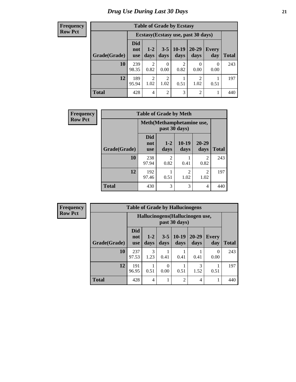**Frequency Row Pct**

| <b>Table of Grade by Ecstasy</b> |                          |                                     |                        |                 |                        |                     |              |  |
|----------------------------------|--------------------------|-------------------------------------|------------------------|-----------------|------------------------|---------------------|--------------|--|
|                                  |                          | Ecstasy (Ecstasy use, past 30 days) |                        |                 |                        |                     |              |  |
| Grade(Grade)                     | Did<br>not<br><b>use</b> | $1-2$<br>days                       | $3 - 5$<br>days        | $10-19$<br>days | 20-29<br>days          | <b>Every</b><br>day | <b>Total</b> |  |
| 10                               | 239<br>98.35             | $\overline{c}$<br>0.82              | 0.00                   | 2<br>0.82       | 0.00                   | 0<br>0.00           | 243          |  |
| 12                               | 189<br>95.94             | $\overline{c}$<br>1.02              | $\mathfrak{D}$<br>1.02 | 0.51            | $\mathfrak{D}$<br>1.02 | 0.51                | 197          |  |
| <b>Total</b>                     | 428                      | 4                                   | $\mathfrak{D}$         | 3               | $\overline{2}$         |                     | 440          |  |

| Frequency      | <b>Table of Grade by Meth</b> |                                 |                                            |                        |                        |              |  |  |
|----------------|-------------------------------|---------------------------------|--------------------------------------------|------------------------|------------------------|--------------|--|--|
| <b>Row Pct</b> |                               |                                 | Meth(Methamphetamine use,<br>past 30 days) |                        |                        |              |  |  |
|                | Grade(Grade)                  | <b>Did</b><br>not<br><b>use</b> | $1 - 2$<br>days                            | $10-19$<br>days        | 20-29<br>days          | <b>Total</b> |  |  |
|                | 10                            | 238<br>97.94                    | $\overline{2}$<br>0.82                     | 0.41                   | $\overline{2}$<br>0.82 | 243          |  |  |
|                | 12                            | 192<br>97.46                    | 0.51                                       | $\overline{c}$<br>1.02 | $\mathfrak{D}$<br>1.02 | 197          |  |  |
|                | <b>Total</b>                  | 430                             | 3                                          | 3                      | 4                      | 440          |  |  |

| Frequency<br><b>Table of Grade by Hallucinogens</b> |              |                                                   |                       |                 |                 |                   |                     |              |
|-----------------------------------------------------|--------------|---------------------------------------------------|-----------------------|-----------------|-----------------|-------------------|---------------------|--------------|
| <b>Row Pct</b>                                      |              | Hallucinogens (Hallucinogen use,<br>past 30 days) |                       |                 |                 |                   |                     |              |
|                                                     | Grade(Grade) | <b>Did</b><br>not<br><b>use</b>                   | $1 - 2$<br>days       | $3 - 5$<br>days | $10-19$<br>days | $20 - 29$<br>days | <b>Every</b><br>day | <b>Total</b> |
|                                                     | 10           | 237<br>97.53                                      | $\mathcal{R}$<br>1.23 | 0.41            | 0.41            | 0.41              | 0<br>0.00           | 243          |
|                                                     | 12           | 191<br>96.95                                      | 0.51                  | 0.00            | 0.51            | 3<br>1.52         | 0.51                | 197          |
|                                                     | <b>Total</b> | 428                                               | $\overline{4}$        |                 | $\overline{2}$  | $\overline{4}$    |                     | 440          |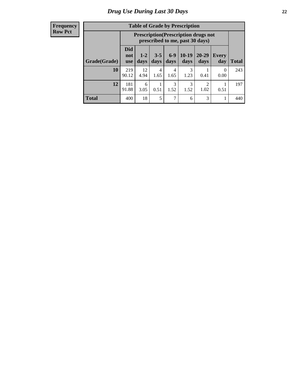| <b>Table of Grade by Prescription</b> |                                                                                                                                            |                                                                                |           |           |           |      |                  |              |  |
|---------------------------------------|--------------------------------------------------------------------------------------------------------------------------------------------|--------------------------------------------------------------------------------|-----------|-----------|-----------|------|------------------|--------------|--|
|                                       |                                                                                                                                            | <b>Prescription</b> (Prescription drugs not<br>prescribed to me, past 30 days) |           |           |           |      |                  |              |  |
| Grade(Grade)                          | <b>Did</b><br>$10-19$<br>$6-9$<br>20-29<br>$3 - 5$<br>$1 - 2$<br>Every<br>not<br>days<br>days<br>days<br>day<br>days<br>days<br><b>use</b> |                                                                                |           |           |           |      |                  | <b>Total</b> |  |
| 10                                    | 219<br>90.12                                                                                                                               | 12<br>4.94                                                                     | 4<br>1.65 | 4<br>1.65 | 3<br>1.23 | 0.41 | $\theta$<br>0.00 | 243          |  |
| 12                                    | 3<br>181<br>3<br>◠<br>6<br>91.88<br>1.52<br>1.52<br>0.51<br>3.05<br>1.02<br>0.51                                                           |                                                                                |           |           |           |      |                  |              |  |
| <b>Total</b>                          | 400                                                                                                                                        | 18                                                                             | 5         | 7         | 6         | 3    |                  | 440          |  |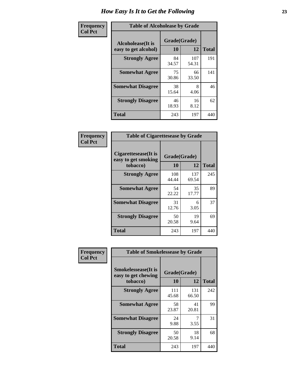| Frequency      | <b>Table of Alcoholease by Grade</b>              |                    |              |              |  |  |  |
|----------------|---------------------------------------------------|--------------------|--------------|--------------|--|--|--|
| <b>Col Pct</b> | <b>Alcoholease</b> (It is<br>easy to get alcohol) | Grade(Grade)<br>10 | 12           | <b>Total</b> |  |  |  |
|                | <b>Strongly Agree</b>                             | 84<br>34.57        | 107<br>54.31 | 191          |  |  |  |
|                | <b>Somewhat Agree</b>                             | 75<br>30.86        | 66<br>33.50  | 141          |  |  |  |
|                | <b>Somewhat Disagree</b>                          | 38<br>15.64        | 8<br>4.06    | 46           |  |  |  |
|                | <b>Strongly Disagree</b>                          | 46<br>18.93        | 16<br>8.12   | 62           |  |  |  |
|                | <b>Total</b>                                      | 243                | 197          | 440          |  |  |  |

| Frequency      | <b>Table of Cigarettesease by Grade</b>                  |                    |              |              |  |  |
|----------------|----------------------------------------------------------|--------------------|--------------|--------------|--|--|
| <b>Col Pct</b> | Cigarettesease (It is<br>easy to get smoking<br>tobacco) | Grade(Grade)<br>10 | 12           | <b>Total</b> |  |  |
|                | <b>Strongly Agree</b>                                    | 108<br>44.44       | 137<br>69.54 | 245          |  |  |
|                | <b>Somewhat Agree</b>                                    | 54<br>22.22        | 35<br>17.77  | 89           |  |  |
|                | <b>Somewhat Disagree</b>                                 | 31<br>12.76        | 6<br>3.05    | 37           |  |  |
|                | <b>Strongly Disagree</b>                                 | 50<br>20.58        | 19<br>9.64   | 69           |  |  |
|                | <b>Total</b>                                             | 243                | 197          | 440          |  |  |

| Frequency      | <b>Table of Smokelessease by Grade</b>                         |                    |              |              |  |  |  |  |
|----------------|----------------------------------------------------------------|--------------------|--------------|--------------|--|--|--|--|
| <b>Col Pct</b> | <b>Smokelessease</b> (It is<br>easy to get chewing<br>tobacco) | Grade(Grade)<br>10 | 12           | <b>Total</b> |  |  |  |  |
|                | <b>Strongly Agree</b>                                          | 111<br>45.68       | 131<br>66.50 | 242          |  |  |  |  |
|                | <b>Somewhat Agree</b>                                          | 58<br>23.87        | 41<br>20.81  | 99           |  |  |  |  |
|                | <b>Somewhat Disagree</b>                                       | 24<br>9.88         | 3.55         | 31           |  |  |  |  |
|                | <b>Strongly Disagree</b>                                       | 50<br>20.58        | 18<br>9.14   | 68           |  |  |  |  |
|                | <b>Total</b>                                                   | 243                | 197          | 440          |  |  |  |  |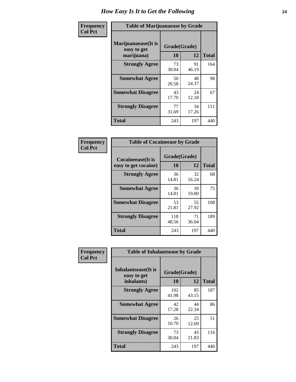| Frequency      | <b>Table of Marijuanaease by Grade</b>           |                    |             |              |  |  |
|----------------|--------------------------------------------------|--------------------|-------------|--------------|--|--|
| <b>Col Pct</b> | Marijuanaease(It is<br>easy to get<br>marijuana) | Grade(Grade)<br>10 | 12          | <b>Total</b> |  |  |
|                | <b>Strongly Agree</b>                            | 73<br>30.04        | 91<br>46.19 | 164          |  |  |
|                | <b>Somewhat Agree</b>                            | 50<br>20.58        | 48<br>24.37 | 98           |  |  |
|                | <b>Somewhat Disagree</b>                         | 43<br>17.70        | 24<br>12.18 | 67           |  |  |
|                | <b>Strongly Disagree</b>                         | 77<br>31.69        | 34<br>17.26 | 111          |  |  |
|                | <b>Total</b>                                     | 243                | 197         | 440          |  |  |

| <b>Table of Cocaineease by Grade</b>      |              |             |     |  |  |  |  |
|-------------------------------------------|--------------|-------------|-----|--|--|--|--|
| Cocaineease(It is<br>easy to get cocaine) | <b>Total</b> |             |     |  |  |  |  |
| <b>Strongly Agree</b>                     | 36<br>14.81  | 32<br>16.24 | 68  |  |  |  |  |
| <b>Somewhat Agree</b>                     | 36<br>14.81  | 39<br>19.80 | 75  |  |  |  |  |
| <b>Somewhat Disagree</b>                  | 53<br>21.81  | 55<br>27.92 | 108 |  |  |  |  |
| <b>Strongly Disagree</b>                  | 118<br>48.56 | 71<br>36.04 | 189 |  |  |  |  |
| <b>Total</b>                              | 243          | 197         | 440 |  |  |  |  |

| Frequency      | <b>Table of Inhalantsease by Grade</b>           |                    |             |              |
|----------------|--------------------------------------------------|--------------------|-------------|--------------|
| <b>Col Pct</b> | Inhalantsease(It is<br>easy to get<br>inhalants) | Grade(Grade)<br>10 | 12          | <b>Total</b> |
|                | <b>Strongly Agree</b>                            | 102<br>41.98       | 85<br>43.15 | 187          |
|                | <b>Somewhat Agree</b>                            | 42<br>17.28        | 44<br>22.34 | 86           |
|                | <b>Somewhat Disagree</b>                         | 26<br>10.70        | 25<br>12.69 | 51           |
|                | <b>Strongly Disagree</b>                         | 73<br>30.04        | 43<br>21.83 | 116          |
|                | <b>Total</b>                                     | 243                | 197         | 440          |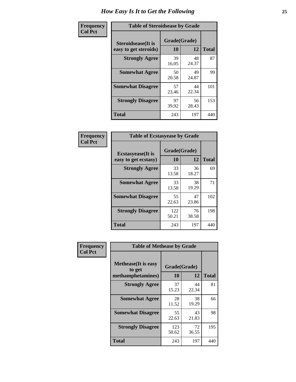| Frequency      | <b>Table of Steroidsease by Grade</b>       |                    |              |     |  |  |  |  |  |  |
|----------------|---------------------------------------------|--------------------|--------------|-----|--|--|--|--|--|--|
| <b>Col Pct</b> | Steroidsease(It is<br>easy to get steroids) | Grade(Grade)<br>10 | <b>Total</b> |     |  |  |  |  |  |  |
|                | <b>Strongly Agree</b>                       | 39<br>16.05        | 48<br>24.37  | 87  |  |  |  |  |  |  |
|                | <b>Somewhat Agree</b>                       | 50<br>20.58        | 49<br>24.87  | 99  |  |  |  |  |  |  |
|                | <b>Somewhat Disagree</b>                    | 57<br>23.46        | 44<br>22.34  | 101 |  |  |  |  |  |  |
|                | <b>Strongly Disagree</b>                    | 97<br>39.92        | 56<br>28.43  | 153 |  |  |  |  |  |  |
|                | <b>Total</b>                                | 243                | 197          | 440 |  |  |  |  |  |  |

| Frequency      | <b>Table of Ecstasyease by Grade</b>              |                    |             |              |
|----------------|---------------------------------------------------|--------------------|-------------|--------------|
| <b>Col Pct</b> | <b>Ecstasyease</b> (It is<br>easy to get ecstasy) | Grade(Grade)<br>10 | 12          | <b>Total</b> |
|                | <b>Strongly Agree</b>                             | 33<br>13.58        | 36<br>18.27 | 69           |
|                | <b>Somewhat Agree</b>                             | 33<br>13.58        | 38<br>19.29 | 71           |
|                | <b>Somewhat Disagree</b>                          | 55<br>22.63        | 47<br>23.86 | 102          |
|                | <b>Strongly Disagree</b>                          | 122<br>50.21       | 76<br>38.58 | 198          |
|                | <b>Total</b>                                      | 243                | 197         | 440          |

| Frequency      | <b>Table of Methease by Grade</b>                          |                    |              |     |
|----------------|------------------------------------------------------------|--------------------|--------------|-----|
| <b>Col Pct</b> | <b>Methease</b> (It is easy<br>to get<br>methamphetamines) | Grade(Grade)<br>10 | <b>Total</b> |     |
|                | <b>Strongly Agree</b>                                      | 37<br>15.23        | 44<br>22.34  | 81  |
|                | <b>Somewhat Agree</b>                                      | 28<br>11.52        | 38<br>19.29  | 66  |
|                | <b>Somewhat Disagree</b>                                   | 55<br>22.63        | 43<br>21.83  | 98  |
|                | <b>Strongly Disagree</b>                                   | 123<br>50.62       | 72<br>36.55  | 195 |
|                | <b>Total</b>                                               | 243                | 197          | 440 |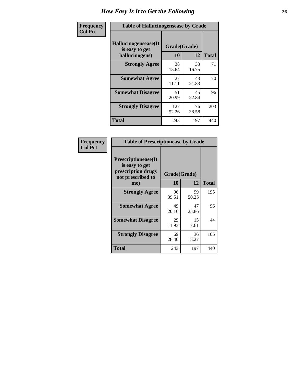| <b>Frequency</b> |                                                          | <b>Table of Hallucinogensease by Grade</b> |             |              |  |  |  |  |  |  |  |
|------------------|----------------------------------------------------------|--------------------------------------------|-------------|--------------|--|--|--|--|--|--|--|
| <b>Col Pct</b>   | Hallucinogensease(It<br>is easy to get<br>hallucinogens) | Grade(Grade)<br>10                         | 12          | <b>Total</b> |  |  |  |  |  |  |  |
|                  | <b>Strongly Agree</b>                                    | 38<br>15.64                                | 33<br>16.75 | 71           |  |  |  |  |  |  |  |
|                  | <b>Somewhat Agree</b>                                    | 27<br>11.11                                | 43<br>21.83 | 70           |  |  |  |  |  |  |  |
|                  | <b>Somewhat Disagree</b>                                 | 51<br>20.99                                | 45<br>22.84 | 96           |  |  |  |  |  |  |  |
|                  | <b>Strongly Disagree</b>                                 | 127<br>52.26                               | 76<br>38.58 | 203          |  |  |  |  |  |  |  |
|                  | <b>Total</b>                                             | 243                                        | 197         | 440          |  |  |  |  |  |  |  |

| Frequency<br>  Col Pct |
|------------------------|

| <b>Table of Prescriptionease by Grade</b>                                                |             |              |              |  |  |  |  |  |  |
|------------------------------------------------------------------------------------------|-------------|--------------|--------------|--|--|--|--|--|--|
| <b>Prescriptionease</b> (It<br>is easy to get<br>prescription drugs<br>not prescribed to |             | Grade(Grade) |              |  |  |  |  |  |  |
| me)                                                                                      | 10          | 12           | <b>Total</b> |  |  |  |  |  |  |
| <b>Strongly Agree</b>                                                                    | 96<br>39.51 | 99<br>50.25  | 195          |  |  |  |  |  |  |
| <b>Somewhat Agree</b>                                                                    | 49<br>20.16 | 47<br>23.86  | 96           |  |  |  |  |  |  |
| <b>Somewhat Disagree</b>                                                                 | 29<br>11.93 | 15<br>7.61   | 44           |  |  |  |  |  |  |
| <b>Strongly Disagree</b>                                                                 | 69<br>28.40 | 36<br>18.27  | 105          |  |  |  |  |  |  |
| Total                                                                                    | 243         | 197          | 440          |  |  |  |  |  |  |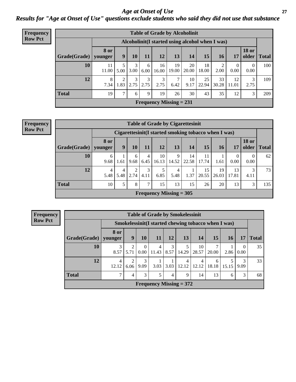### *Age at Onset of Use* **27** *Results for "Age at Onset of Use" questions exclude students who said they did not use that substance*

| Frequency      |              | <b>Table of Grade by Alcoholinit</b> |           |           |           |             |                           |                                                  |             |             |                  |                       |              |  |
|----------------|--------------|--------------------------------------|-----------|-----------|-----------|-------------|---------------------------|--------------------------------------------------|-------------|-------------|------------------|-----------------------|--------------|--|
| <b>Row Pct</b> |              |                                      |           |           |           |             |                           | Alcoholinit (I started using alcohol when I was) |             |             |                  |                       |              |  |
|                | Grade(Grade) | <b>8 or</b><br>younger               | 9         | <b>10</b> | 11        | 12          | 13                        | 14                                               | 15          | <b>16</b>   | 17               | <b>18 or</b><br>older | <b>Total</b> |  |
|                | 10           | 11<br>11.00                          | 5.00      | 3<br>3.00 | 6<br>6.00 | 16<br>16.00 | 19<br>19.00               | 20<br>20.00                                      | 18<br>18.00 | っ<br>2.00   | $\theta$<br>0.00 | $\theta$<br>0.00      | 100          |  |
|                | 12           | 8<br>7.34                            | ◠<br>1.83 | 3<br>2.75 | 3<br>2.75 | 3<br>2.75   | 7<br>6.42                 | 10<br>9.17                                       | 25<br>22.94 | 33<br>30.28 | 12<br>11.01      | 3<br>2.75             | 109          |  |
|                | <b>Total</b> | 19                                   | 7         | 6         | 9         | 19          | 26                        | 30                                               | 43          | 35          | 12               | 3                     | 209          |  |
|                |              |                                      |           |           |           |             | Frequency Missing $= 231$ |                                                  |             |             |                  |                       |              |  |

#### **Frequency Row Pct**

| <b>Table of Grade by Cigarettesinit</b> |                        |                                                      |           |           |                           |            |             |             |             |                        |                       |              |  |  |
|-----------------------------------------|------------------------|------------------------------------------------------|-----------|-----------|---------------------------|------------|-------------|-------------|-------------|------------------------|-----------------------|--------------|--|--|
|                                         |                        | Cigarettesinit(I started smoking tobacco when I was) |           |           |                           |            |             |             |             |                        |                       |              |  |  |
| Grade(Grade)                            | <b>8 or</b><br>younger | 9                                                    | 10        | 11        | 12                        | 13         | 14          | 15          | 16          | 17                     | <b>18 or</b><br>older | <b>Total</b> |  |  |
| 10                                      | 6<br>9.68              | 1.61                                                 | 6<br>9.68 | 4<br>6.45 | 10<br>16.13               | 9<br>14.52 | 14<br>22.58 | 11<br>17.74 | 1.61        | $\overline{0}$<br>0.00 | $\theta$<br>0.00      | 62           |  |  |
| 12                                      | 4<br>5.48              | 5.48                                                 | 2.74      | 3<br>4.11 | 6.85                      | 4<br>5.48  | 1.37        | 15<br>20.55 | 19<br>26.03 | 13<br>17.81            | 3<br>4.11             | 73           |  |  |
| <b>Total</b>                            | 10                     |                                                      | 8         | 7         | 15                        | 13         | 15          | 26          | 20          | 13                     | 3                     | 135          |  |  |
|                                         |                        |                                                      |           |           | Frequency Missing $=$ 305 |            |             |             |             |                        |                       |              |  |  |

| <b>Table of Grade by Smokelessinit</b> |                 |                                                     |                  |            |                |                           |             |            |           |                  |              |  |
|----------------------------------------|-----------------|-----------------------------------------------------|------------------|------------|----------------|---------------------------|-------------|------------|-----------|------------------|--------------|--|
|                                        |                 | Smokelessinit(I started chewing tobacco when I was) |                  |            |                |                           |             |            |           |                  |              |  |
| Grade(Grade)                           | 8 or<br>younger | 9                                                   | 10               | 11         | 12             | 13                        | 14          | 15         | <b>16</b> | 17               | <b>Total</b> |  |
| 10                                     | 3<br>8.57       | 5.71                                                | $\theta$<br>0.00 | 4<br>11.43 | 3<br>8.57      | 5<br>14.29                | 10<br>28.57 | 20.00      | 2.86      | $\Omega$<br>0.00 | 35           |  |
| 12                                     | 4<br>12.12      | 6.06                                                | 3<br>9.09        | 3.03       | 3.03           | 4<br>12.12                | 4<br>12.12  | 6<br>18.18 | 15.15     | 3<br>9.09        | 33           |  |
| <b>Total</b>                           | ┑               | 4                                                   | 3                | 5          | $\overline{4}$ | 9                         | 14          | 13         | 6         | 3                | 68           |  |
|                                        |                 |                                                     |                  |            |                | Frequency Missing $= 372$ |             |            |           |                  |              |  |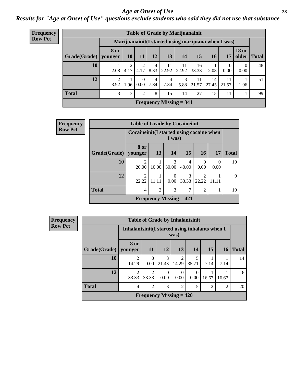#### *Age at Onset of Use* **28**

*Results for "Age at Onset of Use" questions exclude students who said they did not use that substance*

| <b>Frequency</b> |              |                                                      |           |                  |           |             | <b>Table of Grade by Marijuanainit</b> |             |             |                  |                       |              |
|------------------|--------------|------------------------------------------------------|-----------|------------------|-----------|-------------|----------------------------------------|-------------|-------------|------------------|-----------------------|--------------|
| <b>Row Pct</b>   |              | Marijuanainit (I started using marijuana when I was) |           |                  |           |             |                                        |             |             |                  |                       |              |
|                  | Grade(Grade) | <b>8</b> or<br>younger                               | <b>10</b> | <b>11</b>        | 12        | 13          | 14                                     | 15          | <b>16</b>   | 17               | <b>18 or</b><br>older | <b>Total</b> |
|                  | 10           | 2.08                                                 | 4.17      | 4.17             | 4<br>8.33 | 11<br>22.92 | 11<br>22.92                            | 16<br>33.33 | 2.08        | $\Omega$<br>0.00 | $\Omega$<br>0.00      | 48           |
|                  | 12           | 3.92                                                 | 1.96      | $\left($<br>0.00 | 4<br>7.84 | 4<br>7.84   | 3<br>5.88                              | 11<br>21.57 | 14<br>27.45 | 11<br>21.57      | 1.96                  | 51           |
|                  | <b>Total</b> | 3                                                    | 3         | $\overline{2}$   | 8         | 15          | 14                                     | 27          | 15          | 11               |                       | 99           |
|                  |              |                                                      |           |                  |           |             | Frequency Missing $= 341$              |             |             |                  |                       |              |

| Frequency      |                        | <b>Table of Grade by Cocaineinit</b>     |       |                           |            |                         |                  |              |
|----------------|------------------------|------------------------------------------|-------|---------------------------|------------|-------------------------|------------------|--------------|
| <b>Row Pct</b> |                        | Cocaineinit(I started using cocaine when |       | I was)                    |            |                         |                  |              |
|                | Grade(Grade)   younger | <b>8 or</b>                              | 13    | 14                        | <b>15</b>  | <b>16</b>               | 17               | <b>Total</b> |
|                | 10                     | $\mathfrak{D}$<br>20.00                  | 10.00 | 3<br>30.00                | 4<br>40.00 | $\Omega$<br>0.00        | $\theta$<br>0.00 | 10           |
|                | 12                     | $\mathcal{D}_{\mathcal{L}}$<br>22.22     | 11.11 | $\Omega$<br>0.00          | 3<br>33.33 | $\mathfrak{D}$<br>22.22 | 11.11            | 9            |
|                | <b>Total</b>           | 4                                        | 2     | 3                         | 7          | $\overline{2}$          |                  | 19           |
|                |                        |                                          |       | Frequency Missing $= 421$ |            |                         |                  |              |

| Frequency      |  |
|----------------|--|
| <b>Row Pct</b> |  |

|                        |                                                        | <b>Table of Grade by Inhalantsinit</b> |                  |                         |                         |               |                |              |  |
|------------------------|--------------------------------------------------------|----------------------------------------|------------------|-------------------------|-------------------------|---------------|----------------|--------------|--|
|                        | Inhalantsinit(I started using inhalants when I<br>was) |                                        |                  |                         |                         |               |                |              |  |
| Grade(Grade)   younger | 8 or                                                   | <b>11</b>                              | <b>12</b>        | 13                      | 14                      | 15            | <b>16</b>      | <b>Total</b> |  |
| 10                     | $\overline{2}$<br>14.29                                | 0<br>0.00                              | 3<br>21.43       | $\overline{c}$<br>14.29 | $\overline{5}$<br>35.71 | 7.14          | 7.14           | 14           |  |
| 12                     | $\mathfrak{D}$<br>33.33                                | റ<br>33.33                             | $\theta$<br>0.00 | $\Omega$<br>0.00        | $\Omega$<br>0.00        | 16.67         | 16.67          | 6            |  |
| <b>Total</b>           | $\overline{4}$                                         | $\mathfrak{D}$                         | 3                | $\overline{c}$          | 5                       | $\mathcal{D}$ | $\overline{2}$ | 20           |  |
|                        |                                                        | Frequency Missing $= 420$              |                  |                         |                         |               |                |              |  |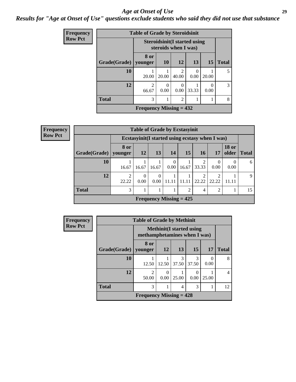#### *Age at Onset of Use* **29**

### *Results for "Age at Onset of Use" questions exclude students who said they did not use that substance*

| Frequency      | <b>Table of Grade by Steroidsinit</b> |                                                             |                  |                         |                  |           |               |  |  |
|----------------|---------------------------------------|-------------------------------------------------------------|------------------|-------------------------|------------------|-----------|---------------|--|--|
| <b>Row Pct</b> |                                       | <b>Steroidsinit(I started using</b><br>steroids when I was) |                  |                         |                  |           |               |  |  |
|                | Grade(Grade)                          | 8 or<br>younger                                             | <b>10</b>        | <b>12</b>               | 13               | <b>15</b> | <b>Total</b>  |  |  |
|                | 10                                    | 20.00                                                       | 20.00            | $\mathfrak{D}$<br>40.00 | $\left($<br>0.00 | 20.00     | 5             |  |  |
|                | 12                                    | $\overline{2}$<br>66.67                                     | $\Omega$<br>0.00 | $\left($<br>0.00        | 33.33            | ∩<br>0.00 | $\mathcal{F}$ |  |  |
|                | <b>Total</b>                          | 3                                                           |                  | $\overline{c}$          |                  |           | 8             |  |  |
|                |                                       | Frequency Missing $= 432$                                   |                  |                         |                  |           |               |  |  |

| Frequency      | <b>Table of Grade by Ecstasyinit</b>             |                         |                  |                  |                  |                           |                         |                |                       |              |  |  |
|----------------|--------------------------------------------------|-------------------------|------------------|------------------|------------------|---------------------------|-------------------------|----------------|-----------------------|--------------|--|--|
| <b>Row Pct</b> | Ecstasyinit (I started using ecstasy when I was) |                         |                  |                  |                  |                           |                         |                |                       |              |  |  |
|                | $Grade(Grade)$ younger                           | 8 or                    | 12               | 13               | 14               | 15                        | <b>16</b>               | 17             | <b>18 or</b><br>older | <b>Total</b> |  |  |
|                | 10                                               | 16.67                   | 16.67            | 16.67            | $\theta$<br>0.00 | 16.67                     | 33.33                   | 0<br>0.00      | 0.00                  | 6            |  |  |
|                | 12                                               | $\overline{c}$<br>22.22 | $\Omega$<br>0.00 | $\Omega$<br>0.00 | 11.11            | 11.11                     | $\overline{2}$<br>22.22 | 22.22          | 11.11                 | $\mathbf Q$  |  |  |
|                | <b>Total</b>                                     | 3                       |                  |                  |                  | ↑                         | $\overline{4}$          | $\overline{2}$ |                       | 15           |  |  |
|                |                                                  |                         |                  |                  |                  | Frequency Missing $= 425$ |                         |                |                       |              |  |  |

| <b>Frequency</b> | <b>Table of Grade by Methinit</b> |                              |           |                                  |            |           |                |  |  |
|------------------|-----------------------------------|------------------------------|-----------|----------------------------------|------------|-----------|----------------|--|--|
| <b>Row Pct</b>   |                                   | methamphetamines when I was) |           | <b>Methinit</b> (I started using |            |           |                |  |  |
|                  | Grade(Grade)   younger            | 8 or                         | <b>12</b> | 13                               | 15         | 17        | <b>Total</b>   |  |  |
|                  | <b>10</b>                         | 12.50                        | 12.50     | 3<br>37.50                       | 3<br>37.50 | 0<br>0.00 | 8              |  |  |
|                  | 12                                | $\mathfrak{D}$<br>50.00      | 0<br>0.00 | 25.00                            | 0.00       | 25.00     | $\overline{4}$ |  |  |
|                  | <b>Total</b>                      | 3                            |           | 4                                | 3          |           | 12             |  |  |
|                  |                                   | Frequency Missing $= 428$    |           |                                  |            |           |                |  |  |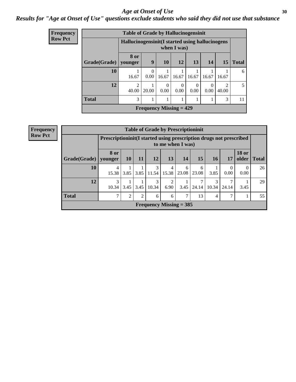#### Age at Onset of Use **30**

### *Results for "Age at Onset of Use" questions exclude students who said they did not use that substance*

| <b>Frequency</b> | <b>Table of Grade by Hallucinogensinit</b> |                                      |                                                                   |           |                  |                  |           |                                      |              |  |  |
|------------------|--------------------------------------------|--------------------------------------|-------------------------------------------------------------------|-----------|------------------|------------------|-----------|--------------------------------------|--------------|--|--|
| <b>Row Pct</b>   |                                            |                                      | Hallucinogensinit (I started using hallucinogens<br>when $I$ was) |           |                  |                  |           |                                      |              |  |  |
|                  | Grade(Grade)   younger                     | 8 or                                 | 9                                                                 | <b>10</b> | <b>12</b>        | 13               | 14        | <b>15</b>                            | <b>Total</b> |  |  |
|                  | 10                                         | 16.67                                | $\Omega$<br>0.00                                                  | 16.67     | 16.67            | 16.67            | 16.67     | 16.67                                | 6            |  |  |
|                  | 12                                         | $\mathcal{D}_{\mathcal{A}}$<br>40.00 | 20.00                                                             | 0<br>0.00 | $\Omega$<br>0.00 | $\Omega$<br>0.00 | 0<br>0.00 | $\mathcal{D}_{\mathcal{A}}$<br>40.00 | 5            |  |  |
|                  | <b>Total</b>                               | 3                                    |                                                                   | 1         |                  |                  |           | 3                                    | 11           |  |  |
|                  |                                            |                                      | <b>Frequency Missing <math>= 429</math></b>                       |           |                  |                  |           |                                      |              |  |  |

| <b>Frequency</b> |
|------------------|
| <b>Row Pct</b>   |

| <b>Table of Grade by Prescriptioninit</b> |            |                                                                                         |                |                           |            |            |            |            |                  |                       |              |
|-------------------------------------------|------------|-----------------------------------------------------------------------------------------|----------------|---------------------------|------------|------------|------------|------------|------------------|-----------------------|--------------|
|                                           |            | Prescriptioninit(I started using prescription drugs not prescribed<br>to me when I was) |                |                           |            |            |            |            |                  |                       |              |
| Grade(Grade)   younger                    | 8 or       | <b>10</b>                                                                               | 11             | 12                        | 13         | 14         | 15         | <b>16</b>  | 17               | <b>18 or</b><br>older | <b>Total</b> |
| 10                                        | 4<br>15.38 | 3.85                                                                                    | 3.85           | 3<br>11.54                | 4<br>15.38 | 6<br>23.08 | 6<br>23.08 | 3.85       | $\theta$<br>0.00 | $\theta$<br>0.00      | 26           |
| 12                                        | 3<br>10.34 | 3.45                                                                                    | 3.45           | 3<br>10.34                | 2<br>6.90  | 3.45       | 24.14      | 3<br>10.34 | 24.14            | 3.45                  | 29           |
| <b>Total</b>                              | 7          | $\overline{2}$                                                                          | $\overline{2}$ | 6                         | 6          | 7          | 13         | 4          | 7                |                       | 55           |
|                                           |            |                                                                                         |                | Frequency Missing $=$ 385 |            |            |            |            |                  |                       |              |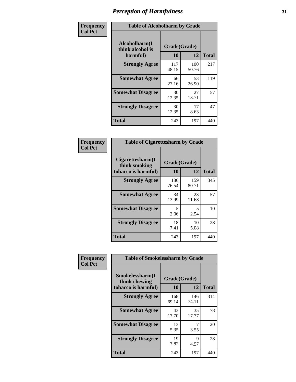| Frequency      | <b>Table of Alcoholharm by Grade</b>          |                    |              |              |
|----------------|-----------------------------------------------|--------------------|--------------|--------------|
| <b>Col Pct</b> | Alcoholharm(I<br>think alcohol is<br>harmful) | Grade(Grade)<br>10 | 12           | <b>Total</b> |
|                | <b>Strongly Agree</b>                         | 117<br>48.15       | 100<br>50.76 | 217          |
|                | <b>Somewhat Agree</b>                         | 66<br>27.16        | 53<br>26.90  | 119          |
|                | <b>Somewhat Disagree</b>                      | 30<br>12.35        | 27<br>13.71  | 57           |
|                | <b>Strongly Disagree</b>                      | 30<br>12.35        | 17<br>8.63   | 47           |
|                | <b>Total</b>                                  | 243                | 197          | 440          |

| <b>Table of Cigarettesharm by Grade</b>                  |                    |              |              |  |  |  |  |  |
|----------------------------------------------------------|--------------------|--------------|--------------|--|--|--|--|--|
| Cigarettesharm(I<br>think smoking<br>tobacco is harmful) | Grade(Grade)<br>10 | 12           | <b>Total</b> |  |  |  |  |  |
| <b>Strongly Agree</b>                                    | 186<br>76.54       | 159<br>80.71 | 345          |  |  |  |  |  |
| <b>Somewhat Agree</b>                                    | 34<br>13.99        | 23<br>11.68  | 57           |  |  |  |  |  |
| <b>Somewhat Disagree</b>                                 | 5<br>2.06          | 5<br>2.54    | 10           |  |  |  |  |  |
| <b>Strongly Disagree</b>                                 | 18<br>7.41         | 10<br>5.08   | 28           |  |  |  |  |  |
| <b>Total</b>                                             | 243                | 197          | 440          |  |  |  |  |  |

| Frequency      | <b>Table of Smokelessharm by Grade</b>                  |                    |              |              |  |  |  |  |  |
|----------------|---------------------------------------------------------|--------------------|--------------|--------------|--|--|--|--|--|
| <b>Col Pct</b> | Smokelessharm(I<br>think chewing<br>tobacco is harmful) | Grade(Grade)<br>10 | 12           | <b>Total</b> |  |  |  |  |  |
|                | <b>Strongly Agree</b>                                   | 168<br>69.14       | 146<br>74.11 | 314          |  |  |  |  |  |
|                | <b>Somewhat Agree</b>                                   | 43<br>17.70        | 35<br>17.77  | 78           |  |  |  |  |  |
|                | <b>Somewhat Disagree</b>                                | 13<br>5.35         | 3.55         | 20           |  |  |  |  |  |
|                | <b>Strongly Disagree</b>                                | 19<br>7.82         | 9<br>4.57    | 28           |  |  |  |  |  |
|                | Total                                                   | 243                | 197          | 440          |  |  |  |  |  |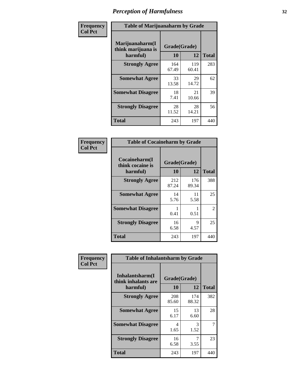| Frequency      |                                                   | <b>Table of Marijuanaharm by Grade</b> |              |              |  |  |
|----------------|---------------------------------------------------|----------------------------------------|--------------|--------------|--|--|
| <b>Col Pct</b> | Marijuanaharm(I<br>think marijuana is<br>harmful) | Grade(Grade)<br>10                     | 12           | <b>Total</b> |  |  |
|                | <b>Strongly Agree</b>                             | 164<br>67.49                           | 119<br>60.41 | 283          |  |  |
|                | <b>Somewhat Agree</b>                             | 33<br>13.58                            | 29<br>14.72  | 62           |  |  |
|                | <b>Somewhat Disagree</b>                          | 18<br>7.41                             | 21<br>10.66  | 39           |  |  |
|                | <b>Strongly Disagree</b>                          | 28<br>11.52                            | 28<br>14.21  | 56           |  |  |
|                | <b>Total</b>                                      | 243                                    | 197          | 440          |  |  |

| <b>Table of Cocaineharm by Grade</b>          |                    |              |               |  |  |  |  |  |
|-----------------------------------------------|--------------------|--------------|---------------|--|--|--|--|--|
| Cocaineharm(I<br>think cocaine is<br>harmful) | Grade(Grade)<br>10 | 12           | <b>Total</b>  |  |  |  |  |  |
| <b>Strongly Agree</b>                         | 212<br>87.24       | 176<br>89.34 | 388           |  |  |  |  |  |
| <b>Somewhat Agree</b>                         | 14<br>5.76         | 11<br>5.58   | 25            |  |  |  |  |  |
| <b>Somewhat Disagree</b>                      | 1<br>0.41          | 0.51         | $\mathcal{L}$ |  |  |  |  |  |
| <b>Strongly Disagree</b>                      | 16<br>6.58         | 9<br>4.57    | 25            |  |  |  |  |  |
| <b>Total</b>                                  | 243                | 197          | 440           |  |  |  |  |  |

| Frequency      | <b>Table of Inhalantsharm by Grade</b>             |                    |              |              |
|----------------|----------------------------------------------------|--------------------|--------------|--------------|
| <b>Col Pct</b> | Inhalantsharm(I<br>think inhalants are<br>harmful) | Grade(Grade)<br>10 | 12           | <b>Total</b> |
|                | <b>Strongly Agree</b>                              | 208<br>85.60       | 174<br>88.32 | 382          |
|                | <b>Somewhat Agree</b>                              | 15<br>6.17         | 13<br>6.60   | 28           |
|                | <b>Somewhat Disagree</b>                           | 4<br>1.65          | 3<br>1.52    | 7            |
|                | <b>Strongly Disagree</b>                           | 16<br>6.58         | 7<br>3.55    | 23           |
|                | <b>Total</b>                                       | 243                | 197          | 440          |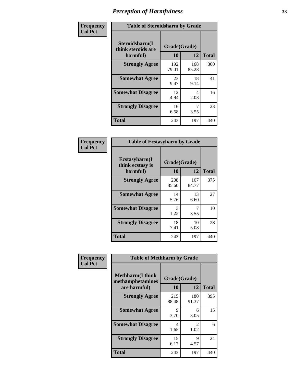| Frequency      | <b>Table of Steroidsharm by Grade</b>            |                    |              |              |
|----------------|--------------------------------------------------|--------------------|--------------|--------------|
| <b>Col Pct</b> | Steroidsharm(I<br>think steroids are<br>harmful) | Grade(Grade)<br>10 | 12           | <b>Total</b> |
|                | <b>Strongly Agree</b>                            | 192<br>79.01       | 168<br>85.28 | 360          |
|                | <b>Somewhat Agree</b>                            | 23<br>9.47         | 18<br>9.14   | 41           |
|                | <b>Somewhat Disagree</b>                         | 12<br>4.94         | 4<br>2.03    | 16           |
|                | <b>Strongly Disagree</b>                         | 16<br>6.58         | 3.55         | 23           |
|                | <b>Total</b>                                     | 243                | 197          | 440          |

| <b>Table of Ecstasyharm by Grade</b>          |                    |              |     |  |  |
|-----------------------------------------------|--------------------|--------------|-----|--|--|
| Ecstasyharm(I<br>think ecstasy is<br>harmful) | Grade(Grade)<br>10 | <b>Total</b> |     |  |  |
| <b>Strongly Agree</b>                         | 208<br>85.60       | 167<br>84.77 | 375 |  |  |
| <b>Somewhat Agree</b>                         | 14<br>5.76         | 13<br>6.60   | 27  |  |  |
| <b>Somewhat Disagree</b>                      | 3<br>1.23          | 7<br>3.55    | 10  |  |  |
| <b>Strongly Disagree</b>                      | 18<br>7.41         | 10<br>5.08   | 28  |  |  |
| <b>Total</b>                                  | 243                | 197          | 440 |  |  |

| Frequency      | <b>Table of Methharm by Grade</b>                            |                    |              |              |  |
|----------------|--------------------------------------------------------------|--------------------|--------------|--------------|--|
| <b>Col Pct</b> | <b>Methharm</b> (I think<br>methamphetamines<br>are harmful) | Grade(Grade)<br>10 | 12           | <b>Total</b> |  |
|                | <b>Strongly Agree</b>                                        | 215<br>88.48       | 180<br>91.37 | 395          |  |
|                | <b>Somewhat Agree</b>                                        | 9<br>3.70          | 6<br>3.05    | 15           |  |
|                | <b>Somewhat Disagree</b>                                     | 4<br>1.65          | 2<br>1.02    | 6            |  |
|                | <b>Strongly Disagree</b>                                     | 15<br>6.17         | 9<br>4.57    | 24           |  |
|                | <b>Total</b>                                                 | 243                | 197          | 440          |  |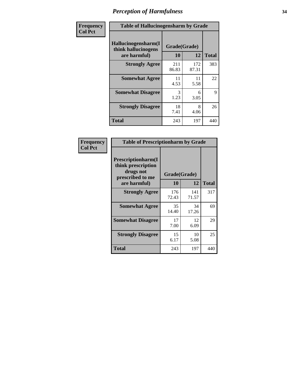| Frequency      | <b>Table of Hallucinogensharm by Grade</b>                 |                    |              |              |
|----------------|------------------------------------------------------------|--------------------|--------------|--------------|
| <b>Col Pct</b> | Hallucinogensharm(I<br>think hallucinogens<br>are harmful) | Grade(Grade)<br>10 | 12           | <b>Total</b> |
|                | <b>Strongly Agree</b>                                      | 211<br>86.83       | 172<br>87.31 | 383          |
|                | <b>Somewhat Agree</b>                                      | 11<br>4.53         | 11<br>5.58   | 22           |
|                | <b>Somewhat Disagree</b>                                   | 3<br>1.23          | 6<br>3.05    | 9            |
|                | <b>Strongly Disagree</b>                                   | 18<br>7.41         | 8<br>4.06    | 26           |
|                | <b>Total</b>                                               | 243                | 197          | 440          |

| <b>Table of Prescriptionharm by Grade</b>                                         |              |              |              |  |
|-----------------------------------------------------------------------------------|--------------|--------------|--------------|--|
| <b>Prescriptionharm</b> (I<br>think prescription<br>drugs not<br>prescribed to me | Grade(Grade) |              |              |  |
| are harmful)                                                                      | 10           | 12           | <b>Total</b> |  |
| <b>Strongly Agree</b>                                                             | 176<br>72.43 | 141<br>71.57 | 317          |  |
| <b>Somewhat Agree</b>                                                             | 35<br>14.40  | 34<br>17.26  | 69           |  |
| <b>Somewhat Disagree</b>                                                          | 17<br>7.00   | 12<br>6.09   | 29           |  |
| <b>Strongly Disagree</b>                                                          | 15<br>6.17   | 10<br>5.08   | 25           |  |
| <b>Total</b>                                                                      | 243          | 197          | 440          |  |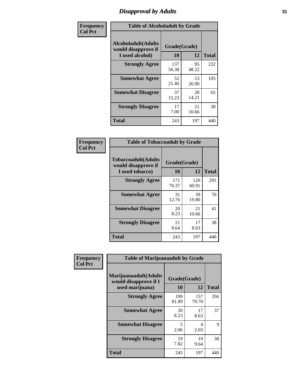# *Disapproval by Adults* **35**

| Frequency      | <b>Table of Alcoholadult by Grade</b>                                 |                    |             |              |
|----------------|-----------------------------------------------------------------------|--------------------|-------------|--------------|
| <b>Col Pct</b> | <b>Alcoholadult</b> (Adults<br>would disapprove if<br>I used alcohol) | Grade(Grade)<br>10 | 12          | <b>Total</b> |
|                | <b>Strongly Agree</b>                                                 | 137<br>56.38       | 95<br>48.22 | 232          |
|                | <b>Somewhat Agree</b>                                                 | 52<br>21.40        | 53<br>26.90 | 105          |
|                | <b>Somewhat Disagree</b>                                              | 37<br>15.23        | 28<br>14.21 | 65           |
|                | <b>Strongly Disagree</b>                                              | 17<br>7.00         | 21<br>10.66 | 38           |
|                | <b>Total</b>                                                          | 243                | 197         | 440          |

| <b>Table of Tobaccoadult by Grade</b>                                 |                    |              |              |  |  |
|-----------------------------------------------------------------------|--------------------|--------------|--------------|--|--|
| <b>Tobaccoadult</b> (Adults<br>would disapprove if<br>I used tobacco) | Grade(Grade)<br>10 | 12           | <b>Total</b> |  |  |
| <b>Strongly Agree</b>                                                 | 171<br>70.37       | 120<br>60.91 | 291          |  |  |
| <b>Somewhat Agree</b>                                                 | 31<br>12.76        | 39<br>19.80  | 70           |  |  |
| <b>Somewhat Disagree</b>                                              | 20<br>8.23         | 21<br>10.66  | 41           |  |  |
| <b>Strongly Disagree</b>                                              | 21<br>8.64         | 17<br>8.63   | 38           |  |  |
| <b>Total</b>                                                          | 243                | 197          | 440          |  |  |

| Frequency<br><b>Col Pct</b> | <b>Table of Marijuanaadult by Grade</b>                           |                    |              |              |
|-----------------------------|-------------------------------------------------------------------|--------------------|--------------|--------------|
|                             | Marijuanaadult(Adults<br>would disapprove if I<br>used marijuana) | Grade(Grade)<br>10 | 12           | <b>Total</b> |
|                             | <b>Strongly Agree</b>                                             | 199<br>81.89       | 157<br>79.70 | 356          |
|                             | <b>Somewhat Agree</b>                                             | 20<br>8.23         | 17<br>8.63   | 37           |
|                             | <b>Somewhat Disagree</b>                                          | 5<br>2.06          | 4<br>2.03    | 9            |
|                             | <b>Strongly Disagree</b>                                          | 19<br>7.82         | 19<br>9.64   | 38           |
|                             | <b>Total</b>                                                      | 243                | 197          | 440          |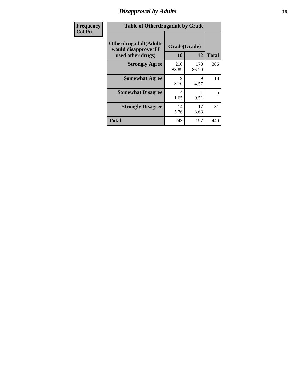# *Disapproval by Adults* **36**

| Frequency      | <b>Table of Otherdrugadult by Grade</b>                                     |                    |              |              |
|----------------|-----------------------------------------------------------------------------|--------------------|--------------|--------------|
| <b>Col Pct</b> | <b>Otherdrugadult</b> (Adults<br>would disapprove if I<br>used other drugs) | Grade(Grade)<br>10 | 12           | <b>Total</b> |
|                | <b>Strongly Agree</b>                                                       | 216<br>88.89       | 170<br>86.29 | 386          |
|                | <b>Somewhat Agree</b>                                                       | 9<br>3.70          | 9<br>4.57    | 18           |
|                | <b>Somewhat Disagree</b>                                                    | 4<br>1.65          | 0.51         | 5            |
|                | <b>Strongly Disagree</b>                                                    | 14<br>5.76         | 17<br>8.63   | 31           |
|                | <b>Total</b>                                                                | 243                | 197          | 440          |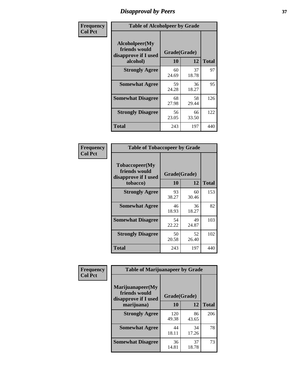# *Disapproval by Peers* **37**

| Frequency      | <b>Table of Alcoholpeer by Grade</b>                    |              |             |              |  |
|----------------|---------------------------------------------------------|--------------|-------------|--------------|--|
| <b>Col Pct</b> | Alcoholpeer(My<br>friends would<br>disapprove if I used | Grade(Grade) |             |              |  |
|                | alcohol)                                                | 10           | 12          | <b>Total</b> |  |
|                | <b>Strongly Agree</b>                                   | 60<br>24.69  | 37<br>18.78 | 97           |  |
|                | <b>Somewhat Agree</b>                                   | 59<br>24.28  | 36<br>18.27 | 95           |  |
|                | <b>Somewhat Disagree</b>                                | 68<br>27.98  | 58<br>29.44 | 126          |  |
|                | <b>Strongly Disagree</b>                                | 56<br>23.05  | 66<br>33.50 | 122          |  |
|                | Total                                                   | 243          | 197         | 440          |  |

| Frequency      | <b>Table of Tobaccopeer by Grade</b>                                |                    |             |              |  |
|----------------|---------------------------------------------------------------------|--------------------|-------------|--------------|--|
| <b>Col Pct</b> | Tobaccopeer(My<br>friends would<br>disapprove if I used<br>tobacco) | Grade(Grade)<br>10 | 12          | <b>Total</b> |  |
|                | <b>Strongly Agree</b>                                               | 93<br>38.27        | 60<br>30.46 | 153          |  |
|                | <b>Somewhat Agree</b>                                               | 46<br>18.93        | 36<br>18.27 | 82           |  |
|                | <b>Somewhat Disagree</b>                                            | 54<br>22.22        | 49<br>24.87 | 103          |  |
|                | <b>Strongly Disagree</b>                                            | 50<br>20.58        | 52<br>26.40 | 102          |  |
|                | Total                                                               | 243                | 197         | 440          |  |

| Frequency      | <b>Table of Marijuanapeer by Grade</b>                    |              |             |              |
|----------------|-----------------------------------------------------------|--------------|-------------|--------------|
| <b>Col Pct</b> | Marijuanapeer(My<br>friends would<br>disapprove if I used | Grade(Grade) |             |              |
|                | marijuana)                                                | 10           | 12          | <b>Total</b> |
|                | <b>Strongly Agree</b>                                     | 120<br>49.38 | 86<br>43.65 | 206          |
|                | <b>Somewhat Agree</b>                                     | 44<br>18.11  | 34<br>17.26 | 78           |
|                | <b>Somewhat Disagree</b>                                  | 36<br>14.81  | 37<br>18.78 | 73           |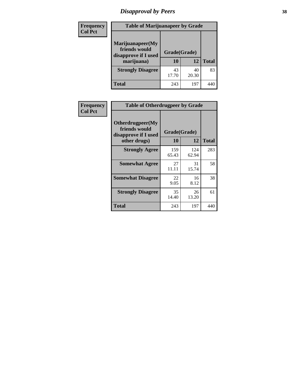# *Disapproval by Peers* **38**

| Frequency<br><b>Col Pct</b> | <b>Table of Marijuanapeer by Grade</b>                                  |                    |             |              |
|-----------------------------|-------------------------------------------------------------------------|--------------------|-------------|--------------|
|                             | Marijuanapeer(My<br>friends would<br>disapprove if I used<br>marijuana) | Grade(Grade)<br>10 | 12          | <b>Total</b> |
|                             | <b>Strongly Disagree</b>                                                | 43<br>17.70        | 40<br>20.30 | 83           |
|                             | Total                                                                   | 243                | 197         | 44           |

| Frequency      | <b>Table of Otherdrugpeer by Grade</b>                                    |                    |              |              |  |
|----------------|---------------------------------------------------------------------------|--------------------|--------------|--------------|--|
| <b>Col Pct</b> | Otherdrugpeer(My<br>friends would<br>disapprove if I used<br>other drugs) | Grade(Grade)<br>10 | 12           | <b>Total</b> |  |
|                | <b>Strongly Agree</b>                                                     | 159<br>65.43       | 124<br>62.94 | 283          |  |
|                | <b>Somewhat Agree</b>                                                     | 27<br>11.11        | 31<br>15.74  | 58           |  |
|                | <b>Somewhat Disagree</b>                                                  | 22<br>9.05         | 16<br>8.12   | 38           |  |
|                | <b>Strongly Disagree</b>                                                  | 35<br>14.40        | 26<br>13.20  | 61           |  |
|                | <b>Total</b>                                                              | 243                | 197          | 440          |  |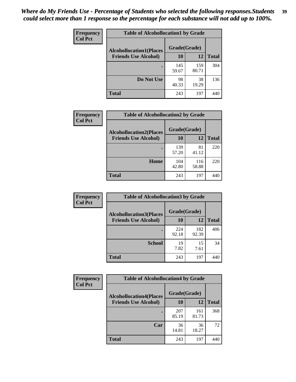| Frequency      | <b>Table of Alcohollocation1 by Grade</b> |              |              |              |
|----------------|-------------------------------------------|--------------|--------------|--------------|
| <b>Col Pct</b> | <b>Alcohollocation1(Places</b>            | Grade(Grade) |              |              |
|                | <b>Friends Use Alcohol)</b>               | 10           | 12           | <b>Total</b> |
|                |                                           | 145<br>59.67 | 159<br>80.71 | 304          |
|                | Do Not Use                                | 98<br>40.33  | 38<br>19.29  | 136          |
|                | <b>Total</b>                              | 243          | 197          | 440          |

| Frequency      | <b>Table of Alcohollocation2 by Grade</b>                     |                    |              |              |
|----------------|---------------------------------------------------------------|--------------------|--------------|--------------|
| <b>Col Pct</b> | <b>Alcohollocation2(Places</b><br><b>Friends Use Alcohol)</b> | Grade(Grade)<br>10 | 12           | <b>Total</b> |
|                |                                                               | 139<br>57.20       | 81<br>41.12  | 220          |
|                | Home                                                          | 104<br>42.80       | 116<br>58.88 | 220          |
|                | Total                                                         | 243                | 197          | 440          |

| <b>Frequency</b> | <b>Table of Alcohollocation 3 by Grade</b> |              |              |              |
|------------------|--------------------------------------------|--------------|--------------|--------------|
| <b>Col Pct</b>   | <b>Alcohollocation3(Places</b>             | Grade(Grade) |              |              |
|                  | <b>Friends Use Alcohol)</b>                | <b>10</b>    | 12           | <b>Total</b> |
|                  |                                            | 224<br>92.18 | 182<br>92.39 | 406          |
|                  | <b>School</b>                              | 19<br>7.82   | 15<br>7.61   | 34           |
|                  | <b>Total</b>                               | 243          | 197          | 440          |

| <b>Frequency</b><br><b>Col Pct</b> | <b>Table of Alcohollocation4 by Grade</b>      |              |              |              |  |
|------------------------------------|------------------------------------------------|--------------|--------------|--------------|--|
|                                    | Grade(Grade)<br><b>Alcohollocation4(Places</b> |              |              |              |  |
|                                    | <b>Friends Use Alcohol)</b>                    | 10           | 12           | <b>Total</b> |  |
|                                    |                                                | 207<br>85.19 | 161<br>81.73 | 368          |  |
|                                    | Car                                            | 36<br>14.81  | 36<br>18.27  | 72           |  |
|                                    | <b>Total</b>                                   | 243          | 197          | 440          |  |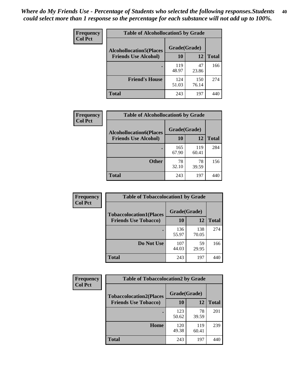| Frequency<br><b>Col Pct</b> | <b>Table of Alcohollocation5 by Grade</b>      |              |              |              |  |
|-----------------------------|------------------------------------------------|--------------|--------------|--------------|--|
|                             | Grade(Grade)<br><b>Alcohollocation5(Places</b> |              |              |              |  |
|                             | <b>Friends Use Alcohol)</b>                    | 10           | 12           | <b>Total</b> |  |
|                             |                                                | 119<br>48.97 | 47<br>23.86  | 166          |  |
|                             | <b>Friend's House</b>                          | 124<br>51.03 | 150<br>76.14 | 274          |  |
|                             | <b>Total</b>                                   | 243          | 197          | 440          |  |

| Frequency      | <b>Table of Alcohollocation6 by Grade</b>                     |                    |              |              |
|----------------|---------------------------------------------------------------|--------------------|--------------|--------------|
| <b>Col Pct</b> | <b>Alcohollocation6(Places</b><br><b>Friends Use Alcohol)</b> | Grade(Grade)<br>10 | 12           | <b>Total</b> |
|                |                                                               | 165<br>67.90       | 119<br>60.41 | 284          |
|                | <b>Other</b>                                                  | 78<br>32.10        | 78<br>39.59  | 156          |
|                | <b>Total</b>                                                  | 243                | 197          | 440          |

| <b>Frequency</b> | <b>Table of Tobaccolocation1 by Grade</b> |              |              |              |
|------------------|-------------------------------------------|--------------|--------------|--------------|
| <b>Col Pct</b>   | <b>Tobaccolocation1(Places</b>            | Grade(Grade) |              |              |
|                  | <b>Friends Use Tobacco)</b>               | 10           | <b>12</b>    | <b>Total</b> |
|                  |                                           | 136<br>55.97 | 138<br>70.05 | 274          |
|                  | Do Not Use                                | 107<br>44.03 | 59<br>29.95  | 166          |
|                  | <b>Total</b>                              | 243          | 197          | 440          |

| Frequency      | <b>Table of Tobaccolocation2 by Grade</b> |              |              |              |  |  |
|----------------|-------------------------------------------|--------------|--------------|--------------|--|--|
| <b>Col Pct</b> | <b>Tobaccolocation2(Places</b>            | Grade(Grade) |              |              |  |  |
|                | <b>Friends Use Tobacco)</b>               | 10           | 12           | <b>Total</b> |  |  |
|                |                                           | 123<br>50.62 | 78<br>39.59  | 201          |  |  |
|                | Home                                      | 120<br>49.38 | 119<br>60.41 | 239          |  |  |
|                | <b>Total</b>                              | 243          | 197          | 440          |  |  |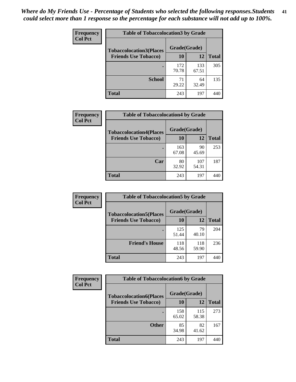| Frequency      | <b>Table of Tobaccolocation 3 by Grade</b> |              |              |              |  |
|----------------|--------------------------------------------|--------------|--------------|--------------|--|
| <b>Col Pct</b> | <b>Tobaccolocation3(Places</b>             | Grade(Grade) |              |              |  |
|                | <b>Friends Use Tobacco)</b>                | 10           | 12           | <b>Total</b> |  |
|                |                                            | 172<br>70.78 | 133<br>67.51 | 305          |  |
|                | <b>School</b>                              | 71<br>29.22  | 64<br>32.49  | 135          |  |
|                | <b>Total</b>                               | 243          | 197          | 440          |  |

| Frequency      | <b>Table of Tobaccolocation4 by Grade</b>                     |                    |              |              |
|----------------|---------------------------------------------------------------|--------------------|--------------|--------------|
| <b>Col Pct</b> | <b>Tobaccolocation4(Places</b><br><b>Friends Use Tobacco)</b> | Grade(Grade)<br>10 | 12           | <b>Total</b> |
|                |                                                               | 163                | 90           | 253          |
|                |                                                               | 67.08              | 45.69        |              |
|                | Car                                                           | 80<br>32.92        | 107<br>54.31 | 187          |
|                | <b>Total</b>                                                  | 243                | 197          | 440          |

| Frequency      | <b>Table of Tobaccolocation5 by Grade</b> |              |              |              |
|----------------|-------------------------------------------|--------------|--------------|--------------|
| <b>Col Pct</b> | <b>Tobaccolocation5(Places</b>            | Grade(Grade) |              |              |
|                | <b>Friends Use Tobacco)</b>               | 10           | 12           | <b>Total</b> |
|                |                                           | 125<br>51.44 | 79<br>40.10  | 204          |
|                | <b>Friend's House</b>                     | 118<br>48.56 | 118<br>59.90 | 236          |
|                | <b>Total</b>                              | 243          | 197          | 440          |

| Frequency      | <b>Table of Tobaccolocation6 by Grade</b> |              |              |              |  |  |
|----------------|-------------------------------------------|--------------|--------------|--------------|--|--|
| <b>Col Pct</b> | <b>Tobaccolocation6(Places</b>            | Grade(Grade) |              |              |  |  |
|                | <b>Friends Use Tobacco)</b>               | 10           | 12           | <b>Total</b> |  |  |
|                |                                           | 158<br>65.02 | 115<br>58.38 | 273          |  |  |
|                | <b>Other</b>                              | 85<br>34.98  | 82<br>41.62  | 167          |  |  |
|                | <b>Total</b>                              | 243          | 197          | 440          |  |  |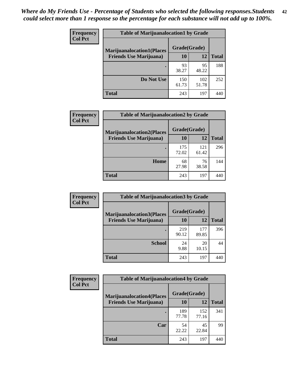| <b>Frequency</b> | <b>Table of Marijuanalocation1 by Grade</b> |              |              |              |
|------------------|---------------------------------------------|--------------|--------------|--------------|
| <b>Col Pct</b>   | <b>Marijuanalocation1(Places</b>            | Grade(Grade) |              |              |
|                  | <b>Friends Use Marijuana</b> )              | 10           | 12           | <b>Total</b> |
|                  |                                             | 93<br>38.27  | 95<br>48.22  | 188          |
|                  | Do Not Use                                  | 150<br>61.73 | 102<br>51.78 | 252          |
|                  | <b>Total</b>                                | 243          | 197          | 44           |

| <b>Frequency</b> | <b>Table of Marijuanalocation2 by Grade</b> |              |              |              |
|------------------|---------------------------------------------|--------------|--------------|--------------|
| <b>Col Pct</b>   | <b>Marijuanalocation2(Places</b>            | Grade(Grade) |              |              |
|                  | <b>Friends Use Marijuana</b> )              | 10           | 12           | <b>Total</b> |
|                  |                                             | 175<br>72.02 | 121<br>61.42 | 296          |
|                  | Home                                        | 68<br>27.98  | 76<br>38.58  | 144          |
|                  | <b>Total</b>                                | 243          | 197          |              |

| Frequency<br><b>Col Pct</b> | <b>Table of Marijuanalocation3 by Grade</b> |              |              |       |
|-----------------------------|---------------------------------------------|--------------|--------------|-------|
|                             | <b>Marijuanalocation3</b> (Places           | Grade(Grade) |              |       |
|                             | <b>Friends Use Marijuana</b> )              | 10           | 12           | Total |
|                             |                                             | 219<br>90.12 | 177<br>89.85 | 396   |
|                             | <b>School</b>                               | 24<br>9.88   | 20<br>10.15  | 44    |
|                             | <b>Total</b>                                | 243          | 197          | 44(   |

| <b>Frequency</b> | <b>Table of Marijuanalocation4 by Grade</b> |              |              |              |  |
|------------------|---------------------------------------------|--------------|--------------|--------------|--|
| <b>Col Pct</b>   | <b>Marijuanalocation4(Places</b>            | Grade(Grade) |              |              |  |
|                  | <b>Friends Use Marijuana</b> )              | <b>10</b>    | 12           | <b>Total</b> |  |
|                  |                                             | 189<br>77.78 | 152<br>77.16 | 341          |  |
|                  | Car                                         | 54<br>22.22  | 45<br>22.84  | 99           |  |
|                  | <b>Total</b>                                | 243          | 197          |              |  |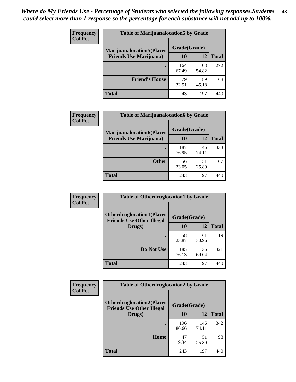| <b>Frequency</b> | <b>Table of Marijuanalocation5 by Grade</b> |              |              |              |
|------------------|---------------------------------------------|--------------|--------------|--------------|
| <b>Col Pct</b>   | <b>Marijuanalocation5</b> (Places           | Grade(Grade) |              |              |
|                  | <b>Friends Use Marijuana</b> )              | 10           | 12           | <b>Total</b> |
|                  |                                             | 164<br>67.49 | 108<br>54.82 | 272          |
|                  | <b>Friend's House</b>                       | 79<br>32.51  | 89<br>45.18  | 168          |
|                  | <b>Total</b>                                | 243          | 197          |              |

| <b>Frequency</b> | <b>Table of Marijuanalocation6 by Grade</b>                        |                    |              |              |
|------------------|--------------------------------------------------------------------|--------------------|--------------|--------------|
| <b>Col Pct</b>   | <b>Marijuanalocation6(Places</b><br><b>Friends Use Marijuana</b> ) | Grade(Grade)<br>10 | 12           | <b>Total</b> |
|                  |                                                                    | 187<br>76.95       | 146<br>74.11 | 333          |
|                  | <b>Other</b>                                                       | 56<br>23.05        | 51<br>25.89  | 107          |
|                  | <b>Total</b>                                                       | 243                | 197          | 440          |

| <b>Frequency</b> | <b>Table of Otherdruglocation1 by Grade</b>                          |              |              |              |
|------------------|----------------------------------------------------------------------|--------------|--------------|--------------|
| <b>Col Pct</b>   | <b>Otherdruglocation1(Places</b><br><b>Friends Use Other Illegal</b> | Grade(Grade) |              |              |
|                  | Drugs)                                                               | 10           | 12           | <b>Total</b> |
|                  |                                                                      | 58<br>23.87  | 61<br>30.96  | 119          |
|                  | Do Not Use                                                           | 185<br>76.13 | 136<br>69.04 | 321          |
|                  | <b>Total</b>                                                         | 243          | 197          | 440          |

| <b>Frequency</b> | <b>Table of Otherdruglocation2 by Grade</b>                          |              |              |              |
|------------------|----------------------------------------------------------------------|--------------|--------------|--------------|
| <b>Col Pct</b>   | <b>Otherdruglocation2(Places</b><br><b>Friends Use Other Illegal</b> | Grade(Grade) |              |              |
|                  | Drugs)                                                               | 10           | 12           | <b>Total</b> |
|                  |                                                                      | 196<br>80.66 | 146<br>74.11 | 342          |
|                  | Home                                                                 | 47<br>19.34  | 51<br>25.89  | 98           |
|                  | <b>Total</b>                                                         | 243          | 197          | 440          |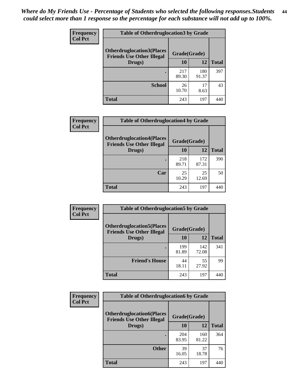| <b>Frequency</b> | <b>Table of Otherdruglocation3 by Grade</b>                          |              |              |              |
|------------------|----------------------------------------------------------------------|--------------|--------------|--------------|
| <b>Col Pct</b>   | <b>Otherdruglocation3(Places</b><br><b>Friends Use Other Illegal</b> | Grade(Grade) |              |              |
|                  | Drugs)                                                               | <b>10</b>    | 12           | <b>Total</b> |
|                  |                                                                      | 217<br>89.30 | 180<br>91.37 | 397          |
|                  | <b>School</b>                                                        | 26<br>10.70  | 17<br>8.63   | 43           |
|                  | <b>Total</b>                                                         | 243          | 197          |              |

| <b>Frequency</b> | <b>Table of Otherdruglocation4 by Grade</b>                                          |              |              |              |
|------------------|--------------------------------------------------------------------------------------|--------------|--------------|--------------|
| <b>Col Pct</b>   | <b>Otherdruglocation4(Places</b><br>Grade(Grade)<br><b>Friends Use Other Illegal</b> |              |              |              |
|                  | Drugs)                                                                               | 10           | 12           | <b>Total</b> |
|                  |                                                                                      | 218<br>89.71 | 172<br>87.31 | 390          |
|                  | Car                                                                                  | 25<br>10.29  | 25<br>12.69  | 50           |
|                  | <b>Total</b>                                                                         | 243          | 197          |              |

| <b>Frequency</b> | <b>Table of Otherdruglocation5 by Grade</b>                          |              |              |              |
|------------------|----------------------------------------------------------------------|--------------|--------------|--------------|
| <b>Col Pct</b>   | <b>Otherdruglocation5(Places</b><br><b>Friends Use Other Illegal</b> | Grade(Grade) |              |              |
|                  | Drugs)                                                               | 10           | 12           | <b>Total</b> |
|                  |                                                                      | 199<br>81.89 | 142<br>72.08 | 341          |
|                  | <b>Friend's House</b>                                                | 44<br>18.11  | 55<br>27.92  | 99           |
|                  | <b>Total</b>                                                         | 243          | 197          | 440          |

| <b>Frequency</b> | <b>Table of Otherdruglocation6 by Grade</b>                          |              |              |              |
|------------------|----------------------------------------------------------------------|--------------|--------------|--------------|
| <b>Col Pct</b>   | <b>Otherdruglocation6(Places</b><br><b>Friends Use Other Illegal</b> | Grade(Grade) |              |              |
|                  | Drugs)                                                               | <b>10</b>    | 12           | <b>Total</b> |
|                  |                                                                      | 204<br>83.95 | 160<br>81.22 | 364          |
|                  | <b>Other</b>                                                         | 39<br>16.05  | 37<br>18.78  | 76           |
|                  | <b>Total</b>                                                         | 243          | 197          | 440          |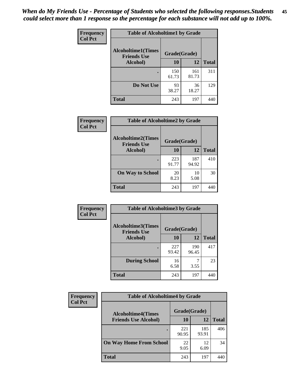| Frequency      | <b>Table of Alcoholtime1 by Grade</b>           |              |              |              |
|----------------|-------------------------------------------------|--------------|--------------|--------------|
| <b>Col Pct</b> | <b>Alcoholtime1(Times</b><br><b>Friends Use</b> | Grade(Grade) |              |              |
|                | Alcohol)                                        | 10           | 12           | <b>Total</b> |
|                |                                                 | 150<br>61.73 | 161<br>81.73 | 311          |
|                | Do Not Use                                      | 93<br>38.27  | 36<br>18.27  | 129          |
|                | <b>Total</b>                                    | 243          | 197          | 440          |

| Frequency      | <b>Table of Alcoholtime2 by Grade</b>           |              |              |              |  |
|----------------|-------------------------------------------------|--------------|--------------|--------------|--|
| <b>Col Pct</b> | <b>Alcoholtime2(Times</b><br><b>Friends Use</b> | Grade(Grade) |              |              |  |
|                | Alcohol)                                        | 10           | 12           | <b>Total</b> |  |
|                |                                                 | 223<br>91.77 | 187<br>94.92 | 410          |  |
|                | <b>On Way to School</b>                         | 20<br>8.23   | 10<br>5.08   | 30           |  |
|                | <b>Total</b>                                    | 243          | 197          | 440          |  |

| Frequency<br><b>Col Pct</b> | <b>Table of Alcoholtime3 by Grade</b>                           |              |              |              |
|-----------------------------|-----------------------------------------------------------------|--------------|--------------|--------------|
|                             | <b>Alcoholtime3(Times</b><br>Grade(Grade)<br><b>Friends Use</b> |              |              |              |
|                             | Alcohol)                                                        | 10           | 12           | <b>Total</b> |
|                             |                                                                 | 227<br>93.42 | 190<br>96.45 | 417          |
|                             | <b>During School</b>                                            | 16<br>6.58   | 3.55         | 23           |
|                             | <b>Total</b>                                                    | 243          | 197          | 440          |

| <b>Frequency</b> | <b>Table of Alcoholtime4 by Grade</b> |              |              |              |  |
|------------------|---------------------------------------|--------------|--------------|--------------|--|
| <b>Col Pct</b>   | <b>Alcoholtime4(Times</b>             | Grade(Grade) |              |              |  |
|                  | <b>Friends Use Alcohol)</b>           | 10           | 12           | <b>Total</b> |  |
|                  |                                       | 221<br>90.95 | 185<br>93.91 | 406          |  |
|                  | <b>On Way Home From School</b>        | 22<br>9.05   | 12<br>6.09   | 34           |  |
|                  | <b>Total</b>                          | 243          | 197          | 440          |  |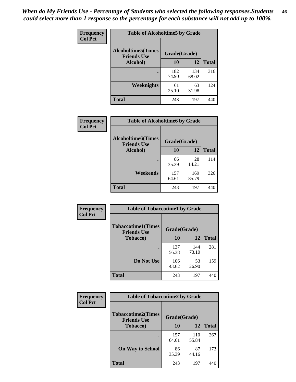*When do My Friends Use - Percentage of Students who selected the following responses.Students could select more than 1 response so the percentage for each substance will not add up to 100%.* **46**

| Frequency      | <b>Table of Alcoholtime5 by Grade</b>           |              |              |              |
|----------------|-------------------------------------------------|--------------|--------------|--------------|
| <b>Col Pct</b> | <b>Alcoholtime5(Times</b><br><b>Friends Use</b> | Grade(Grade) |              |              |
|                | Alcohol)                                        | 10           | 12           | <b>Total</b> |
|                |                                                 | 182<br>74.90 | 134<br>68.02 | 316          |
|                | Weeknights                                      | 61<br>25.10  | 63<br>31.98  | 124          |
|                | <b>Total</b>                                    | 243          | 197          | 440          |

| Frequency      | <b>Table of Alcoholtime6 by Grade</b>           |              |              |              |
|----------------|-------------------------------------------------|--------------|--------------|--------------|
| <b>Col Pct</b> | <b>Alcoholtime6(Times</b><br><b>Friends Use</b> | Grade(Grade) |              |              |
|                | Alcohol)                                        | 10           | 12           | <b>Total</b> |
|                |                                                 | 86<br>35.39  | 28<br>14.21  | 114          |
|                | Weekends                                        | 157<br>64.61 | 169<br>85.79 | 326          |
|                | <b>Total</b>                                    | 243          | 197          | 440          |

| <b>Frequency</b> | <b>Table of Tobaccotime1 by Grade</b>           |              |              |              |
|------------------|-------------------------------------------------|--------------|--------------|--------------|
| <b>Col Pct</b>   | <b>Tobaccotime1(Times</b><br><b>Friends Use</b> | Grade(Grade) |              |              |
|                  | <b>Tobacco</b> )                                | 10           | 12           | <b>Total</b> |
|                  |                                                 | 137<br>56.38 | 144<br>73.10 | 281          |
|                  | Do Not Use                                      | 106<br>43.62 | 53<br>26.90  | 159          |
|                  | <b>Total</b>                                    | 243          | 197          | 440          |

| <b>Frequency</b> | <b>Table of Tobaccotime2 by Grade</b>           |              |              |              |  |
|------------------|-------------------------------------------------|--------------|--------------|--------------|--|
| <b>Col Pct</b>   | <b>Tobaccotime2(Times</b><br><b>Friends Use</b> | Grade(Grade) |              |              |  |
|                  | <b>Tobacco</b> )                                | 10           | 12           | <b>Total</b> |  |
|                  |                                                 | 157<br>64.61 | 110<br>55.84 | 267          |  |
|                  | <b>On Way to School</b>                         | 86<br>35.39  | 87<br>44.16  | 173          |  |
|                  | <b>Total</b>                                    | 243          | 197          | 440          |  |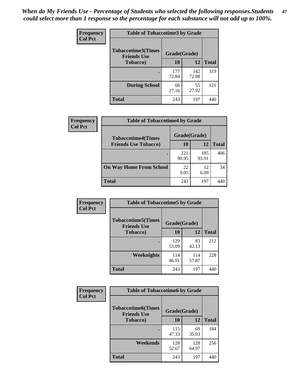*When do My Friends Use - Percentage of Students who selected the following responses.Students could select more than 1 response so the percentage for each substance will not add up to 100%.* **47**

| <b>Frequency</b> | <b>Table of Tobaccotime3 by Grade</b>           |              |              |              |  |
|------------------|-------------------------------------------------|--------------|--------------|--------------|--|
| <b>Col Pct</b>   | <b>Tobaccotime3(Times</b><br><b>Friends Use</b> | Grade(Grade) |              |              |  |
|                  | <b>Tobacco</b> )                                | 10           | 12           | <b>Total</b> |  |
|                  |                                                 | 177<br>72.84 | 142<br>72.08 | 319          |  |
|                  | <b>During School</b>                            | 66<br>27.16  | 55<br>27.92  | 121          |  |
|                  | <b>Total</b>                                    | 243          | 197          | 440          |  |

| <b>Frequency</b><br><b>Col Pct</b> | <b>Table of Tobaccotime4 by Grade</b> |              |              |              |
|------------------------------------|---------------------------------------|--------------|--------------|--------------|
|                                    | <b>Tobaccotime4(Times</b>             | Grade(Grade) |              |              |
|                                    | <b>Friends Use Tobacco)</b>           | 10           | 12           | <b>Total</b> |
|                                    |                                       | 221<br>90.95 | 185<br>93.91 | 406          |
|                                    | <b>On Way Home From School</b>        | 22<br>9.05   | 12<br>6.09   | 34           |
|                                    | <b>Total</b>                          | 243          | 197          |              |

| Frequency      | <b>Table of Tobaccotime5 by Grade</b>            |              |              |              |
|----------------|--------------------------------------------------|--------------|--------------|--------------|
| <b>Col Pct</b> | <b>Tobaccotime5</b> (Times<br><b>Friends Use</b> | Grade(Grade) |              |              |
|                | <b>Tobacco</b> )                                 | 10           | 12           | <b>Total</b> |
|                |                                                  | 129<br>53.09 | 83<br>42.13  | 212          |
|                | Weeknights                                       | 114<br>46.91 | 114<br>57.87 | 228          |
|                | <b>Total</b>                                     | 243          | 197          | 440          |

| Frequency      | <b>Table of Tobaccotime6 by Grade</b>           |              |              |              |  |
|----------------|-------------------------------------------------|--------------|--------------|--------------|--|
| <b>Col Pct</b> | <b>Tobaccotime6(Times</b><br><b>Friends Use</b> | Grade(Grade) |              |              |  |
|                | <b>Tobacco</b> )                                | 10           | 12           | <b>Total</b> |  |
|                | ٠                                               | 115<br>47.33 | 69<br>35.03  | 184          |  |
|                | Weekends                                        | 128<br>52.67 | 128<br>64.97 | 256          |  |
|                | <b>Total</b>                                    | 243          | 197          | 440          |  |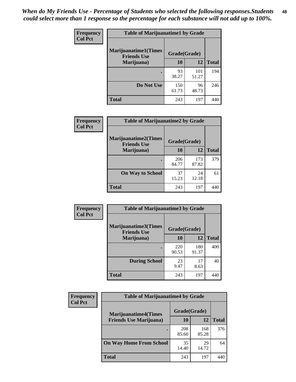| Frequency      | <b>Table of Marijuanatime1 by Grade</b>           |              |              |              |  |
|----------------|---------------------------------------------------|--------------|--------------|--------------|--|
| <b>Col Pct</b> | <b>Marijuanatime1(Times</b><br><b>Friends Use</b> | Grade(Grade) |              |              |  |
|                | Marijuana)                                        | 10           | 12           | <b>Total</b> |  |
|                |                                                   | 93<br>38.27  | 101<br>51.27 | 194          |  |
|                | Do Not Use                                        | 150<br>61.73 | 96<br>48.73  | 246          |  |
|                | <b>Total</b>                                      | 243          | 197          | 440          |  |

| Frequency      | <b>Table of Marijuanatime2 by Grade</b>           |              |              |              |
|----------------|---------------------------------------------------|--------------|--------------|--------------|
| <b>Col Pct</b> | <b>Marijuanatime2(Times</b><br><b>Friends Use</b> | Grade(Grade) |              |              |
|                | Marijuana)                                        | 10           | 12           | <b>Total</b> |
|                |                                                   | 206<br>84.77 | 173<br>87.82 | 379          |
|                | <b>On Way to School</b>                           | 37<br>15.23  | 24<br>12.18  | 61           |
|                | <b>Total</b>                                      | 243          | 197          | 440          |

| Frequency      | <b>Table of Marijuanatime3 by Grade</b>    |              |              |              |
|----------------|--------------------------------------------|--------------|--------------|--------------|
| <b>Col Pct</b> | Marijuanatime3(Times<br><b>Friends Use</b> | Grade(Grade) |              |              |
|                | Marijuana)                                 | 10           | 12           | <b>Total</b> |
|                |                                            | 220<br>90.53 | 180<br>91.37 | 400          |
|                | <b>During School</b>                       | 23<br>9.47   | 17<br>8.63   | 40           |
|                | <b>Total</b>                               | 243          | 197          |              |

| <b>Frequency</b> | <b>Table of Marijuanatime4 by Grade</b> |              |              |              |
|------------------|-----------------------------------------|--------------|--------------|--------------|
| <b>Col Pct</b>   | <b>Marijuanatime4(Times</b>             | Grade(Grade) |              |              |
|                  | <b>Friends Use Marijuana</b> )          | 10           | 12           | <b>Total</b> |
|                  |                                         | 208<br>85.60 | 168<br>85.28 | 376          |
|                  | <b>On Way Home From School</b>          | 35<br>14.40  | 29<br>14.72  | 64           |
|                  | <b>Total</b>                            | 243          | 197          |              |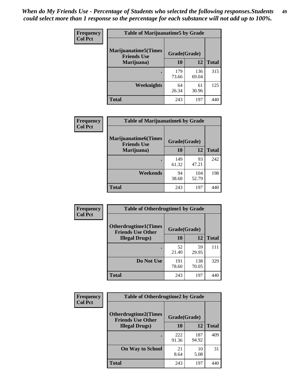| Frequency      | <b>Table of Marijuanatime5 by Grade</b>            |              |              |              |
|----------------|----------------------------------------------------|--------------|--------------|--------------|
| <b>Col Pct</b> | <b>Marijuanatime5</b> (Times<br><b>Friends Use</b> | Grade(Grade) |              |              |
|                | Marijuana)                                         | 10           | <b>12</b>    | <b>Total</b> |
|                |                                                    | 179<br>73.66 | 136<br>69.04 | 315          |
|                | Weeknights                                         | 64<br>26.34  | 61<br>30.96  | 125          |
|                | <b>Total</b>                                       | 243          | 197          | 440          |

| Frequency      | <b>Table of Marijuanatime6 by Grade</b>    |              |              |              |
|----------------|--------------------------------------------|--------------|--------------|--------------|
| <b>Col Pct</b> | Marijuanatime6(Times<br><b>Friends Use</b> | Grade(Grade) |              |              |
|                | Marijuana)                                 | 10           | 12           | <b>Total</b> |
|                |                                            | 149<br>61.32 | 93<br>47.21  | 242          |
|                | Weekends                                   | 94<br>38.68  | 104<br>52.79 | 198          |
|                | <b>Total</b>                               | 243          | 197          | 440          |

| Frequency      | <b>Table of Otherdrugtime1 by Grade</b>                 |              |              |              |  |
|----------------|---------------------------------------------------------|--------------|--------------|--------------|--|
| <b>Col Pct</b> | <b>Otherdrugtime1(Times</b><br><b>Friends Use Other</b> | Grade(Grade) |              |              |  |
|                | <b>Illegal Drugs</b> )                                  | 10           | 12           | <b>Total</b> |  |
|                |                                                         | 52<br>21.40  | 59<br>29.95  | 111          |  |
|                | Do Not Use                                              | 191<br>78.60 | 138<br>70.05 | 329          |  |
|                | Total                                                   | 243          | 197          |              |  |

| Frequency      | <b>Table of Otherdrugtime2 by Grade</b>                 |              |              |              |
|----------------|---------------------------------------------------------|--------------|--------------|--------------|
| <b>Col Pct</b> | <b>Otherdrugtime2(Times</b><br><b>Friends Use Other</b> | Grade(Grade) |              |              |
|                | <b>Illegal Drugs</b> )                                  | 10           | 12           | <b>Total</b> |
|                |                                                         | 222<br>91.36 | 187<br>94.92 | 409          |
|                | <b>On Way to School</b>                                 | 21<br>8.64   | 10<br>5.08   | 31           |
|                | Total                                                   | 243          | 197          | 440          |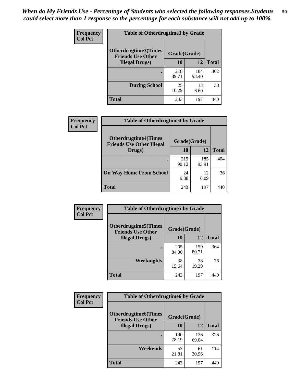| <b>Frequency</b> | <b>Table of Otherdrugtime3 by Grade</b>          |              |              |              |
|------------------|--------------------------------------------------|--------------|--------------|--------------|
| <b>Col Pct</b>   | Otherdrugtime3(Times<br><b>Friends Use Other</b> | Grade(Grade) |              |              |
|                  | <b>Illegal Drugs</b> )                           | 10           | 12           | <b>Total</b> |
|                  |                                                  | 218<br>89.71 | 184<br>93.40 | 402          |
|                  | <b>During School</b>                             | 25<br>10.29  | 13<br>6.60   | 38           |
|                  | Total                                            | 243          | 197          | 440          |

| Frequency      | <b>Table of Otherdrugtime4 by Grade</b>                         |              |              |              |
|----------------|-----------------------------------------------------------------|--------------|--------------|--------------|
| <b>Col Pct</b> | <b>Otherdrugtime4(Times</b><br><b>Friends Use Other Illegal</b> | Grade(Grade) |              |              |
|                | Drugs)                                                          | 10           | 12           | <b>Total</b> |
|                | $\bullet$                                                       | 219<br>90.12 | 185<br>93.91 | 404          |
|                | <b>On Way Home From School</b>                                  | 24<br>9.88   | 12<br>6.09   | 36           |
|                | <b>Total</b>                                                    | 243          | 197          | 440          |

| <b>Frequency</b> | <b>Table of Otherdrugtime5 by Grade</b>                                  |              |              |              |
|------------------|--------------------------------------------------------------------------|--------------|--------------|--------------|
| <b>Col Pct</b>   | <b>Otherdrugtime5</b> (Times<br>Grade(Grade)<br><b>Friends Use Other</b> |              |              |              |
|                  | <b>Illegal Drugs</b> )                                                   | 10           | 12           | <b>Total</b> |
|                  |                                                                          | 205<br>84.36 | 159<br>80.71 | 364          |
|                  | Weeknights                                                               | 38<br>15.64  | 38<br>19.29  | 76           |
|                  | Total                                                                    | 243          | 197          | 440          |

| <b>Frequency</b> | <b>Table of Otherdrugtime6 by Grade</b>                 |              |              |              |
|------------------|---------------------------------------------------------|--------------|--------------|--------------|
| <b>Col Pct</b>   | <b>Otherdrugtime6(Times</b><br><b>Friends Use Other</b> |              | Grade(Grade) |              |
|                  | <b>Illegal Drugs</b> )                                  | 10           | 12           | <b>Total</b> |
|                  |                                                         | 190<br>78.19 | 136<br>69.04 | 326          |
|                  | Weekends                                                | 53<br>21.81  | 61<br>30.96  | 114          |
|                  | <b>Total</b>                                            | 243          | 197          | 440          |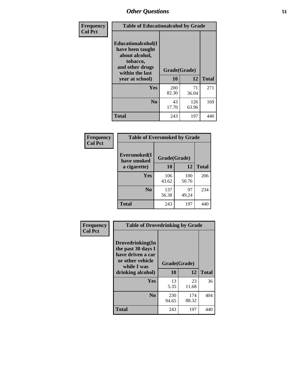| Frequency      | <b>Table of Educationalcohol by Grade</b>                                                                  |              |              |              |
|----------------|------------------------------------------------------------------------------------------------------------|--------------|--------------|--------------|
| <b>Col Pct</b> | Educationalcohol(I<br>have been taught<br>about alcohol,<br>tobacco,<br>and other drugs<br>within the last | Grade(Grade) |              |              |
|                | year at school)                                                                                            | 10           | 12           | <b>Total</b> |
|                | <b>Yes</b>                                                                                                 | 200<br>82.30 | 71<br>36.04  | 271          |
|                | N <sub>0</sub>                                                                                             | 43<br>17.70  | 126<br>63.96 | 169          |
|                | <b>Total</b>                                                                                               | 243          | 197          | 440          |

| Frequency      | <b>Table of Eversmoked by Grade</b> |              |              |              |
|----------------|-------------------------------------|--------------|--------------|--------------|
| <b>Col Pct</b> | Eversmoked(I<br>have smoked         | Grade(Grade) |              |              |
|                | a cigarette)                        | 10           | 12           | <b>Total</b> |
|                | Yes                                 | 106<br>43.62 | 100<br>50.76 | 206          |
|                | N <sub>0</sub>                      | 137<br>56.38 | 97<br>49.24  | 234          |
|                | <b>Total</b>                        | 243          | 197          | 440          |

| Frequency      | <b>Table of Drovedrinking by Grade</b>                                                                              |                    |              |              |
|----------------|---------------------------------------------------------------------------------------------------------------------|--------------------|--------------|--------------|
| <b>Col Pct</b> | Drovedrinking(In<br>the past 30 days I<br>have driven a car<br>or other vehicle<br>while I was<br>drinking alcohol) | Grade(Grade)<br>10 | 12           | <b>Total</b> |
|                | <b>Yes</b>                                                                                                          | 13<br>5.35         | 23<br>11.68  | 36           |
|                | N <sub>0</sub>                                                                                                      | 230<br>94.65       | 174<br>88.32 | 404          |
|                | <b>Total</b>                                                                                                        | 243                | 197          | 440          |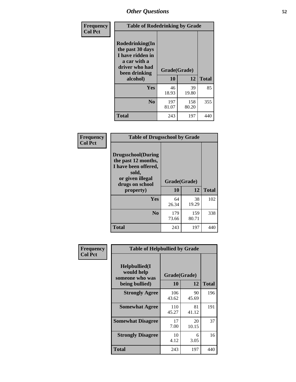| Frequency<br><b>Col Pct</b> | <b>Table of Rodedrinking by Grade</b>                                                                                  |                    |              |              |
|-----------------------------|------------------------------------------------------------------------------------------------------------------------|--------------------|--------------|--------------|
|                             | Rodedrinking(In<br>the past 30 days<br>I have ridden in<br>a car with a<br>driver who had<br>been drinking<br>alcohol) | Grade(Grade)<br>10 | 12           | <b>Total</b> |
|                             | Yes                                                                                                                    | 46<br>18.93        | 39<br>19.80  | 85           |
|                             | N <sub>0</sub>                                                                                                         | 197<br>81.07       | 158<br>80.20 | 355          |
|                             | <b>Total</b>                                                                                                           | 243                | 197          | 440          |

#### **Frequency Col Pct**

| <b>Table of Drugsschool by Grade</b>                                                                                                   |              |                    |              |
|----------------------------------------------------------------------------------------------------------------------------------------|--------------|--------------------|--------------|
| <b>Drugsschool</b> (During<br>the past 12 months,<br>I have been offered,<br>sold,<br>or given illegal<br>drugs on school<br>property) | 10           | Grade(Grade)<br>12 | <b>Total</b> |
|                                                                                                                                        |              |                    |              |
| Yes                                                                                                                                    | 64<br>26.34  | 38<br>19.29        | 102          |
| N <sub>0</sub>                                                                                                                         | 179<br>73.66 | 159<br>80.71       | 338          |
| Total                                                                                                                                  | 243          | 197                |              |

| Frequency      | <b>Table of Helpbullied by Grade</b>            |              |             |              |
|----------------|-------------------------------------------------|--------------|-------------|--------------|
| <b>Col Pct</b> | Helpbullied(I)<br>would help<br>someone who was | Grade(Grade) |             |              |
|                | being bullied)                                  | 10           | 12          | <b>Total</b> |
|                | <b>Strongly Agree</b>                           | 106<br>43.62 | 90<br>45.69 | 196          |
|                | <b>Somewhat Agree</b>                           | 110<br>45.27 | 81<br>41.12 | 191          |
|                | <b>Somewhat Disagree</b>                        | 17<br>7.00   | 20<br>10.15 | 37           |
|                | <b>Strongly Disagree</b>                        | 10<br>4.12   | 6<br>3.05   | 16           |
|                | <b>Total</b>                                    | 243          | 197         | 440          |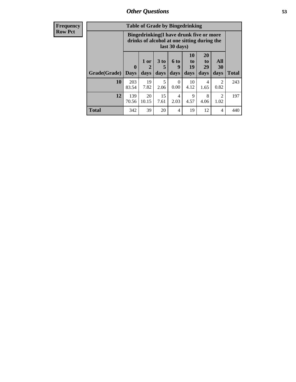| <b>Frequency</b><br>Row Pct |
|-----------------------------|
|                             |

| <b>Table of Grade by Bingedrinking</b> |                                                                                                         |                   |                              |                   |                        |                        |                        |              |
|----------------------------------------|---------------------------------------------------------------------------------------------------------|-------------------|------------------------------|-------------------|------------------------|------------------------|------------------------|--------------|
|                                        | Bingedrinking(I have drunk five or more<br>drinks of alcohol at one sitting during the<br>last 30 days) |                   |                              |                   |                        |                        |                        |              |
| Grade(Grade)                           | $\mathbf{0}$<br><b>Days</b>                                                                             | 1 or<br>2<br>days | 3 <sub>to</sub><br>5<br>days | 6 to<br>9<br>days | 10<br>to<br>19<br>days | 20<br>to<br>29<br>days | All<br>30<br>days      | <b>Total</b> |
|                                        |                                                                                                         |                   |                              |                   |                        |                        |                        |              |
| 10                                     | 203<br>83.54                                                                                            | 19<br>7.82        | 5<br>2.06                    | 0<br>0.00         | 10<br>4.12             | 4<br>1.65              | $\overline{2}$<br>0.82 | 243          |
| 12                                     | 139<br>70.56                                                                                            | 20<br>10.15       | 15<br>7.61                   | 4<br>2.03         | 9<br>4.57              | 8<br>4.06              | $\mathfrak{D}$<br>1.02 | 197          |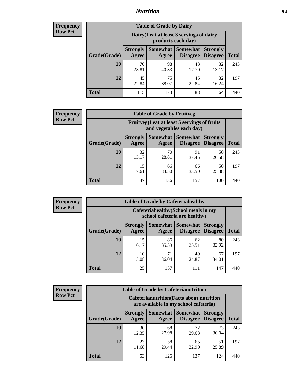## *Nutrition* **54**

| <b>Frequency</b><br>Row Pct |  |
|-----------------------------|--|
|                             |  |

| <b>Table of Grade by Dairy</b> |                          |                                                                 |                             |                                    |              |  |  |  |  |
|--------------------------------|--------------------------|-----------------------------------------------------------------|-----------------------------|------------------------------------|--------------|--|--|--|--|
|                                |                          | Dairy (I eat at least 3 servings of dairy<br>products each day) |                             |                                    |              |  |  |  |  |
| Grade(Grade)                   | <b>Strongly</b><br>Agree | Somewhat<br>Agree                                               | <b>Somewhat</b><br>Disagree | <b>Strongly</b><br><b>Disagree</b> | <b>Total</b> |  |  |  |  |
| 10                             | 70<br>28.81              | 98<br>40.33                                                     | 43<br>17.70                 | 32<br>13.17                        | 243          |  |  |  |  |
| 12                             | 45<br>22.84              | 75<br>38.07                                                     | 45<br>22.84                 | 32<br>16.24                        | 197          |  |  |  |  |
| <b>Total</b>                   | 115                      | 173                                                             | 88                          | 64                                 | 440          |  |  |  |  |

| <b>Frequency</b> |  |
|------------------|--|
| <b>Row Pct</b>   |  |

| <b>Table of Grade by Fruitveg</b>                                        |                          |             |                                        |                                    |              |  |
|--------------------------------------------------------------------------|--------------------------|-------------|----------------------------------------|------------------------------------|--------------|--|
| Fruitveg(I eat at least 5 servings of fruits<br>and vegetables each day) |                          |             |                                        |                                    |              |  |
| Grade(Grade)                                                             | <b>Strongly</b><br>Agree | Agree       | <b>Somewhat   Somewhat</b><br>Disagree | <b>Strongly</b><br><b>Disagree</b> | <b>Total</b> |  |
| 10                                                                       | 32<br>13.17              | 70<br>28.81 | 91<br>37.45                            | 50<br>20.58                        | 243          |  |
| 12                                                                       | 15<br>7.61               | 66<br>33.50 | 66<br>33.50                            | 50<br>25.38                        | 197          |  |
| <b>Total</b>                                                             | 47                       | 136         | 157                                    | 100                                | 440          |  |

| Frequency      | <b>Table of Grade by Cafeteriahealthy</b> |                                                                       |             |                                          |                                    |              |  |  |
|----------------|-------------------------------------------|-----------------------------------------------------------------------|-------------|------------------------------------------|------------------------------------|--------------|--|--|
| <b>Row Pct</b> |                                           | Cafeteriahealthy (School meals in my<br>school cafeteria are healthy) |             |                                          |                                    |              |  |  |
|                | Grade(Grade)                              | <b>Strongly</b><br>Agree                                              | Agree       | Somewhat   Somewhat  <br><b>Disagree</b> | <b>Strongly</b><br><b>Disagree</b> | <b>Total</b> |  |  |
|                | 10                                        | 15<br>6.17                                                            | 86<br>35.39 | 62<br>25.51                              | 80<br>32.92                        | 243          |  |  |
|                | 12                                        | 10<br>5.08                                                            | 71<br>36.04 | 49<br>24.87                              | 67<br>34.01                        | 197          |  |  |
|                | <b>Total</b>                              | 25                                                                    | 157         | 111                                      | 147                                | 440          |  |  |

| <b>Frequency</b> |
|------------------|
| <b>Row Pct</b>   |

| <b>Table of Grade by Cafeterianutrition</b> |                                                                                           |                     |                      |                                    |              |  |  |  |  |
|---------------------------------------------|-------------------------------------------------------------------------------------------|---------------------|----------------------|------------------------------------|--------------|--|--|--|--|
|                                             | <b>Cafeterianutrition</b> (Facts about nutrition<br>are available in my school cafeteria) |                     |                      |                                    |              |  |  |  |  |
| Grade(Grade)                                | <b>Strongly</b><br>Agree                                                                  | Somewhat  <br>Agree | Somewhat<br>Disagree | <b>Strongly</b><br><b>Disagree</b> | <b>Total</b> |  |  |  |  |
| 10                                          | 30<br>12.35                                                                               | 68<br>27.98         | 72<br>29.63          | 73<br>30.04                        | 243          |  |  |  |  |
| 12                                          | 23<br>11.68                                                                               | 58<br>29.44         | 65<br>32.99          | 51<br>25.89                        | 197          |  |  |  |  |
| <b>Total</b>                                | 53                                                                                        | 126                 | 137                  | 124                                |              |  |  |  |  |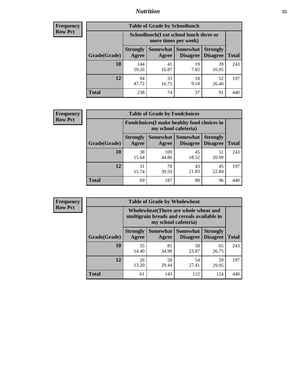## *Nutrition* **55**

| <b>Frequency</b> |
|------------------|
| <b>Row Pct</b>   |

| <b>Table of Grade by Schoollunch</b> |                          |                                                                 |                             |                                    |              |  |  |  |  |
|--------------------------------------|--------------------------|-----------------------------------------------------------------|-----------------------------|------------------------------------|--------------|--|--|--|--|
|                                      |                          | Schoollunch(I eat school lunch three or<br>more times per week) |                             |                                    |              |  |  |  |  |
| Grade(Grade)                         | <b>Strongly</b><br>Agree | Somewhat  <br>Agree                                             | <b>Somewhat</b><br>Disagree | <b>Strongly</b><br><b>Disagree</b> | <b>Total</b> |  |  |  |  |
| 10                                   | 144<br>59.26             | 41<br>16.87                                                     | 19<br>7.82                  | 39<br>16.05                        | 243          |  |  |  |  |
| 12                                   | 94<br>47.72              | 33<br>16.75                                                     | 18<br>9.14                  | 52<br>26.40                        | 197          |  |  |  |  |
| <b>Total</b>                         | 238                      | 74                                                              | 37                          | 91                                 | 440          |  |  |  |  |

| <b>Frequency</b> |  |
|------------------|--|
| <b>Row Pct</b>   |  |

| <b>Table of Grade by Foodchoices</b>                                |                          |              |                                        |                                    |              |  |  |
|---------------------------------------------------------------------|--------------------------|--------------|----------------------------------------|------------------------------------|--------------|--|--|
| Foodchoices (I make healthy food choices in<br>my school cafeteria) |                          |              |                                        |                                    |              |  |  |
| Grade(Grade)                                                        | <b>Strongly</b><br>Agree | Agree        | <b>Somewhat   Somewhat</b><br>Disagree | <b>Strongly</b><br><b>Disagree</b> | <b>Total</b> |  |  |
| 10                                                                  | 38<br>15.64              | 109<br>44.86 | 45<br>18.52                            | 51<br>20.99                        | 243          |  |  |
| 12                                                                  | 31<br>15.74              | 78<br>39.59  | 43<br>21.83                            | 45<br>22.84                        | 197          |  |  |
| <b>Total</b>                                                        | 69                       | 187          | 88                                     | 96                                 | 440          |  |  |

| <b>Frequency</b> |              |                                                                                                             | <b>Table of Grade by Wholewheat</b> |                 |                                        |              |  |  |  |
|------------------|--------------|-------------------------------------------------------------------------------------------------------------|-------------------------------------|-----------------|----------------------------------------|--------------|--|--|--|
| <b>Row Pct</b>   |              | Wholewheat (There are whole wheat and<br>multigrain breads and cereals available in<br>my school cafeteria) |                                     |                 |                                        |              |  |  |  |
|                  | Grade(Grade) | <b>Strongly</b><br>Agree                                                                                    | <b>Somewhat</b><br>Agree            | <b>Somewhat</b> | <b>Strongly</b><br>Disagree   Disagree | <b>Total</b> |  |  |  |
|                  | 10           | 35<br>14.40                                                                                                 | 85<br>34.98                         | 58<br>23.87     | 65<br>26.75                            | 243          |  |  |  |
|                  | 12           | 26<br>13.20                                                                                                 | 58<br>29.44                         | 54<br>27.41     | 59<br>29.95                            | 197          |  |  |  |
|                  | <b>Total</b> | 61                                                                                                          | 143                                 | 112             | 124                                    | 440          |  |  |  |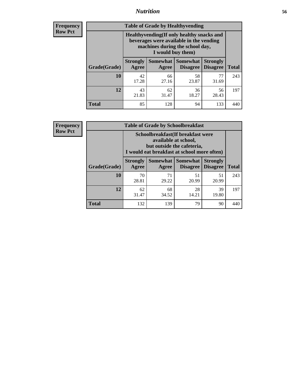## *Nutrition* **56**

**Frequency Row Pct**

| <b>Table of Grade by Healthyvending</b> |                                                                                                                                               |                          |                                    |                                    |              |  |
|-----------------------------------------|-----------------------------------------------------------------------------------------------------------------------------------------------|--------------------------|------------------------------------|------------------------------------|--------------|--|
|                                         | Healthyvending (If only healthy snacks and<br>beverages were available in the vending<br>machines during the school day,<br>I would buy them) |                          |                                    |                                    |              |  |
| Grade(Grade)                            | <b>Strongly</b><br>Agree                                                                                                                      | <b>Somewhat</b><br>Agree | <b>Somewhat</b><br><b>Disagree</b> | <b>Strongly</b><br><b>Disagree</b> | <b>Total</b> |  |
| 10                                      | 42<br>17.28                                                                                                                                   | 66<br>27.16              | 58<br>23.87                        | 77<br>31.69                        | 243          |  |
| 12                                      | 43<br>21.83                                                                                                                                   | 62<br>31.47              | 36<br>18.27                        | 56<br>28.43                        | 197          |  |
| <b>Total</b>                            | 85                                                                                                                                            | 128                      | 94                                 | 133                                | 440          |  |

**Frequency Row Pct**

| <b>Table of Grade by Schoolbreakfast</b> |                                                                                                                                         |                     |                                    |                                    |              |  |
|------------------------------------------|-----------------------------------------------------------------------------------------------------------------------------------------|---------------------|------------------------------------|------------------------------------|--------------|--|
|                                          | Schoolbreakfast (If breakfast were<br>available at school,<br>but outside the cafeteria,<br>I would eat breakfast at school more often) |                     |                                    |                                    |              |  |
| Grade(Grade)                             | <b>Strongly</b><br>Agree                                                                                                                | Somewhat  <br>Agree | <b>Somewhat</b><br><b>Disagree</b> | <b>Strongly</b><br><b>Disagree</b> | <b>Total</b> |  |
| 10                                       | 70<br>28.81                                                                                                                             | 71<br>29.22         | 51<br>20.99                        | 51<br>20.99                        | 243          |  |
| 12                                       | 62<br>31.47                                                                                                                             | 68<br>34.52         | 28<br>14.21                        | 39<br>19.80                        | 197          |  |
| <b>Total</b>                             | 132                                                                                                                                     | 139                 | 79                                 | 90                                 | 440          |  |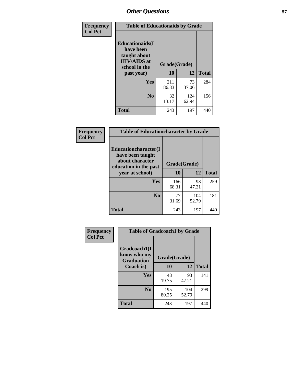| Frequency<br><b>Col Pct</b> | <b>Table of Educationaids by Grade</b>                                                                    |                    |              |              |  |
|-----------------------------|-----------------------------------------------------------------------------------------------------------|--------------------|--------------|--------------|--|
|                             | <b>Educationaids</b> (I<br>have been<br>taught about<br><b>HIV/AIDS</b> at<br>school in the<br>past year) | Grade(Grade)<br>10 | 12           | <b>Total</b> |  |
|                             | Yes                                                                                                       | 211<br>86.83       | 73<br>37.06  | 284          |  |
|                             | N <sub>0</sub>                                                                                            | 32<br>13.17        | 124<br>62.94 | 156          |  |
|                             | <b>Total</b>                                                                                              | 243                | 197          | 440          |  |

| Frequency                                                                     | <b>Table of Educationcharacter by Grade</b> |              |              |              |
|-------------------------------------------------------------------------------|---------------------------------------------|--------------|--------------|--------------|
| <b>Col Pct</b><br>Educationcharacter(I<br>have been taught<br>about character |                                             |              |              |              |
|                                                                               | education in the past                       | Grade(Grade) |              |              |
|                                                                               | year at school)                             | 10           | 12           | <b>Total</b> |
|                                                                               | <b>Yes</b>                                  | 166<br>68.31 | 93<br>47.21  | 259          |
|                                                                               | N <sub>0</sub>                              | 77<br>31.69  | 104<br>52.79 | 181          |
|                                                                               | <b>Total</b>                                | 243          | 197          | 440          |

| <b>Frequency</b><br><b>Col Pct</b> | <b>Table of Gradcoach1 by Grade</b>              |              |              |              |  |
|------------------------------------|--------------------------------------------------|--------------|--------------|--------------|--|
|                                    | Gradcoach1(I<br>know who my<br><b>Graduation</b> | Grade(Grade) |              |              |  |
|                                    | Coach is)                                        | 10           | 12           | <b>Total</b> |  |
|                                    | Yes                                              | 48<br>19.75  | 93<br>47.21  | 141          |  |
|                                    | N <sub>0</sub>                                   | 195<br>80.25 | 104<br>52.79 | 299          |  |
|                                    | <b>Total</b>                                     | 243          | 197          | 440          |  |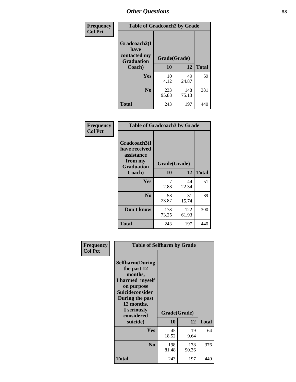| Frequency      | <b>Table of Gradcoach2 by Grade</b> |              |              |              |
|----------------|-------------------------------------|--------------|--------------|--------------|
| <b>Col Pct</b> | Gradcoach2(I<br>have                |              |              |              |
|                | contacted my<br><b>Graduation</b>   | Grade(Grade) |              |              |
|                | Coach)                              | 10           | 12           | <b>Total</b> |
|                | Yes                                 | 10<br>4.12   | 49<br>24.87  | 59           |
|                | N <sub>0</sub>                      | 233<br>95.88 | 148<br>75.13 | 381          |
|                | <b>Total</b>                        | 243          | 197          | 440          |

| <b>Frequency</b><br><b>Col Pct</b> | <b>Table of Gradcoach3 by Grade</b>                    |                    |              |              |  |
|------------------------------------|--------------------------------------------------------|--------------------|--------------|--------------|--|
|                                    | Gradcoach3(I<br>have received<br>assistance<br>from my |                    |              |              |  |
|                                    | <b>Graduation</b><br>Coach)                            | Grade(Grade)<br>10 | 12           | <b>Total</b> |  |
|                                    | <b>Yes</b>                                             | 7<br>2.88          | 44<br>22.34  | 51           |  |
|                                    | N <sub>0</sub>                                         | 58<br>23.87        | 31<br>15.74  | 89           |  |
|                                    | Don't know                                             | 178<br>73.25       | 122<br>61.93 | 300          |  |
|                                    | <b>Total</b>                                           | 243                | 197          | 440          |  |

| Frequency      | <b>Table of Selfharm by Grade</b>                                                                                                                                                      |              |                    |              |
|----------------|----------------------------------------------------------------------------------------------------------------------------------------------------------------------------------------|--------------|--------------------|--------------|
| <b>Col Pct</b> | <b>Selfharm</b> (During<br>the past 12<br>months,<br>I harmed myself<br>on purpose<br><b>Suicideconsider</b><br>During the past<br>12 months,<br>I seriously<br>considered<br>suicide) | 10           | Grade(Grade)<br>12 | <b>Total</b> |
|                | Yes                                                                                                                                                                                    | 45<br>18.52  | 19<br>9.64         | 64           |
|                | N <sub>0</sub>                                                                                                                                                                         | 198<br>81.48 | 178<br>90.36       | 376          |
|                | <b>Total</b>                                                                                                                                                                           | 243          | 197                | 440          |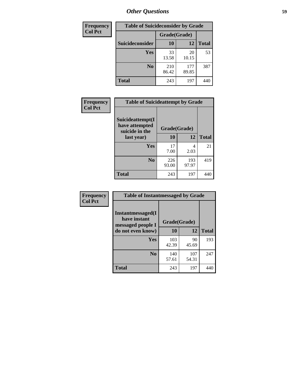| <b>Frequency</b> | <b>Table of Suicideconsider by Grade</b> |              |              |              |  |
|------------------|------------------------------------------|--------------|--------------|--------------|--|
| <b>Col Pct</b>   |                                          | Grade(Grade) |              |              |  |
|                  | Suicideconsider                          | <b>10</b>    | 12           | <b>Total</b> |  |
|                  | Yes                                      | 33<br>13.58  | 20<br>10.15  | 53           |  |
|                  | N <sub>0</sub>                           | 210<br>86.42 | 177<br>89.85 | 387          |  |
|                  | Total                                    | 243          | 197          | 440          |  |

| Frequency      | <b>Table of Suicideattempt by Grade</b>              |              |              |              |
|----------------|------------------------------------------------------|--------------|--------------|--------------|
| <b>Col Pct</b> | Suicideattempt(I<br>have attempted<br>suicide in the | Grade(Grade) |              |              |
|                | last year)                                           | 10           | 12           | <b>Total</b> |
|                | Yes                                                  | 17<br>7.00   | 4<br>2.03    | 21           |
|                | $\bf No$                                             | 226<br>93.00 | 193<br>97.97 | 419          |
|                | <b>Total</b>                                         | 243          | 197          | 440          |

| Frequency      | <b>Table of Instantmessaged by Grade</b>               |              |              |              |
|----------------|--------------------------------------------------------|--------------|--------------|--------------|
| <b>Col Pct</b> | Instantmessaged(I<br>have instant<br>messaged people I | Grade(Grade) |              |              |
|                | do not even know)                                      | 10           | 12           | <b>Total</b> |
|                | Yes                                                    | 103<br>42.39 | 90<br>45.69  | 193          |
|                | N <sub>0</sub>                                         | 140<br>57.61 | 107<br>54.31 | 247          |
|                | <b>Total</b>                                           | 243          | 197          | 440          |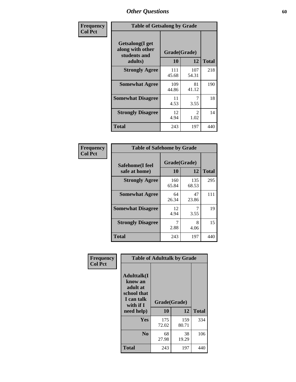| Frequency      | <b>Table of Getsalong by Grade</b>                          |                    |                        |              |  |  |  |  |
|----------------|-------------------------------------------------------------|--------------------|------------------------|--------------|--|--|--|--|
| <b>Col Pct</b> | <b>Getsalong</b> (I get<br>along with other<br>students and | Grade(Grade)<br>10 |                        | <b>Total</b> |  |  |  |  |
|                | adults)                                                     |                    | 12                     |              |  |  |  |  |
|                | <b>Strongly Agree</b>                                       | 111<br>45.68       | 107<br>54.31           | 218          |  |  |  |  |
|                | <b>Somewhat Agree</b>                                       | 109<br>44.86       | 81<br>41.12            | 190          |  |  |  |  |
|                | <b>Somewhat Disagree</b>                                    | 11<br>4.53         | 3.55                   | 18           |  |  |  |  |
|                | <b>Strongly Disagree</b>                                    | 12<br>4.94         | $\mathfrak{D}$<br>1.02 | 14           |  |  |  |  |
|                | <b>Total</b>                                                | 243                | 197                    | 440          |  |  |  |  |

| Frequency<br>Col Pct |     |
|----------------------|-----|
|                      |     |
|                      | Saf |

| <b>Table of Safehome by Grade</b> |                    |              |     |  |  |  |  |  |
|-----------------------------------|--------------------|--------------|-----|--|--|--|--|--|
| Safehome(I feel<br>safe at home)  | Grade(Grade)<br>10 | <b>Total</b> |     |  |  |  |  |  |
| <b>Strongly Agree</b>             | 160<br>65.84       | 135<br>68.53 | 295 |  |  |  |  |  |
| <b>Somewhat Agree</b>             | 64<br>26.34        | 47<br>23.86  | 111 |  |  |  |  |  |
| <b>Somewhat Disagree</b>          | 12<br>4.94         | 3.55         | 19  |  |  |  |  |  |
| <b>Strongly Disagree</b>          | 2.88               | 8<br>4.06    | 15  |  |  |  |  |  |
| <b>Total</b>                      | 243                | 197          | 440 |  |  |  |  |  |

٦

| Frequency      | <b>Table of Adulttalk by Grade</b>                                                                 |                    |              |              |  |  |  |  |  |
|----------------|----------------------------------------------------------------------------------------------------|--------------------|--------------|--------------|--|--|--|--|--|
| <b>Col Pct</b> | <b>Adulttalk</b> (I<br>know an<br>adult at<br>school that<br>I can talk<br>with if I<br>need help) | Grade(Grade)<br>10 | 12           | <b>Total</b> |  |  |  |  |  |
|                | Yes                                                                                                | 175<br>72.02       | 159<br>80.71 | 334          |  |  |  |  |  |
|                | N <sub>0</sub>                                                                                     | 68<br>27.98        | 38<br>19.29  | 106          |  |  |  |  |  |
|                | <b>Total</b>                                                                                       | 243                | 197          | 440          |  |  |  |  |  |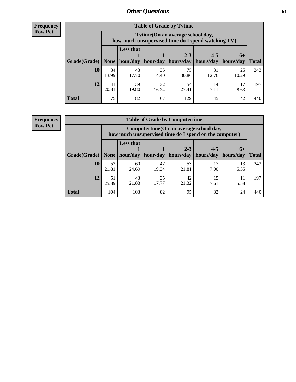**Frequency Row Pct**

| <b>Table of Grade by Tvtime</b> |             |                                                                                         |             |                      |                        |                     |              |  |  |  |  |
|---------------------------------|-------------|-----------------------------------------------------------------------------------------|-------------|----------------------|------------------------|---------------------|--------------|--|--|--|--|
|                                 |             | Tytime (On an average school day,<br>how much unsupervised time do I spend watching TV) |             |                      |                        |                     |              |  |  |  |  |
| $ $ Grade(Grade) $ $            | None        | Less that<br>hour/day                                                                   | hour/day    | $2 - 3$<br>hours/day | $4 - 5$<br>  hours/day | $6+$<br>  hours/day | <b>Total</b> |  |  |  |  |
| <b>10</b>                       | 34<br>13.99 | 43<br>17.70                                                                             | 35<br>14.40 | 75<br>30.86          | 31<br>12.76            | 25<br>10.29         | 243          |  |  |  |  |
| 12                              | 41<br>20.81 | 39<br>19.80                                                                             | 32<br>16.24 | 54<br>27.41          | 14<br>7.11             | 17<br>8.63          | 197          |  |  |  |  |
| <b>Total</b>                    | 75          | 82                                                                                      | 67          | 129                  | 45                     | 42                  | 440          |  |  |  |  |

**Frequency Row Pct**

| <b>Table of Grade by Computertime</b> |             |                                                                                                   |             |                      |                      |                   |              |  |  |  |  |
|---------------------------------------|-------------|---------------------------------------------------------------------------------------------------|-------------|----------------------|----------------------|-------------------|--------------|--|--|--|--|
|                                       |             | Computertime (On an average school day,<br>how much unsupervised time do I spend on the computer) |             |                      |                      |                   |              |  |  |  |  |
| Grade(Grade)                          | None $ $    | <b>Less that</b><br>hour/day                                                                      | hour/day    | $2 - 3$<br>hours/day | $4 - 5$<br>hours/day | $6+$<br>hours/day | <b>Total</b> |  |  |  |  |
| 10                                    | 53<br>21.81 | 60<br>24.69                                                                                       | 47<br>19.34 | 53<br>21.81          | 17<br>7.00           | 13<br>5.35        | 243          |  |  |  |  |
| 12                                    | 51<br>25.89 | 43<br>21.83                                                                                       | 35<br>17.77 | 42<br>21.32          | 15<br>7.61           | 5.58              | 197          |  |  |  |  |
| <b>Total</b>                          | 104         | 103                                                                                               | 82          | 95                   | 32                   | 24                | 440          |  |  |  |  |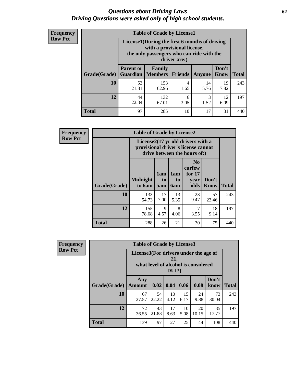#### *Questions about Driving Laws* **62** *Driving Questions were asked only of high school students.*

| <b>Frequency</b> |
|------------------|
| <b>Row Pct</b>   |

| <b>Table of Grade by License1</b> |                                     |                                                                                                                                           |                |            |               |              |  |  |  |  |  |
|-----------------------------------|-------------------------------------|-------------------------------------------------------------------------------------------------------------------------------------------|----------------|------------|---------------|--------------|--|--|--|--|--|
|                                   |                                     | License1(During the first 6 months of driving<br>with a provisional license,<br>the only passengers who can ride with the<br>driver are:) |                |            |               |              |  |  |  |  |  |
| Grade(Grade)                      | <b>Parent or</b><br><b>Guardian</b> | Family<br><b>Members</b>                                                                                                                  | <b>Friends</b> | Anyone     | Don't<br>Know | <b>Total</b> |  |  |  |  |  |
| 10                                | 53<br>21.81                         | 153<br>62.96                                                                                                                              | 4<br>1.65      | 14<br>5.76 | 19<br>7.82    | 243          |  |  |  |  |  |
| 12                                | 44<br>22.34                         | 132<br>67.01                                                                                                                              | 6<br>3.05      | 3<br>1.52  | 12<br>6.09    | 197          |  |  |  |  |  |
| <b>Total</b>                      | 97                                  | 285                                                                                                                                       | 10             | 17         | 31            |              |  |  |  |  |  |

| <b>Frequency</b> |              | <b>Table of Grade by License2</b>                                                                        |                  |                              |                                                      |                      |              |  |  |
|------------------|--------------|----------------------------------------------------------------------------------------------------------|------------------|------------------------------|------------------------------------------------------|----------------------|--------------|--|--|
| <b>Row Pct</b>   |              | License2(17 yr old drivers with a<br>provisional driver's license cannot<br>drive between the hours of:) |                  |                              |                                                      |                      |              |  |  |
|                  | Grade(Grade) | <b>Midnight</b><br>to 6am                                                                                | 1am<br>to<br>5am | 1am<br>t <sub>0</sub><br>6am | N <sub>0</sub><br>curfew<br>for $17$<br>year<br>olds | Don't<br><b>Know</b> | <b>Total</b> |  |  |
|                  | 10           | 133<br>54.73                                                                                             | 17<br>7.00       | 13<br>5.35                   | 23<br>9.47                                           | 57<br>23.46          | 243          |  |  |
|                  | 12           | 155<br>78.68                                                                                             | 9<br>4.57        | 8<br>4.06                    | 7<br>3.55                                            | 18<br>9.14           | 197          |  |  |
|                  | <b>Total</b> | 288                                                                                                      | 26               | 21                           | 30                                                   | 75                   | 440          |  |  |

| Frequency      |              | <b>Table of Grade by License3</b>                                                               |             |            |            |             |               |              |  |  |  |
|----------------|--------------|-------------------------------------------------------------------------------------------------|-------------|------------|------------|-------------|---------------|--------------|--|--|--|
| <b>Row Pct</b> |              | License3(For drivers under the age of<br>21,<br>what level of alcohol is considered<br>$DUI$ ?) |             |            |            |             |               |              |  |  |  |
|                | Grade(Grade) | Any<br><b>Amount</b>                                                                            | 0.02        | 0.04       | 0.06       | 0.08        | Don't<br>know | <b>Total</b> |  |  |  |
|                | 10           | 67<br>27.57                                                                                     | 54<br>22.22 | 10<br>4.12 | 15<br>6.17 | 24<br>9.88  | 73<br>30.04   | 243          |  |  |  |
|                | 12           | 72<br>36.55                                                                                     | 43<br>21.83 | 17<br>8.63 | 10<br>5.08 | 20<br>10.15 | 35<br>17.77   | 197          |  |  |  |
|                | <b>Total</b> | 139                                                                                             | 97          | 27         | 25         | 44          | 108           | 440          |  |  |  |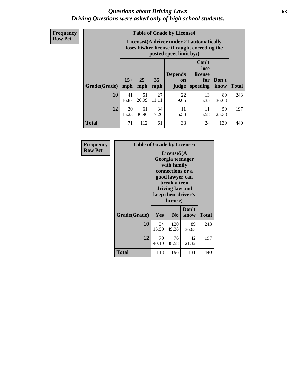#### *Questions about Driving Laws* **63** *Driving Questions were asked only of high school students.*

**Frequency Row Pct**

| <b>Table of Grade by License4</b> |              |                                                                                                                      |              |                               |                                             |               |              |  |  |  |
|-----------------------------------|--------------|----------------------------------------------------------------------------------------------------------------------|--------------|-------------------------------|---------------------------------------------|---------------|--------------|--|--|--|
|                                   |              | License4(A driver under 21 automatically<br>loses his/her license if caught exceeding the<br>posted speet limit by:) |              |                               |                                             |               |              |  |  |  |
| Grade(Grade)                      | $15+$<br>mph | $25+$<br>mph                                                                                                         | $35+$<br>mph | <b>Depends</b><br>on<br>judge | Can't<br>lose<br>license<br>for<br>speeding | Don't<br>know | <b>Total</b> |  |  |  |
| 10                                | 41<br>16.87  | 51<br>20.99                                                                                                          | 27<br>11.11  | 22<br>9.05                    | 13<br>5.35                                  | 89<br>36.63   | 243          |  |  |  |
| 12                                | 30<br>15.23  | 61<br>30.96                                                                                                          | 34<br>17.26  | 11<br>5.58                    | 11<br>5.58                                  | 50<br>25.38   | 197          |  |  |  |
| <b>Total</b>                      | 71           | 112                                                                                                                  | 61           | 33                            | 24                                          | 139           | 440          |  |  |  |

| Frequency      | <b>Table of Grade by License5</b> |                                                                                                                                                             |                |               |              |  |  |
|----------------|-----------------------------------|-------------------------------------------------------------------------------------------------------------------------------------------------------------|----------------|---------------|--------------|--|--|
| <b>Row Pct</b> |                                   | License5(A)<br>Georgia teenager<br>with family<br>connections or a<br>good lawyer can<br>break a teen<br>driving law and<br>keep their driver's<br>license) |                |               |              |  |  |
|                | Grade(Grade)                      | <b>Yes</b>                                                                                                                                                  | N <sub>0</sub> | Don't<br>know | <b>Total</b> |  |  |
|                | 10                                | 34<br>13.99                                                                                                                                                 | 120<br>49.38   | 89<br>36.63   | 243          |  |  |
|                | 12                                | 79<br>40.10                                                                                                                                                 | 76<br>38.58    | 42<br>21.32   | 197          |  |  |
|                | Total                             | 113                                                                                                                                                         | 196            | 131           | 440          |  |  |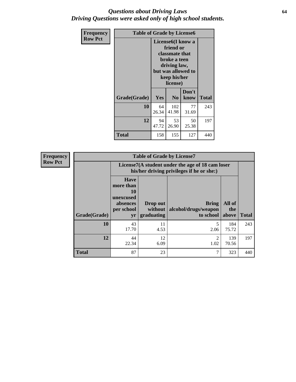#### *Questions about Driving Laws* **64** *Driving Questions were asked only of high school students.*

| <b>Frequency</b> | <b>Table of Grade by License6</b> |                                                                                                                                                 |                |               |              |
|------------------|-----------------------------------|-------------------------------------------------------------------------------------------------------------------------------------------------|----------------|---------------|--------------|
| <b>Row Pct</b>   |                                   | License <sub>6</sub> (I know a<br>friend or<br>classmate that<br>broke a teen<br>driving law,<br>but was allowed to<br>keep his/her<br>license) |                |               |              |
|                  | Grade(Grade)                      | Yes                                                                                                                                             | N <sub>0</sub> | Don't<br>know | <b>Total</b> |
|                  | 10                                | 64<br>26.34                                                                                                                                     | 102<br>41.98   | 77<br>31.69   | 243          |
|                  | 12                                | 94<br>47.72                                                                                                                                     | 53<br>26.90    | 50<br>25.38   | 197          |
|                  | <b>Total</b>                      | 158                                                                                                                                             | 155            | 127           | 440          |

| <b>Frequency</b> |              |                                                                             | <b>Table of Grade by License7</b>                                                             |                                                   |                        |              |  |
|------------------|--------------|-----------------------------------------------------------------------------|-----------------------------------------------------------------------------------------------|---------------------------------------------------|------------------------|--------------|--|
| <b>Row Pct</b>   |              |                                                                             | License7(A student under the age of 18 cam loser<br>his/her driving privileges if he or she:) |                                                   |                        |              |  |
|                  | Grade(Grade) | <b>Have</b><br>more than<br>10<br>unexcused<br>absences<br>per school<br>yr | Drop out<br>without  <br>graduating                                                           | <b>Bring</b><br>alcohol/drugs/weapon<br>to school | All of<br>the<br>above | <b>Total</b> |  |
|                  | 10           | 43<br>17.70                                                                 | 11<br>4.53                                                                                    | 2.06                                              | 184<br>75.72           | 243          |  |
|                  | 12           | 44<br>22.34                                                                 | 12<br>6.09                                                                                    | 2<br>1.02                                         | 139<br>70.56           | 197          |  |
|                  | <b>Total</b> | 87                                                                          | 23                                                                                            | ⇁                                                 | 323                    | 440          |  |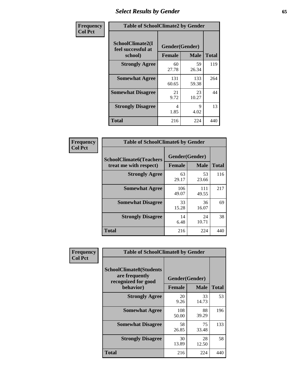# *Select Results by Gender* **65**

| Frequency      | <b>Table of SchoolClimate2 by Gender</b>          |                                 |              |              |
|----------------|---------------------------------------------------|---------------------------------|--------------|--------------|
| <b>Col Pct</b> | SchoolClimate2(I<br>feel successful at<br>school) | Gender(Gender)<br><b>Female</b> | <b>Male</b>  | <b>Total</b> |
|                | <b>Strongly Agree</b>                             | 60<br>27.78                     | 59<br>26.34  | 119          |
|                | <b>Somewhat Agree</b>                             | 131<br>60.65                    | 133<br>59.38 | 264          |
|                | <b>Somewhat Disagree</b>                          | 21<br>9.72                      | 23<br>10.27  | 44           |
|                | <b>Strongly Disagree</b>                          | 4<br>1.85                       | 9<br>4.02    | 13           |
|                | <b>Total</b>                                      | 216                             | 224          | 440          |

| Frequency      | <b>Table of SchoolClimate6 by Gender</b>                 |                                 |              |              |  |
|----------------|----------------------------------------------------------|---------------------------------|--------------|--------------|--|
| <b>Col Pct</b> | <b>SchoolClimate6(Teachers</b><br>treat me with respect) | Gender(Gender)<br><b>Female</b> | <b>Male</b>  | <b>Total</b> |  |
|                | <b>Strongly Agree</b>                                    | 63<br>29.17                     | 53<br>23.66  | 116          |  |
|                | <b>Somewhat Agree</b>                                    | 106<br>49.07                    | 111<br>49.55 | 217          |  |
|                | <b>Somewhat Disagree</b>                                 | 33<br>15.28                     | 36<br>16.07  | 69           |  |
|                | <b>Strongly Disagree</b>                                 | 14<br>6.48                      | 24<br>10.71  | 38           |  |
|                | <b>Total</b>                                             | 216                             | 224          | 440          |  |

| Frequency      | <b>Table of SchoolClimate8 by Gender</b>                                             |                                 |             |              |  |
|----------------|--------------------------------------------------------------------------------------|---------------------------------|-------------|--------------|--|
| <b>Col Pct</b> | <b>SchoolClimate8(Students</b><br>are frequently<br>recognized for good<br>behavior) | Gender(Gender)<br><b>Female</b> | <b>Male</b> | <b>Total</b> |  |
|                | <b>Strongly Agree</b>                                                                | 20<br>9.26                      | 33<br>14.73 | 53           |  |
|                | <b>Somewhat Agree</b>                                                                | 108<br>50.00                    | 88<br>39.29 | 196          |  |
|                | <b>Somewhat Disagree</b>                                                             | 58<br>26.85                     | 75<br>33.48 | 133          |  |
|                | <b>Strongly Disagree</b>                                                             | 30<br>13.89                     | 28<br>12.50 | 58           |  |
|                | <b>Total</b>                                                                         | 216                             | 224         | 440          |  |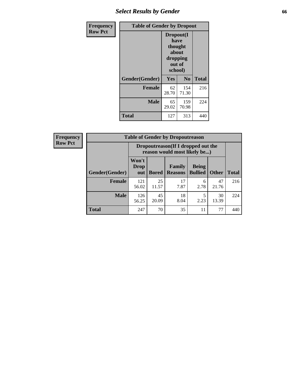## *Select Results by Gender* **66**

| <b>Frequency</b> | <b>Table of Gender by Dropout</b> |                                                                        |                |              |
|------------------|-----------------------------------|------------------------------------------------------------------------|----------------|--------------|
| <b>Row Pct</b>   |                                   | Dropout(I<br>have<br>thought<br>about<br>dropping<br>out of<br>school) |                |              |
|                  | Gender(Gender)                    | Yes                                                                    | N <sub>0</sub> | <b>Total</b> |
|                  | <b>Female</b>                     | 62<br>28.70                                                            | 154<br>71.30   | 216          |
|                  | <b>Male</b>                       | 65<br>29.02                                                            | 159<br>70.98   | 224          |
|                  | <b>Total</b>                      | 127                                                                    | 313            | 440          |

| <b>Frequency</b> |                | <b>Table of Gender by Dropoutreason</b>                            |              |                          |                                |              |              |
|------------------|----------------|--------------------------------------------------------------------|--------------|--------------------------|--------------------------------|--------------|--------------|
| <b>Row Pct</b>   |                | Dropoutreason(If I dropped out the<br>reason would most likely be) |              |                          |                                |              |              |
|                  | Gender(Gender) | Won't<br><b>Drop</b><br>out                                        | <b>Bored</b> | Family<br><b>Reasons</b> | <b>Being</b><br><b>Bullied</b> | <b>Other</b> | <b>Total</b> |
|                  | Female         | 121<br>56.02                                                       | 25<br>11.57  | 17<br>7.87               | 6<br>2.78                      | 47<br>21.76  | 216          |
|                  | <b>Male</b>    | 126<br>56.25                                                       | 45<br>20.09  | 18<br>8.04               | 2.23                           | 30<br>13.39  | 224          |
|                  | <b>Total</b>   | 247                                                                | 70           | 35                       | 11                             | 77           | 440          |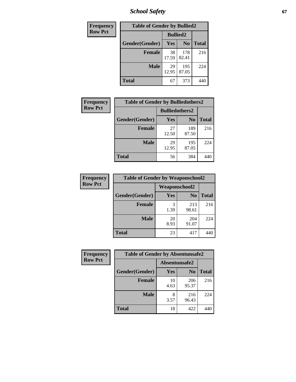*School Safety* **67**

| Frequency      | <b>Table of Gender by Bullied2</b> |                 |                |              |  |
|----------------|------------------------------------|-----------------|----------------|--------------|--|
| <b>Row Pct</b> |                                    | <b>Bullied2</b> |                |              |  |
|                | Gender(Gender)                     | Yes             | N <sub>0</sub> | <b>Total</b> |  |
|                | <b>Female</b>                      | 38<br>17.59     | 178<br>82.41   | 216          |  |
|                | <b>Male</b>                        | 29<br>12.95     | 195<br>87.05   | 224          |  |
|                | <b>Total</b>                       | 67              | 373            | 440          |  |

| Frequency      | <b>Table of Gender by Bulliedothers2</b> |                       |                |              |  |
|----------------|------------------------------------------|-----------------------|----------------|--------------|--|
| <b>Row Pct</b> |                                          | <b>Bulliedothers2</b> |                |              |  |
|                | Gender(Gender)                           | Yes                   | N <sub>0</sub> | <b>Total</b> |  |
|                | <b>Female</b>                            | 27<br>12.50           | 189<br>87.50   | 216          |  |
|                | <b>Male</b>                              | 29<br>12.95           | 195<br>87.05   | 224          |  |
|                | <b>Total</b>                             | 56                    | 384            | 440          |  |

| Frequency      | <b>Table of Gender by Weaponschool2</b> |               |                |              |  |
|----------------|-----------------------------------------|---------------|----------------|--------------|--|
| <b>Row Pct</b> |                                         | Weaponschool2 |                |              |  |
|                | Gender(Gender)                          | Yes           | N <sub>0</sub> | <b>Total</b> |  |
|                | <b>Female</b>                           | 3<br>1.39     | 213<br>98.61   | 216          |  |
|                | <b>Male</b>                             | 20<br>8.93    | 204<br>91.07   | 224          |  |
|                | <b>Total</b>                            | 23            | 417            | 440          |  |

| <b>Frequency</b> | <b>Table of Gender by Absentunsafe2</b> |               |                |              |  |
|------------------|-----------------------------------------|---------------|----------------|--------------|--|
| <b>Row Pct</b>   |                                         | Absentunsafe2 |                |              |  |
|                  | Gender(Gender)                          | Yes           | N <sub>0</sub> | <b>Total</b> |  |
|                  | <b>Female</b>                           | 10<br>4.63    | 206<br>95.37   | 216          |  |
|                  | <b>Male</b>                             | 8<br>3.57     | 216<br>96.43   | 224          |  |
|                  | <b>Total</b>                            | 18            | 422            | 440          |  |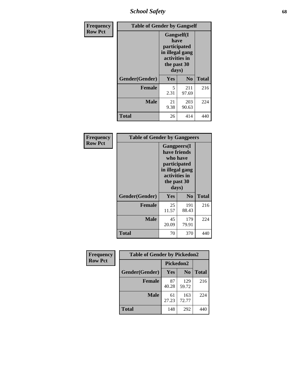*School Safety* **68**

| Frequency      | <b>Table of Gender by Gangself</b> |                                                                                                       |                |              |  |
|----------------|------------------------------------|-------------------------------------------------------------------------------------------------------|----------------|--------------|--|
| <b>Row Pct</b> |                                    | <b>Gangself(I</b><br>have<br>participated<br>in illegal gang<br>activities in<br>the past 30<br>days) |                |              |  |
|                | Gender(Gender)                     | Yes                                                                                                   | N <sub>0</sub> | <b>Total</b> |  |
|                | <b>Female</b>                      | 5<br>2.31                                                                                             | 211<br>97.69   | 216          |  |
|                | <b>Male</b>                        | 21<br>9.38                                                                                            | 203<br>90.63   | 224          |  |
|                | <b>Total</b>                       | 26                                                                                                    | 414            | 440          |  |

| Frequency      | <b>Table of Gender by Gangpeers</b> |                                                                                                                             |                |              |
|----------------|-------------------------------------|-----------------------------------------------------------------------------------------------------------------------------|----------------|--------------|
| <b>Row Pct</b> |                                     | <b>Gangpeers</b> (I<br>have friends<br>who have<br>participated<br>in illegal gang<br>activities in<br>the past 30<br>days) |                |              |
|                | Gender(Gender)                      | Yes                                                                                                                         | N <sub>0</sub> | <b>Total</b> |
|                | <b>Female</b>                       | 25<br>11.57                                                                                                                 | 191<br>88.43   | 216          |
|                | <b>Male</b>                         | 45<br>20.09                                                                                                                 | 179<br>79.91   | 224          |
|                | <b>Total</b>                        | 70                                                                                                                          | 370            | 440          |

| Frequency      | <b>Table of Gender by Pickedon2</b> |                  |                |              |
|----------------|-------------------------------------|------------------|----------------|--------------|
| <b>Row Pct</b> |                                     | <b>Pickedon2</b> |                |              |
|                | Gender(Gender)                      | <b>Yes</b>       | N <sub>0</sub> | <b>Total</b> |
|                | <b>Female</b>                       | 87<br>40.28      | 129<br>59.72   | 216          |
|                | <b>Male</b>                         | 61<br>27.23      | 163<br>72.77   | 224          |
|                | <b>Total</b>                        | 148              | 292            | 440          |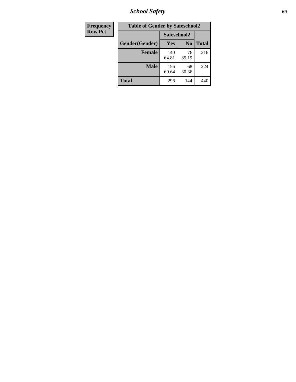*School Safety* **69**

| Frequency      | <b>Table of Gender by Safeschool2</b> |              |                |              |
|----------------|---------------------------------------|--------------|----------------|--------------|
| <b>Row Pct</b> |                                       | Safeschool2  |                |              |
|                | Gender(Gender)                        | Yes          | N <sub>0</sub> | <b>Total</b> |
|                | <b>Female</b>                         | 140<br>64.81 | 76<br>35.19    | 216          |
|                | Male                                  | 156<br>69.64 | 68<br>30.36    | 224          |
|                | <b>Total</b>                          | 296          | 144            | 440          |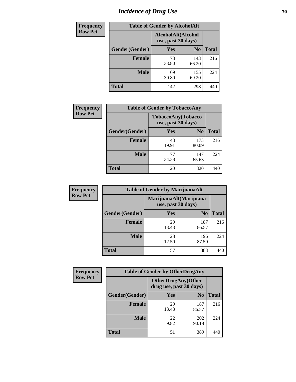# *Incidence of Drug Use* **70**

| <b>Frequency</b> | <b>Table of Gender by AlcoholAlt</b> |                                          |                |              |  |
|------------------|--------------------------------------|------------------------------------------|----------------|--------------|--|
| <b>Row Pct</b>   |                                      | AlcoholAlt(Alcohol<br>use, past 30 days) |                |              |  |
|                  | Gender(Gender)                       | <b>Yes</b>                               | N <sub>0</sub> | <b>Total</b> |  |
|                  | <b>Female</b>                        | 73<br>33.80                              | 143<br>66.20   | 216          |  |
|                  | <b>Male</b>                          | 69<br>30.80                              | 155<br>69.20   | 224          |  |
|                  | <b>Total</b>                         | 142                                      | 298            | 440          |  |

| <b>Frequency</b> | <b>Table of Gender by TobaccoAny</b> |                                          |                |              |
|------------------|--------------------------------------|------------------------------------------|----------------|--------------|
| <b>Row Pct</b>   |                                      | TobaccoAny(Tobacco<br>use, past 30 days) |                |              |
|                  | Gender(Gender)                       | Yes                                      | N <sub>0</sub> | <b>Total</b> |
|                  | <b>Female</b>                        | 43<br>19.91                              | 173<br>80.09   | 216          |
|                  | <b>Male</b>                          | 77<br>34.38                              | 147<br>65.63   | 224          |
|                  | <b>Total</b>                         | 120                                      | 320            | 440          |

| <b>Frequency</b> | <b>Table of Gender by MarijuanaAlt</b> |             |                                              |              |
|------------------|----------------------------------------|-------------|----------------------------------------------|--------------|
| <b>Row Pct</b>   |                                        |             | MarijuanaAlt(Marijuana<br>use, past 30 days) |              |
|                  | Gender(Gender)                         | <b>Yes</b>  | N <sub>0</sub>                               | <b>Total</b> |
|                  | Female                                 | 29<br>13.43 | 187<br>86.57                                 | 216          |
|                  | <b>Male</b>                            | 28<br>12.50 | 196<br>87.50                                 | 224          |
|                  | <b>Total</b>                           | 57          | 383                                          | 440          |

| <b>Frequency</b> | <b>Table of Gender by OtherDrugAny</b> |                                                       |                |              |
|------------------|----------------------------------------|-------------------------------------------------------|----------------|--------------|
| <b>Row Pct</b>   |                                        | <b>OtherDrugAny</b> (Other<br>drug use, past 30 days) |                |              |
|                  | Gender(Gender)                         | <b>Yes</b>                                            | N <sub>0</sub> | <b>Total</b> |
|                  | <b>Female</b>                          | 29<br>13.43                                           | 187<br>86.57   | 216          |
|                  | <b>Male</b>                            | 22<br>9.82                                            | 202<br>90.18   | 224          |
|                  | <b>Total</b>                           | 51                                                    | 389            | 440          |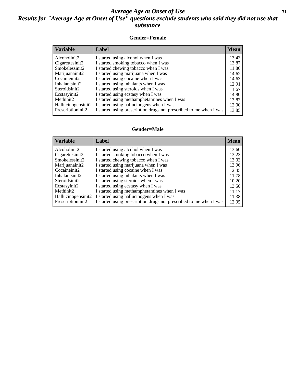### *Average Age at Onset of Use* **71** *Results for "Average Age at Onset of Use" questions exclude students who said they did not use that substance*

#### **Gender=Female**

| <i><b>Variable</b></i> | <b>Label</b>                                                       | <b>Mean</b> |
|------------------------|--------------------------------------------------------------------|-------------|
| Alcoholinit2           | I started using alcohol when I was                                 | 13.43       |
| Cigarettesinit2        | I started smoking tobacco when I was                               | 13.87       |
| Smokelessinit2         | I started chewing tobacco when I was                               | 11.80       |
| Marijuanainit2         | I started using marijuana when I was                               | 14.62       |
| Cocaineinit2           | I started using cocaine when I was                                 | 14.63       |
| Inhalantsinit2         | I started using inhalants when I was                               | 12.91       |
| Steroidsinit2          | I started using steroids when I was                                | 11.67       |
| Ecstasyinit2           | I started using ecstasy when I was                                 | 14.80       |
| Methinit2              | I started using methamphetamines when I was                        | 13.83       |
| Hallucinogensinit2     | I started using hallucinogens when I was                           | 12.00       |
| Prescription in t2     | I started using prescription drugs not prescribed to me when I was | 13.85       |

#### **Gender=Male**

| <b>Variable</b>    | Label                                                              | <b>Mean</b> |
|--------------------|--------------------------------------------------------------------|-------------|
| Alcoholinit2       | I started using alcohol when I was                                 | 13.60       |
| Cigarettesinit2    | I started smoking tobacco when I was                               | 13.23       |
| Smokelessinit2     | I started chewing tobacco when I was                               | 13.03       |
| Marijuanainit2     | I started using marijuana when I was                               | 13.96       |
| Cocaineinit2       | I started using cocaine when I was                                 | 12.45       |
| Inhalantsinit2     | I started using inhalants when I was                               | 11.78       |
| Steroidsinit2      | I started using steroids when I was                                | 10.20       |
| Ecstasyinit2       | I started using ecstasy when I was                                 | 13.50       |
| Methinit2          | I started using methamphetamines when I was                        | 11.17       |
| Hallucinogensinit2 | I started using hallucinogens when I was                           | 11.38       |
| Prescriptioninit2  | I started using prescription drugs not prescribed to me when I was | 12.95       |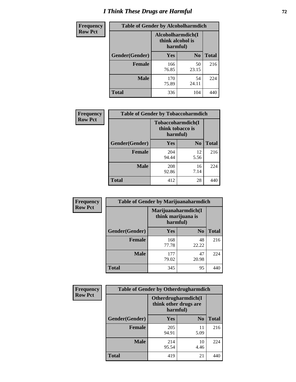# *I Think These Drugs are Harmful* **72**

| <b>Frequency</b> | <b>Table of Gender by Alcoholharmdich</b> |                  |                               |              |
|------------------|-------------------------------------------|------------------|-------------------------------|--------------|
| <b>Row Pct</b>   |                                           | think alcohol is | Alcoholharmdich(I<br>harmful) |              |
|                  | Gender(Gender)                            | <b>Yes</b>       | N <sub>0</sub>                | <b>Total</b> |
|                  | <b>Female</b>                             | 166<br>76.85     | 50<br>23.15                   | 216          |
|                  | <b>Male</b>                               | 170<br>75.89     | 54<br>24.11                   | 224          |
|                  | Total                                     | 336              | 104                           | 440          |

| Frequency      | <b>Table of Gender by Tobaccoharmdich</b> |                  |                               |              |
|----------------|-------------------------------------------|------------------|-------------------------------|--------------|
| <b>Row Pct</b> |                                           | think tobacco is | Tobaccoharmdich(I<br>harmful) |              |
|                | Gender(Gender)                            | <b>Yes</b>       | N <sub>0</sub>                | <b>Total</b> |
|                | <b>Female</b>                             | 204<br>94.44     | 12<br>5.56                    | 216          |
|                | <b>Male</b>                               | 208<br>92.86     | 16<br>7.14                    | 224          |
|                | Total                                     | 412              | 28                            | 440          |

| Frequency      | <b>Table of Gender by Marijuanaharmdich</b> |                                                       |                |              |
|----------------|---------------------------------------------|-------------------------------------------------------|----------------|--------------|
| <b>Row Pct</b> |                                             | Marijuanaharmdich(I<br>think marijuana is<br>harmful) |                |              |
|                | Gender(Gender)                              | <b>Yes</b>                                            | N <sub>0</sub> | <b>Total</b> |
|                | <b>Female</b>                               | 168<br>77.78                                          | 48<br>22.22    | 216          |
|                | <b>Male</b>                                 | 177<br>79.02                                          | 47<br>20.98    | 224          |
|                | <b>Total</b>                                | 345                                                   | 95             | 440          |

| Frequency      | <b>Table of Gender by Otherdrugharmdich</b> |                                                          |                |              |
|----------------|---------------------------------------------|----------------------------------------------------------|----------------|--------------|
| <b>Row Pct</b> |                                             | Otherdrugharmdich(I<br>think other drugs are<br>harmful) |                |              |
|                | Gender(Gender)                              | <b>Yes</b>                                               | N <sub>0</sub> | <b>Total</b> |
|                | <b>Female</b>                               | 205<br>94.91                                             | 11<br>5.09     | 216          |
|                | <b>Male</b>                                 | 214<br>95.54                                             | 10<br>4.46     | 224          |
|                | <b>Total</b>                                | 419                                                      | 21             | 440          |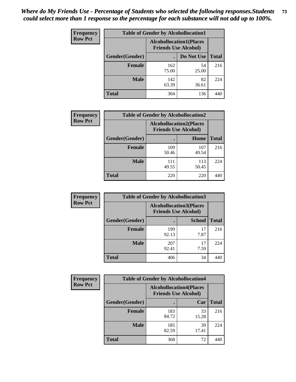| <b>Frequency</b> | <b>Table of Gender by Alcohollocation1</b> |                                                               |             |              |
|------------------|--------------------------------------------|---------------------------------------------------------------|-------------|--------------|
| <b>Row Pct</b>   |                                            | <b>Alcohollocation1(Places</b><br><b>Friends Use Alcohol)</b> |             |              |
|                  | Gender(Gender)                             |                                                               | Do Not Use  | <b>Total</b> |
|                  | <b>Female</b>                              | 162<br>75.00                                                  | 54<br>25.00 | 216          |
|                  | <b>Male</b>                                | 142<br>63.39                                                  | 82<br>36.61 | 224          |
|                  | <b>Total</b>                               | 304                                                           | 136         | 440          |

| <b>Frequency</b> | <b>Table of Gender by Alcohollocation2</b> |                                                               |              |              |
|------------------|--------------------------------------------|---------------------------------------------------------------|--------------|--------------|
| <b>Row Pct</b>   |                                            | <b>Alcohollocation2(Places</b><br><b>Friends Use Alcohol)</b> |              |              |
|                  | Gender(Gender)                             |                                                               | Home         | <b>Total</b> |
|                  | <b>Female</b>                              | 109<br>50.46                                                  | 107<br>49.54 | 216          |
|                  | <b>Male</b>                                | 111<br>49.55                                                  | 113<br>50.45 | 224          |
|                  | <b>Total</b>                               | 220                                                           | 220          | 440          |

| Frequency      | <b>Table of Gender by Alcohollocation3</b> |                                                               |               |              |
|----------------|--------------------------------------------|---------------------------------------------------------------|---------------|--------------|
| <b>Row Pct</b> |                                            | <b>Alcohollocation3(Places</b><br><b>Friends Use Alcohol)</b> |               |              |
|                | Gender(Gender)                             |                                                               | <b>School</b> | <b>Total</b> |
|                | <b>Female</b>                              | 199<br>92.13                                                  | 17<br>7.87    | 216          |
|                | <b>Male</b>                                | 207<br>92.41                                                  | 17<br>7.59    | 224          |
|                | <b>Total</b>                               | 406                                                           | 34            | 440          |

| <b>Frequency</b> | <b>Table of Gender by Alcohollocation4</b> |                                                               |             |              |
|------------------|--------------------------------------------|---------------------------------------------------------------|-------------|--------------|
| <b>Row Pct</b>   |                                            | <b>Alcohollocation4(Places</b><br><b>Friends Use Alcohol)</b> |             |              |
|                  | Gender(Gender)                             |                                                               | Car         | <b>Total</b> |
|                  | <b>Female</b>                              | 183<br>84.72                                                  | 33<br>15.28 | 216          |
|                  | <b>Male</b>                                | 185<br>82.59                                                  | 39<br>17.41 | 224          |
|                  | <b>Total</b>                               | 368                                                           | 72          | 440          |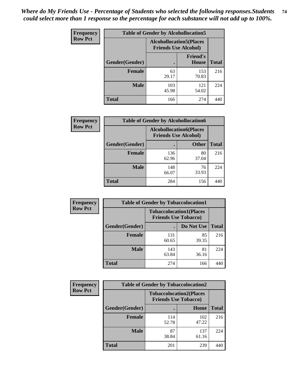| <b>Frequency</b> | <b>Table of Gender by Alcohollocation5</b> |                                                                |                          |              |
|------------------|--------------------------------------------|----------------------------------------------------------------|--------------------------|--------------|
| <b>Row Pct</b>   |                                            | <b>Alcohollocation5</b> (Places<br><b>Friends Use Alcohol)</b> |                          |              |
|                  | Gender(Gender)                             |                                                                | <b>Friend's</b><br>House | <b>Total</b> |
|                  | <b>Female</b>                              | 63<br>29.17                                                    | 153<br>70.83             | 216          |
|                  | <b>Male</b>                                | 103<br>45.98                                                   | 121<br>54.02             | 224          |
|                  | <b>Total</b>                               | 166                                                            | 274                      | 440          |

| <b>Frequency</b> | <b>Table of Gender by Alcohollocation6</b> |                                                               |              |              |
|------------------|--------------------------------------------|---------------------------------------------------------------|--------------|--------------|
| <b>Row Pct</b>   |                                            | <b>Alcohollocation6(Places</b><br><b>Friends Use Alcohol)</b> |              |              |
|                  | Gender(Gender)                             |                                                               | <b>Other</b> | <b>Total</b> |
|                  | <b>Female</b>                              | 136<br>62.96                                                  | 80<br>37.04  | 216          |
|                  | <b>Male</b>                                | 148<br>66.07                                                  | 76<br>33.93  | 224          |
|                  | <b>Total</b>                               | 284                                                           | 156          | 440          |

| Frequency      | <b>Table of Gender by Tobaccolocation1</b> |                                                               |             |              |  |
|----------------|--------------------------------------------|---------------------------------------------------------------|-------------|--------------|--|
| <b>Row Pct</b> |                                            | <b>Tobaccolocation1(Places</b><br><b>Friends Use Tobacco)</b> |             |              |  |
|                | <b>Gender</b> (Gender)                     |                                                               | Do Not Use  | <b>Total</b> |  |
|                | Female                                     | 131<br>60.65                                                  | 85<br>39.35 | 216          |  |
|                | <b>Male</b>                                | 143<br>63.84                                                  | 81<br>36.16 | 224          |  |
|                | <b>Total</b>                               | 274                                                           | 166         | 440          |  |

| <b>Frequency</b> | <b>Table of Gender by Tobaccolocation2</b> |                                                               |              |              |
|------------------|--------------------------------------------|---------------------------------------------------------------|--------------|--------------|
| <b>Row Pct</b>   |                                            | <b>Tobaccolocation2(Places</b><br><b>Friends Use Tobacco)</b> |              |              |
|                  | Gender(Gender)                             |                                                               | Home         | <b>Total</b> |
|                  | Female                                     | 114<br>52.78                                                  | 102<br>47.22 | 216          |
|                  | <b>Male</b>                                | 87<br>38.84                                                   | 137<br>61.16 | 224          |
|                  | <b>Total</b>                               | 201                                                           | 239          | 440          |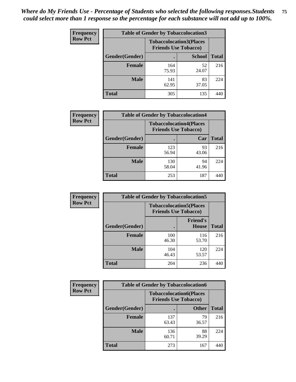| <b>Frequency</b> | <b>Table of Gender by Tobaccolocation3</b> |              |                                                               |              |
|------------------|--------------------------------------------|--------------|---------------------------------------------------------------|--------------|
| <b>Row Pct</b>   |                                            |              | <b>Tobaccolocation3(Places</b><br><b>Friends Use Tobacco)</b> |              |
|                  | Gender(Gender)                             |              | <b>School</b>                                                 | <b>Total</b> |
|                  | Female                                     | 164<br>75.93 | 52<br>24.07                                                   | 216          |
|                  | <b>Male</b>                                | 141<br>62.95 | 83<br>37.05                                                   | 224          |
|                  | <b>Total</b>                               | 305          | 135                                                           | 440          |

| <b>Frequency</b> | <b>Table of Gender by Tobaccolocation4</b> |                             |                                |              |
|------------------|--------------------------------------------|-----------------------------|--------------------------------|--------------|
| <b>Row Pct</b>   |                                            | <b>Friends Use Tobacco)</b> | <b>Tobaccolocation4(Places</b> |              |
|                  | Gender(Gender)                             |                             | Car                            | <b>Total</b> |
|                  | <b>Female</b>                              | 123<br>56.94                | 93<br>43.06                    | 216          |
|                  | <b>Male</b>                                | 130<br>58.04                | 94<br>41.96                    | 224          |
|                  | <b>Total</b>                               | 253                         | 187                            | 440          |

| <b>Frequency</b> | <b>Table of Gender by Tobaccolocation5</b> |                                                               |                          |              |
|------------------|--------------------------------------------|---------------------------------------------------------------|--------------------------|--------------|
| <b>Row Pct</b>   |                                            | <b>Tobaccolocation5(Places</b><br><b>Friends Use Tobacco)</b> |                          |              |
|                  | Gender(Gender)                             |                                                               | <b>Friend's</b><br>House | <b>Total</b> |
|                  | <b>Female</b>                              | 100<br>46.30                                                  | 116<br>53.70             | 216          |
|                  | <b>Male</b>                                | 104<br>46.43                                                  | 120<br>53.57             | 224          |
|                  | <b>Total</b>                               | 204                                                           | 236                      | 440          |

| <b>Frequency</b> | <b>Table of Gender by Tobaccolocation6</b> |                                                               |              |              |
|------------------|--------------------------------------------|---------------------------------------------------------------|--------------|--------------|
| <b>Row Pct</b>   |                                            | <b>Tobaccolocation6(Places</b><br><b>Friends Use Tobacco)</b> |              |              |
|                  | Gender(Gender)                             |                                                               | <b>Other</b> | <b>Total</b> |
|                  | Female                                     | 137<br>63.43                                                  | 79<br>36.57  | 216          |
|                  | <b>Male</b>                                | 136<br>60.71                                                  | 88<br>39.29  | 224          |
|                  | <b>Total</b>                               | 273                                                           | 167          | 440          |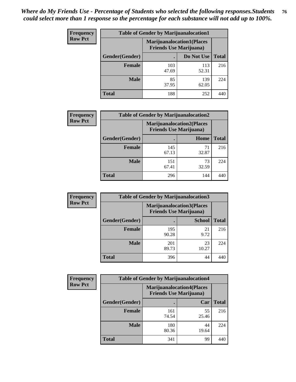| <b>Frequency</b> | <b>Table of Gender by Marijuanalocation1</b> |                                                                    |              |              |
|------------------|----------------------------------------------|--------------------------------------------------------------------|--------------|--------------|
| <b>Row Pct</b>   |                                              | <b>Marijuanalocation1(Places</b><br><b>Friends Use Marijuana</b> ) |              |              |
|                  | Gender(Gender)                               |                                                                    | Do Not Use   | <b>Total</b> |
|                  | <b>Female</b>                                | 103<br>47.69                                                       | 113<br>52.31 | 216          |
|                  | <b>Male</b>                                  | 85<br>37.95                                                        | 139<br>62.05 | 224          |
|                  | <b>Total</b>                                 | 188                                                                | 252          | 44(          |

| <b>Frequency</b> | <b>Table of Gender by Marijuanalocation2</b> |                                                                    |             |              |
|------------------|----------------------------------------------|--------------------------------------------------------------------|-------------|--------------|
| <b>Row Pct</b>   |                                              | <b>Marijuanalocation2(Places</b><br><b>Friends Use Marijuana</b> ) |             |              |
|                  | Gender(Gender)                               |                                                                    | Home        | <b>Total</b> |
|                  | Female                                       | 145<br>67.13                                                       | 32.87       | 216          |
|                  | <b>Male</b>                                  | 151<br>67.41                                                       | 73<br>32.59 | 224          |
|                  | <b>Total</b>                                 | 296                                                                | 144         | 440          |

| Frequency      | <b>Table of Gender by Marijuanalocation3</b> |              |                                                                    |              |
|----------------|----------------------------------------------|--------------|--------------------------------------------------------------------|--------------|
| <b>Row Pct</b> |                                              |              | <b>Marijuanalocation3(Places</b><br><b>Friends Use Marijuana</b> ) |              |
|                | Gender(Gender)                               |              | <b>School</b>                                                      | <b>Total</b> |
|                | Female                                       | 195<br>90.28 | 21<br>9.72                                                         | 216          |
|                | <b>Male</b>                                  | 201<br>89.73 | 23<br>10.27                                                        | 224          |
|                | <b>Total</b>                                 | 396          | 44                                                                 | 440          |

| Frequency      | <b>Table of Gender by Marijuanalocation4</b> |                                |                                  |              |
|----------------|----------------------------------------------|--------------------------------|----------------------------------|--------------|
| <b>Row Pct</b> |                                              | <b>Friends Use Marijuana</b> ) | <b>Marijuanalocation4(Places</b> |              |
|                | Gender(Gender)                               |                                | Car                              | <b>Total</b> |
|                | Female                                       | 161<br>74.54                   | 55<br>25.46                      | 216          |
|                | <b>Male</b>                                  | 180<br>80.36                   | 44<br>19.64                      | 224          |
|                | <b>Total</b>                                 | 341                            | 99                               | 44           |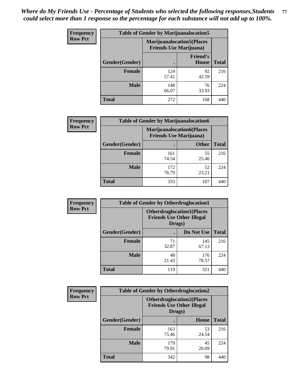| <b>Frequency</b> | <b>Table of Gender by Marijuanalocation5</b> |                                                                     |                                 |              |
|------------------|----------------------------------------------|---------------------------------------------------------------------|---------------------------------|--------------|
| <b>Row Pct</b>   |                                              | <b>Marijuanalocation5</b> (Places<br><b>Friends Use Marijuana</b> ) |                                 |              |
|                  | Gender(Gender)                               |                                                                     | <b>Friend's</b><br><b>House</b> | <b>Total</b> |
|                  | <b>Female</b>                                | 124<br>57.41                                                        | 92<br>42.59                     | 216          |
|                  | <b>Male</b>                                  | 148<br>66.07                                                        | 76<br>33.93                     | 224          |
|                  | <b>Total</b>                                 | 272                                                                 | 168                             | 440          |

| <b>Frequency</b> | <b>Table of Gender by Marijuanalocation6</b> |              |                                                                    |              |
|------------------|----------------------------------------------|--------------|--------------------------------------------------------------------|--------------|
| <b>Row Pct</b>   |                                              |              | <b>Marijuanalocation6(Places</b><br><b>Friends Use Marijuana</b> ) |              |
|                  | <b>Gender</b> (Gender)                       |              | <b>Other</b>                                                       | <b>Total</b> |
|                  | <b>Female</b>                                | 161<br>74.54 | 55<br>25.46                                                        | 216          |
|                  | <b>Male</b>                                  | 172<br>76.79 | 52<br>23.21                                                        | 224          |
|                  | Total                                        | 333          | 107                                                                |              |

| Frequency      | <b>Table of Gender by Otherdruglocation1</b> |                                                                                |              |              |
|----------------|----------------------------------------------|--------------------------------------------------------------------------------|--------------|--------------|
| <b>Row Pct</b> |                                              | <b>Otherdruglocation1(Places</b><br><b>Friends Use Other Illegal</b><br>Drugs) |              |              |
|                | Gender(Gender)                               |                                                                                | Do Not Use   | <b>Total</b> |
|                | Female                                       | 71<br>32.87                                                                    | 145<br>67.13 | 216          |
|                | <b>Male</b>                                  | 48<br>21.43                                                                    | 176<br>78.57 | 224          |
|                | <b>Total</b>                                 | 119                                                                            | 321          | 440          |

| <b>Frequency</b> | <b>Table of Gender by Otherdruglocation2</b> |                                            |                                  |              |
|------------------|----------------------------------------------|--------------------------------------------|----------------------------------|--------------|
| <b>Row Pct</b>   |                                              | <b>Friends Use Other Illegal</b><br>Drugs) | <b>Otherdruglocation2(Places</b> |              |
|                  | Gender(Gender)                               |                                            | Home                             | <b>Total</b> |
|                  | <b>Female</b>                                | 163<br>75.46                               | 53<br>24.54                      | 216          |
|                  | <b>Male</b>                                  | 179<br>79.91                               | 45<br>20.09                      | 224          |
|                  | <b>Total</b>                                 | 342                                        | 98                               | 440          |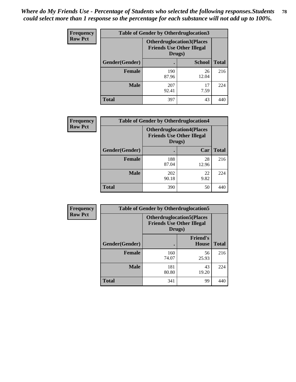| <b>Frequency</b> | <b>Table of Gender by Otherdruglocation3</b> |                                            |                                  |              |
|------------------|----------------------------------------------|--------------------------------------------|----------------------------------|--------------|
| <b>Row Pct</b>   |                                              | <b>Friends Use Other Illegal</b><br>Drugs) | <b>Otherdruglocation3(Places</b> |              |
|                  | Gender(Gender)                               |                                            | <b>School</b>                    | <b>Total</b> |
|                  | <b>Female</b>                                | 190<br>87.96                               | 26<br>12.04                      | 216          |
|                  | <b>Male</b>                                  | 207<br>92.41                               | 17<br>7.59                       | 224          |
|                  | <b>Total</b>                                 | 397                                        | 43                               | 440          |

| <b>Frequency</b> | <b>Table of Gender by Otherdruglocation4</b> |                                                                                |             |              |
|------------------|----------------------------------------------|--------------------------------------------------------------------------------|-------------|--------------|
| <b>Row Pct</b>   |                                              | <b>Otherdruglocation4(Places</b><br><b>Friends Use Other Illegal</b><br>Drugs) |             |              |
|                  | Gender(Gender)                               |                                                                                | Car         | <b>Total</b> |
|                  | <b>Female</b>                                | 188<br>87.04                                                                   | 28<br>12.96 | 216          |
|                  | <b>Male</b>                                  | 202<br>90.18                                                                   | 22<br>9.82  | 224          |
|                  | <b>Total</b>                                 | 390                                                                            | 50          | 440          |

| Frequency      | <b>Table of Gender by Otherdruglocation5</b> |              |                                                                      |              |
|----------------|----------------------------------------------|--------------|----------------------------------------------------------------------|--------------|
| <b>Row Pct</b> |                                              | Drugs)       | <b>Otherdruglocation5(Places</b><br><b>Friends Use Other Illegal</b> |              |
|                | Gender(Gender)                               |              | <b>Friend's</b><br><b>House</b>                                      | <b>Total</b> |
|                | <b>Female</b>                                | 160<br>74.07 | 56<br>25.93                                                          | 216          |
|                | <b>Male</b>                                  | 181<br>80.80 | 43<br>19.20                                                          | 224          |
|                | <b>Total</b>                                 | 341          | 99                                                                   | 44(          |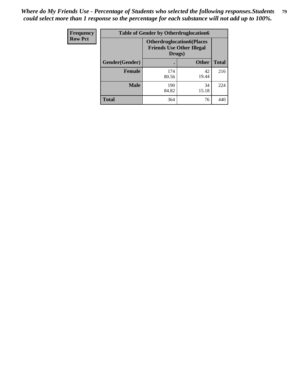| <b>Frequency</b> | <b>Table of Gender by Otherdruglocation6</b> |                                                                                |              |              |
|------------------|----------------------------------------------|--------------------------------------------------------------------------------|--------------|--------------|
| <b>Row Pct</b>   |                                              | <b>Otherdruglocation6(Places</b><br><b>Friends Use Other Illegal</b><br>Drugs) |              |              |
|                  | Gender(Gender)                               |                                                                                | <b>Other</b> | <b>Total</b> |
|                  | Female                                       | 174<br>80.56                                                                   | 42<br>19.44  | 216          |
|                  | <b>Male</b>                                  | 190<br>84.82                                                                   | 34<br>15.18  | 224          |
|                  | <b>Total</b>                                 | 364                                                                            | 76           | 440          |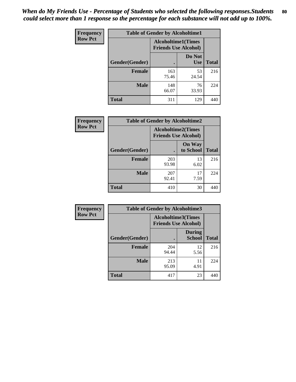| <b>Frequency</b> | <b>Table of Gender by Alcoholtime1</b> |                                                          |                      |              |
|------------------|----------------------------------------|----------------------------------------------------------|----------------------|--------------|
| <b>Row Pct</b>   |                                        | <b>Alcoholtime1(Times</b><br><b>Friends Use Alcohol)</b> |                      |              |
|                  | Gender(Gender)                         |                                                          | Do Not<br><b>Use</b> | <b>Total</b> |
|                  | <b>Female</b>                          | 163<br>75.46                                             | 53<br>24.54          | 216          |
|                  | <b>Male</b>                            | 148<br>66.07                                             | 76<br>33.93          | 224          |
|                  | <b>Total</b>                           | 311                                                      | 129                  | 440          |

| Frequency      | <b>Table of Gender by Alcoholtime2</b> |                                                          |                            |              |
|----------------|----------------------------------------|----------------------------------------------------------|----------------------------|--------------|
| <b>Row Pct</b> |                                        | <b>Alcoholtime2(Times</b><br><b>Friends Use Alcohol)</b> |                            |              |
|                | Gender(Gender)                         |                                                          | <b>On Way</b><br>to School | <b>Total</b> |
|                | <b>Female</b>                          | 203<br>93.98                                             | 13<br>6.02                 | 216          |
|                | <b>Male</b>                            | 207<br>92.41                                             | 17<br>7.59                 | 224          |
|                | <b>Total</b>                           | 410                                                      | 30                         | 440          |

| Frequency      | <b>Table of Gender by Alcoholtime3</b> |                                                          |                                |              |
|----------------|----------------------------------------|----------------------------------------------------------|--------------------------------|--------------|
| <b>Row Pct</b> |                                        | <b>Alcoholtime3(Times</b><br><b>Friends Use Alcohol)</b> |                                |              |
|                | Gender(Gender)                         |                                                          | <b>During</b><br><b>School</b> | <b>Total</b> |
|                | <b>Female</b>                          | 204<br>94.44                                             | 12<br>5.56                     | 216          |
|                | <b>Male</b>                            | 213<br>95.09                                             | 11<br>4.91                     | 224          |
|                | <b>Total</b>                           | 417                                                      | 23                             | 440          |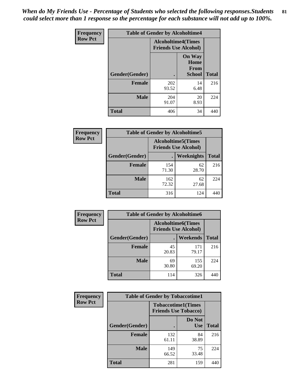*When do My Friends Use - Percentage of Students who selected the following responses.Students could select more than 1 response so the percentage for each substance will not add up to 100%.* **81**

| <b>Frequency</b> | <b>Table of Gender by Alcoholtime4</b> |                                                          |                                                |              |
|------------------|----------------------------------------|----------------------------------------------------------|------------------------------------------------|--------------|
| <b>Row Pct</b>   |                                        | <b>Alcoholtime4(Times</b><br><b>Friends Use Alcohol)</b> |                                                |              |
|                  | Gender(Gender)                         |                                                          | <b>On Way</b><br>Home<br>From<br><b>School</b> | <b>Total</b> |
|                  | <b>Female</b>                          | 202<br>93.52                                             | 14<br>6.48                                     | 216          |
|                  | <b>Male</b>                            | 204<br>91.07                                             | 20<br>8.93                                     | 224          |
|                  | <b>Total</b>                           | 406                                                      | 34                                             | 440          |

| <b>Frequency</b> | <b>Table of Gender by Alcoholtime5</b> |                                                           |             |              |
|------------------|----------------------------------------|-----------------------------------------------------------|-------------|--------------|
| <b>Row Pct</b>   |                                        | <b>Alcoholtime5</b> (Times<br><b>Friends Use Alcohol)</b> |             |              |
|                  | Gender(Gender)                         |                                                           | Weeknights  | <b>Total</b> |
|                  | <b>Female</b>                          | 154<br>71.30                                              | 62<br>28.70 | 216          |
|                  | <b>Male</b>                            | 162<br>72.32                                              | 62<br>27.68 | 224          |
|                  | <b>Total</b>                           | 316                                                       | 124         | 440          |

| <b>Frequency</b> | <b>Table of Gender by Alcoholtime6</b> |             |                                                          |              |  |
|------------------|----------------------------------------|-------------|----------------------------------------------------------|--------------|--|
| <b>Row Pct</b>   |                                        |             | <b>Alcoholtime6(Times</b><br><b>Friends Use Alcohol)</b> |              |  |
|                  | Gender(Gender)                         |             | <b>Weekends</b>                                          | <b>Total</b> |  |
|                  | Female                                 | 45<br>20.83 | 171<br>79.17                                             | 216          |  |
|                  | <b>Male</b>                            | 69<br>30.80 | 155<br>69.20                                             | 224          |  |
|                  | <b>Total</b>                           | 114         | 326                                                      | 440          |  |

| <b>Frequency</b> | <b>Table of Gender by Tobaccotime1</b> |                                                          |                      |              |
|------------------|----------------------------------------|----------------------------------------------------------|----------------------|--------------|
| <b>Row Pct</b>   |                                        | <b>Tobaccotime1(Times</b><br><b>Friends Use Tobacco)</b> |                      |              |
|                  | Gender(Gender)                         |                                                          | Do Not<br><b>Use</b> | <b>Total</b> |
|                  | <b>Female</b>                          | 132<br>61.11                                             | 84<br>38.89          | 216          |
|                  | <b>Male</b>                            | 149<br>66.52                                             | 75<br>33.48          | 224          |
|                  | <b>Total</b>                           | 281                                                      | 159                  | 440          |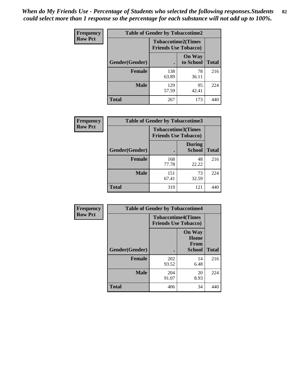*When do My Friends Use - Percentage of Students who selected the following responses.Students could select more than 1 response so the percentage for each substance will not add up to 100%.* **82**

| Frequency      | <b>Table of Gender by Tobaccotime2</b> |                                                          |                            |              |
|----------------|----------------------------------------|----------------------------------------------------------|----------------------------|--------------|
| <b>Row Pct</b> |                                        | <b>Tobaccotime2(Times</b><br><b>Friends Use Tobacco)</b> |                            |              |
|                | Gender(Gender)                         | $\bullet$                                                | <b>On Way</b><br>to School | <b>Total</b> |
|                | <b>Female</b>                          | 138<br>63.89                                             | 78<br>36.11                | 216          |
|                | <b>Male</b>                            | 129<br>57.59                                             | 95<br>42.41                | 224          |
|                | Total                                  | 267                                                      | 173                        | 440          |

| Frequency      | <b>Table of Gender by Tobaccotime3</b> |                                                          |                                |              |
|----------------|----------------------------------------|----------------------------------------------------------|--------------------------------|--------------|
| <b>Row Pct</b> |                                        | <b>Tobaccotime3(Times</b><br><b>Friends Use Tobacco)</b> |                                |              |
|                | Gender(Gender)                         |                                                          | <b>During</b><br><b>School</b> | <b>Total</b> |
|                | Female                                 | 168<br>77.78                                             | 48<br>22.22                    | 216          |
|                | <b>Male</b>                            | 151<br>67.41                                             | 73<br>32.59                    | 224          |
|                | <b>Total</b>                           | 319                                                      | 121                            |              |

| <b>Frequency</b> | <b>Table of Gender by Tobaccotime4</b> |                                                          |                                                |              |
|------------------|----------------------------------------|----------------------------------------------------------|------------------------------------------------|--------------|
| <b>Row Pct</b>   |                                        | <b>Tobaccotime4(Times</b><br><b>Friends Use Tobacco)</b> |                                                |              |
|                  | Gender(Gender)                         |                                                          | <b>On Way</b><br>Home<br>From<br><b>School</b> | <b>Total</b> |
|                  | <b>Female</b>                          | 202<br>93.52                                             | 14<br>6.48                                     | 216          |
|                  | <b>Male</b>                            | 204<br>91.07                                             | 20<br>8.93                                     | 224          |
|                  | <b>Total</b>                           | 406                                                      | 34                                             | 440          |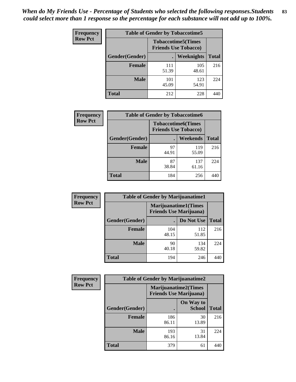| <b>Frequency</b> | <b>Table of Gender by Tobaccotime5</b> |                                                          |              |              |  |
|------------------|----------------------------------------|----------------------------------------------------------|--------------|--------------|--|
| <b>Row Pct</b>   |                                        | <b>Tobaccotime5(Times</b><br><b>Friends Use Tobacco)</b> |              |              |  |
|                  | Gender(Gender)                         |                                                          | Weeknights   | <b>Total</b> |  |
|                  | Female                                 | 111<br>51.39                                             | 105<br>48.61 | 216          |  |
|                  | <b>Male</b>                            | 101<br>45.09                                             | 123<br>54.91 | 224          |  |
|                  | <b>Total</b>                           | 212                                                      | 228          | 440          |  |

| Frequency      | <b>Table of Gender by Tobaccotime6</b> |                                                          |              |              |
|----------------|----------------------------------------|----------------------------------------------------------|--------------|--------------|
| <b>Row Pct</b> |                                        | <b>Tobaccotime6(Times</b><br><b>Friends Use Tobacco)</b> |              |              |
|                | Gender(Gender)                         |                                                          | Weekends     | <b>Total</b> |
|                | Female                                 | 97<br>44.91                                              | 119<br>55.09 | 216          |
|                | <b>Male</b>                            | 87<br>38.84                                              | 137<br>61.16 | 224          |
|                | <b>Total</b>                           | 184                                                      | 256          | 440          |

| <b>Frequency</b> | <b>Table of Gender by Marijuanatime1</b> |                                                               |              |              |
|------------------|------------------------------------------|---------------------------------------------------------------|--------------|--------------|
| <b>Row Pct</b>   |                                          | <b>Marijuanatime1(Times</b><br><b>Friends Use Marijuana</b> ) |              |              |
|                  | Gender(Gender)                           |                                                               | Do Not Use   | <b>Total</b> |
|                  | <b>Female</b>                            | 104<br>48.15                                                  | 112<br>51.85 | 216          |
|                  | <b>Male</b>                              | 90<br>40.18                                                   | 134<br>59.82 | 224          |
|                  | <b>Total</b>                             | 194                                                           | 246          | 440          |

| <b>Frequency</b> | <b>Table of Gender by Marijuanatime2</b> |                                |                             |              |
|------------------|------------------------------------------|--------------------------------|-----------------------------|--------------|
| <b>Row Pct</b>   |                                          | <b>Friends Use Marijuana</b> ) | <b>Marijuanatime2(Times</b> |              |
|                  | Gender(Gender)                           |                                | On Way to<br><b>School</b>  | <b>Total</b> |
|                  | Female                                   | 186<br>86.11                   | 30<br>13.89                 | 216          |
|                  | <b>Male</b>                              | 193<br>86.16                   | 31<br>13.84                 | 224          |
|                  | <b>Total</b>                             | 379                            | 61                          | 440          |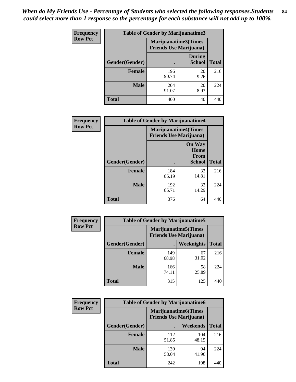| <b>Frequency</b> | <b>Table of Gender by Marijuanatime3</b> |                                                        |                                |              |
|------------------|------------------------------------------|--------------------------------------------------------|--------------------------------|--------------|
| <b>Row Pct</b>   |                                          | Marijuanatime3(Times<br><b>Friends Use Marijuana</b> ) |                                |              |
|                  | Gender(Gender)                           | $\bullet$                                              | <b>During</b><br><b>School</b> | <b>Total</b> |
|                  | <b>Female</b>                            | 196<br>90.74                                           | 20<br>9.26                     | 216          |
|                  | <b>Male</b>                              | 204<br>91.07                                           | 20<br>8.93                     | 224          |
|                  | <b>Total</b>                             | 400                                                    | 40                             | 440          |

| Frequency      | <b>Table of Gender by Marijuanatime4</b> |                                |                                                |              |
|----------------|------------------------------------------|--------------------------------|------------------------------------------------|--------------|
| <b>Row Pct</b> |                                          | <b>Friends Use Marijuana</b> ) | <b>Marijuanatime4</b> (Times                   |              |
|                | Gender(Gender)                           |                                | <b>On Way</b><br>Home<br>From<br><b>School</b> | <b>Total</b> |
|                | <b>Female</b>                            | 184<br>85.19                   | 32<br>14.81                                    | 216          |
|                | <b>Male</b>                              | 192<br>85.71                   | 32<br>14.29                                    | 224          |
|                | <b>Total</b>                             | 376                            | 64                                             | 440          |

| <b>Frequency</b> |                | <b>Table of Gender by Marijuanatime5</b> |                                                                |              |
|------------------|----------------|------------------------------------------|----------------------------------------------------------------|--------------|
| <b>Row Pct</b>   |                |                                          | <b>Marijuanatime5</b> (Times<br><b>Friends Use Marijuana</b> ) |              |
|                  | Gender(Gender) | $\blacksquare$                           | Weeknights                                                     | <b>Total</b> |
|                  | <b>Female</b>  | 149<br>68.98                             | 67<br>31.02                                                    | 216          |
|                  | <b>Male</b>    | 166<br>74.11                             | 58<br>25.89                                                    | 224          |
|                  | <b>Total</b>   | 315                                      | 125                                                            | 440          |

| <b>Frequency</b> | <b>Table of Gender by Marijuanatime6</b> |                                                               |                 |              |  |
|------------------|------------------------------------------|---------------------------------------------------------------|-----------------|--------------|--|
| <b>Row Pct</b>   |                                          | <b>Marijuanatime6(Times</b><br><b>Friends Use Marijuana</b> ) |                 |              |  |
|                  | Gender(Gender)                           |                                                               | <b>Weekends</b> | <b>Total</b> |  |
|                  | <b>Female</b>                            | 112<br>51.85                                                  | 104<br>48.15    | 216          |  |
|                  | <b>Male</b>                              | 130<br>58.04                                                  | 94<br>41.96     | 224          |  |
|                  | <b>Total</b>                             | 242                                                           | 198             | 440          |  |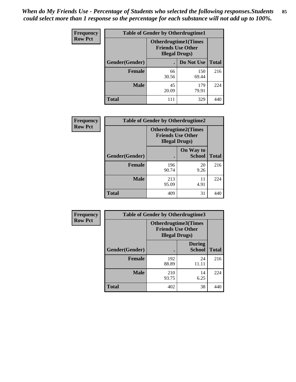| <b>Frequency</b> | <b>Table of Gender by Otherdrugtime1</b> |                                                                                   |              |              |
|------------------|------------------------------------------|-----------------------------------------------------------------------------------|--------------|--------------|
| <b>Row Pct</b>   |                                          | <b>Otherdrugtime1</b> (Times<br><b>Friends Use Other</b><br><b>Illegal Drugs)</b> |              |              |
|                  | Gender(Gender)                           |                                                                                   | Do Not Use   | <b>Total</b> |
|                  | <b>Female</b>                            | 66<br>30.56                                                                       | 150<br>69.44 | 216          |
|                  | <b>Male</b>                              | 45<br>20.09                                                                       | 179<br>79.91 | 224          |
|                  | <b>Total</b>                             | 111                                                                               | 329          | 440          |

| Frequency      | <b>Table of Gender by Otherdrugtime2</b> |                                                                                   |                            |              |
|----------------|------------------------------------------|-----------------------------------------------------------------------------------|----------------------------|--------------|
| <b>Row Pct</b> |                                          | <b>Otherdrugtime2(Times</b><br><b>Friends Use Other</b><br><b>Illegal Drugs</b> ) |                            |              |
|                | Gender(Gender)                           |                                                                                   | On Way to<br><b>School</b> | <b>Total</b> |
|                | <b>Female</b>                            | 196<br>90.74                                                                      | 20<br>9.26                 | 216          |
|                | <b>Male</b>                              | 213<br>95.09                                                                      | 11<br>4.91                 | 224          |
|                | <b>Total</b>                             | 409                                                                               | 31                         | 440          |

| <b>Frequency</b> | <b>Table of Gender by Otherdrugtime3</b> |                        |                                                  |              |
|------------------|------------------------------------------|------------------------|--------------------------------------------------|--------------|
| <b>Row Pct</b>   |                                          | <b>Illegal Drugs</b> ) | Otherdrugtime3(Times<br><b>Friends Use Other</b> |              |
|                  | Gender(Gender)                           |                        | <b>During</b><br><b>School</b>                   | <b>Total</b> |
|                  | <b>Female</b>                            | 192<br>88.89           | 24<br>11.11                                      | 216          |
|                  | <b>Male</b>                              | 210<br>93.75           | 14<br>6.25                                       | 224          |
|                  | <b>Total</b>                             | 402                    | 38                                               | 440          |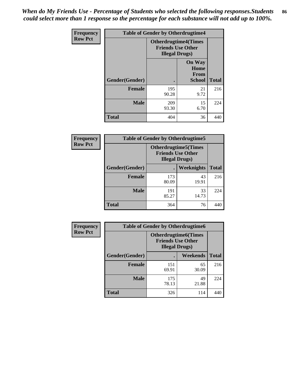*When do My Friends Use - Percentage of Students who selected the following responses.Students could select more than 1 response so the percentage for each substance will not add up to 100%.* **86**

| <b>Frequency</b> | <b>Table of Gender by Otherdrugtime4</b> |                                                    |                                                       |              |
|------------------|------------------------------------------|----------------------------------------------------|-------------------------------------------------------|--------------|
| <b>Row Pct</b>   |                                          | <b>Friends Use Other</b><br><b>Illegal Drugs</b> ) | <b>Otherdrugtime4(Times</b>                           |              |
|                  | Gender(Gender)                           |                                                    | <b>On Way</b><br>Home<br><b>From</b><br><b>School</b> | <b>Total</b> |
|                  | <b>Female</b>                            | 195<br>90.28                                       | 21<br>9.72                                            | 216          |
|                  | <b>Male</b>                              | 209<br>93.30                                       | 15<br>6.70                                            | 224          |
|                  | <b>Total</b>                             | 404                                                | 36                                                    | 440          |

| Frequency      | <b>Table of Gender by Otherdrugtime5</b> |                                                                                    |             |              |
|----------------|------------------------------------------|------------------------------------------------------------------------------------|-------------|--------------|
| <b>Row Pct</b> |                                          | <b>Otherdrugtime5</b> (Times<br><b>Friends Use Other</b><br><b>Illegal Drugs</b> ) |             |              |
|                | Gender(Gender)                           |                                                                                    | Weeknights  | <b>Total</b> |
|                | Female                                   | 173<br>80.09                                                                       | 43<br>19.91 | 216          |
|                | <b>Male</b>                              | 191<br>85.27                                                                       | 33<br>14.73 | 224          |
|                | <b>Total</b>                             | 364                                                                                | 76          | 440          |

| <b>Frequency</b> | <b>Table of Gender by Otherdrugtime6</b> |                                                                                  |             |              |
|------------------|------------------------------------------|----------------------------------------------------------------------------------|-------------|--------------|
| <b>Row Pct</b>   |                                          | <b>Otherdrugtime6(Times</b><br><b>Friends Use Other</b><br><b>Illegal Drugs)</b> |             |              |
|                  | Gender(Gender)                           |                                                                                  | Weekends    | <b>Total</b> |
|                  | <b>Female</b>                            | 151<br>69.91                                                                     | 65<br>30.09 | 216          |
|                  | <b>Male</b>                              | 175<br>78.13                                                                     | 49<br>21.88 | 224          |
|                  | <b>Total</b>                             | 326                                                                              | 114         | 440          |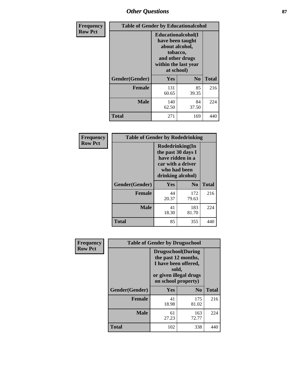## *Other Questions* **87**

| <b>Frequency</b> | <b>Table of Gender by Educationalcohol</b> |                                                                                                                               |                |              |  |
|------------------|--------------------------------------------|-------------------------------------------------------------------------------------------------------------------------------|----------------|--------------|--|
| <b>Row Pct</b>   |                                            | Educationalcohol(I<br>have been taught<br>about alcohol,<br>tobacco,<br>and other drugs<br>within the last year<br>at school) |                |              |  |
|                  | Gender(Gender)                             | <b>Yes</b>                                                                                                                    | N <sub>0</sub> | <b>Total</b> |  |
|                  | <b>Female</b>                              | 131<br>60.65                                                                                                                  | 85<br>39.35    | 216          |  |
|                  | <b>Male</b>                                | 140<br>62.50                                                                                                                  | 84<br>37.50    | 224          |  |
|                  | <b>Total</b>                               | 271                                                                                                                           | 169            | 440          |  |

| Frequency      | <b>Table of Gender by Rodedrinking</b> |                                                                                                                     |              |              |
|----------------|----------------------------------------|---------------------------------------------------------------------------------------------------------------------|--------------|--------------|
| <b>Row Pct</b> |                                        | Rodedrinking(In<br>the past 30 days I<br>have ridden in a<br>car with a driver<br>who had been<br>drinking alcohol) |              |              |
|                | Gender(Gender)                         | $\bf N_0$<br>Yes                                                                                                    |              | <b>Total</b> |
|                | <b>Female</b>                          | 44<br>20.37                                                                                                         | 172<br>79.63 | 216          |
|                | <b>Male</b>                            | 41<br>18.30                                                                                                         | 183<br>81.70 | 224          |
|                | <b>Total</b>                           | 85                                                                                                                  | 355          | 440          |

| Frequency      | <b>Table of Gender by Drugsschool</b> |                                                                                                                                     |                |              |  |
|----------------|---------------------------------------|-------------------------------------------------------------------------------------------------------------------------------------|----------------|--------------|--|
| <b>Row Pct</b> |                                       | <b>Drugsschool</b> (During<br>the past 12 months,<br>I have been offered,<br>sold,<br>or given illegal drugs<br>on school property) |                |              |  |
|                | Gender(Gender)                        | Yes                                                                                                                                 | N <sub>0</sub> | <b>Total</b> |  |
|                | <b>Female</b>                         | 41<br>18.98                                                                                                                         | 175<br>81.02   | 216          |  |
|                | <b>Male</b>                           | 61<br>27.23                                                                                                                         | 163<br>72.77   | 224          |  |
|                | <b>Total</b>                          | 102                                                                                                                                 | 338            | 440          |  |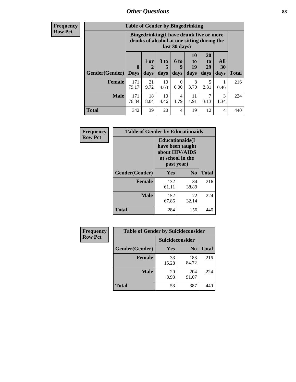### *Other Questions* **88**

**Frequency Row Pct**

| <b>Table of Gender by Bingedrinking</b> |                            |                                                                                                         |                   |                   |                               |                               |                   |              |
|-----------------------------------------|----------------------------|---------------------------------------------------------------------------------------------------------|-------------------|-------------------|-------------------------------|-------------------------------|-------------------|--------------|
|                                         |                            | Bingedrinking(I have drunk five or more<br>drinks of alcohol at one sitting during the<br>last 30 days) |                   |                   |                               |                               |                   |              |
| Gender(Gender)                          | $\mathbf 0$<br><b>Days</b> | 1 or<br>2<br>days                                                                                       | 3 to<br>5<br>days | 6 to<br>q<br>days | <b>10</b><br>to<br>19<br>days | <b>20</b><br>to<br>29<br>days | All<br>30<br>days | <b>Total</b> |
| <b>Female</b>                           | 171<br>79.17               | 21<br>9.72                                                                                              | 10<br>4.63        | 0<br>0.00         | 8<br>3.70                     | 5<br>2.31                     | 0.46              | 216          |
| <b>Male</b>                             | 171<br>76.34               | 18<br>8.04                                                                                              | 10<br>4.46        | 4<br>1.79         | 11<br>4.91                    | 7<br>3.13                     | 3<br>1.34         | 224          |
| <b>Total</b>                            | 342                        | 39                                                                                                      | 20                | 4                 | 19                            | 12                            | 4                 | 440          |

| Frequency      | <b>Table of Gender by Educationaids</b> |                                                                                                 |             |              |  |
|----------------|-----------------------------------------|-------------------------------------------------------------------------------------------------|-------------|--------------|--|
| <b>Row Pct</b> |                                         | <b>Educationaids</b> (I<br>have been taught<br>about HIV/AIDS<br>at school in the<br>past year) |             |              |  |
|                | Gender(Gender)                          | Yes                                                                                             | $\bf N_0$   | <b>Total</b> |  |
|                | <b>Female</b>                           | 132<br>61.11                                                                                    | 84<br>38.89 | 216          |  |
|                | <b>Male</b>                             | 152<br>67.86                                                                                    | 72<br>32.14 | 224          |  |
|                | <b>Total</b>                            | 284                                                                                             | 156         | 440          |  |

| <b>Frequency</b> | <b>Table of Gender by Suicideconsider</b> |                 |                |              |  |
|------------------|-------------------------------------------|-----------------|----------------|--------------|--|
| <b>Row Pct</b>   |                                           | Suicideconsider |                |              |  |
|                  | Gender(Gender)                            | <b>Yes</b>      | N <sub>0</sub> | <b>Total</b> |  |
|                  | <b>Female</b>                             | 33<br>15.28     | 183<br>84.72   | 216          |  |
|                  | <b>Male</b>                               | 20<br>8.93      | 204<br>91.07   | 224          |  |
|                  | Total                                     | 53              | 387            | 440          |  |